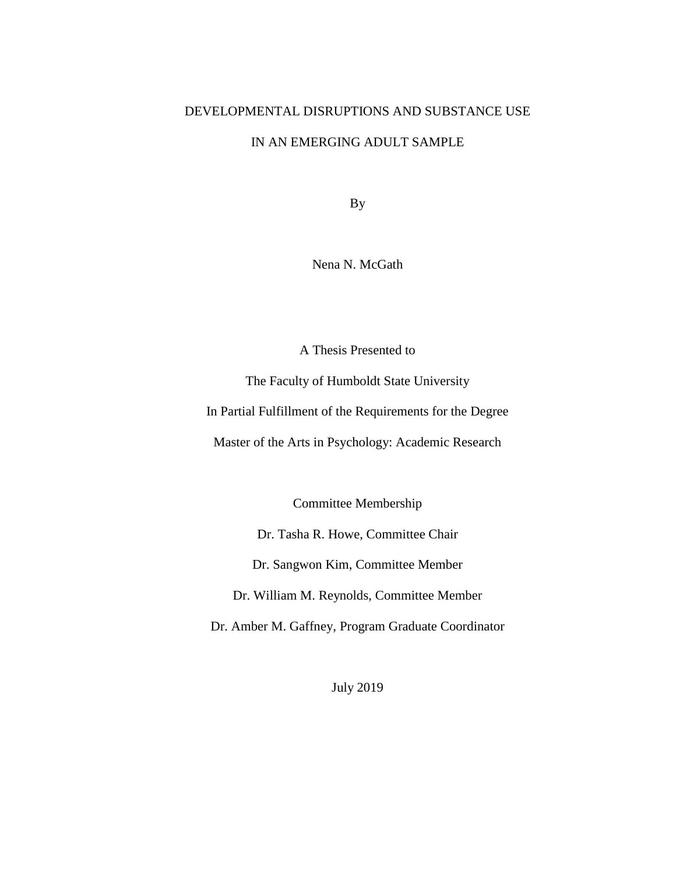## DEVELOPMENTAL DISRUPTIONS AND SUBSTANCE USE

## IN AN EMERGING ADULT SAMPLE

By

Nena N. McGath

A Thesis Presented to

The Faculty of Humboldt State University

In Partial Fulfillment of the Requirements for the Degree

Master of the Arts in Psychology: Academic Research

Committee Membership

Dr. Tasha R. Howe, Committee Chair

Dr. Sangwon Kim, Committee Member

Dr. William M. Reynolds, Committee Member

Dr. Amber M. Gaffney, Program Graduate Coordinator

July 2019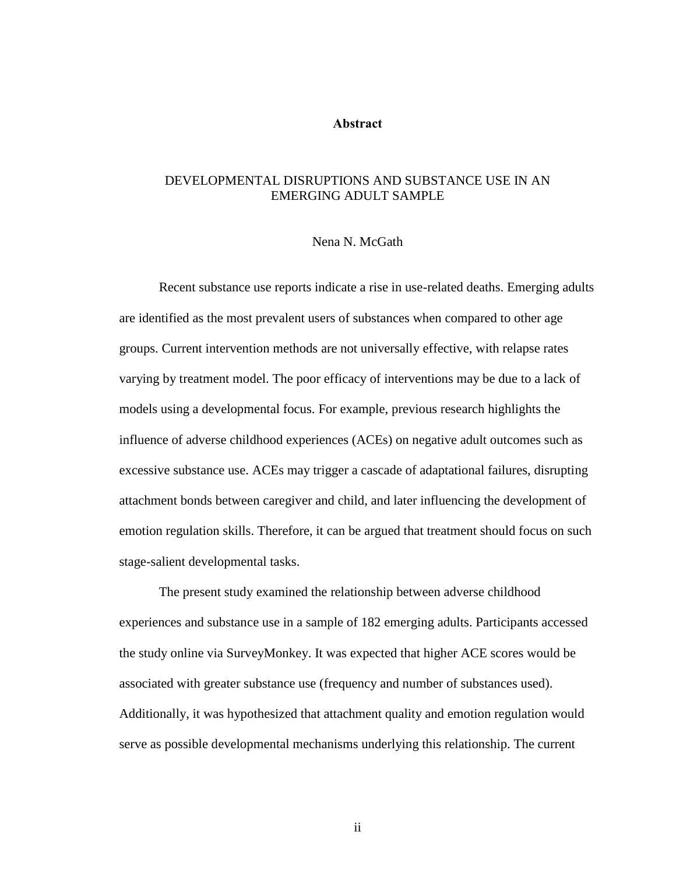#### **Abstract**

### <span id="page-1-0"></span>DEVELOPMENTAL DISRUPTIONS AND SUBSTANCE USE IN AN EMERGING ADULT SAMPLE

#### Nena N. McGath

Recent substance use reports indicate a rise in use-related deaths. Emerging adults are identified as the most prevalent users of substances when compared to other age groups. Current intervention methods are not universally effective, with relapse rates varying by treatment model. The poor efficacy of interventions may be due to a lack of models using a developmental focus. For example, previous research highlights the influence of adverse childhood experiences (ACEs) on negative adult outcomes such as excessive substance use. ACEs may trigger a cascade of adaptational failures, disrupting attachment bonds between caregiver and child, and later influencing the development of emotion regulation skills. Therefore, it can be argued that treatment should focus on such stage-salient developmental tasks.

The present study examined the relationship between adverse childhood experiences and substance use in a sample of 182 emerging adults. Participants accessed the study online via SurveyMonkey. It was expected that higher ACE scores would be associated with greater substance use (frequency and number of substances used). Additionally, it was hypothesized that attachment quality and emotion regulation would serve as possible developmental mechanisms underlying this relationship. The current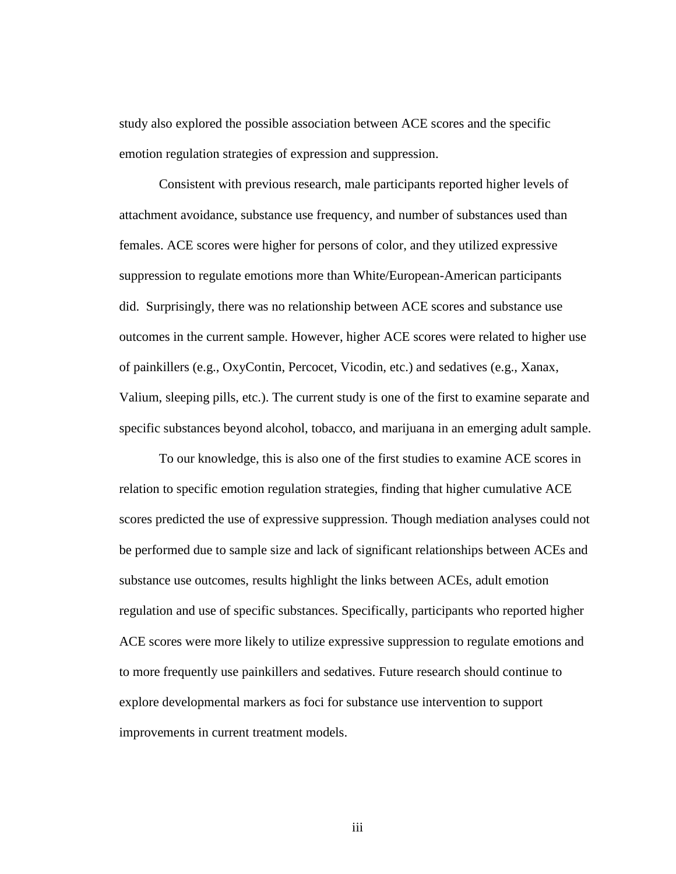study also explored the possible association between ACE scores and the specific emotion regulation strategies of expression and suppression.

Consistent with previous research, male participants reported higher levels of attachment avoidance, substance use frequency, and number of substances used than females. ACE scores were higher for persons of color, and they utilized expressive suppression to regulate emotions more than White/European-American participants did. Surprisingly, there was no relationship between ACE scores and substance use outcomes in the current sample. However, higher ACE scores were related to higher use of painkillers (e.g., OxyContin, Percocet, Vicodin, etc.) and sedatives (e.g., Xanax, Valium, sleeping pills, etc.). The current study is one of the first to examine separate and specific substances beyond alcohol, tobacco, and marijuana in an emerging adult sample.

To our knowledge, this is also one of the first studies to examine ACE scores in relation to specific emotion regulation strategies, finding that higher cumulative ACE scores predicted the use of expressive suppression. Though mediation analyses could not be performed due to sample size and lack of significant relationships between ACEs and substance use outcomes, results highlight the links between ACEs, adult emotion regulation and use of specific substances. Specifically, participants who reported higher ACE scores were more likely to utilize expressive suppression to regulate emotions and to more frequently use painkillers and sedatives. Future research should continue to explore developmental markers as foci for substance use intervention to support improvements in current treatment models.

iii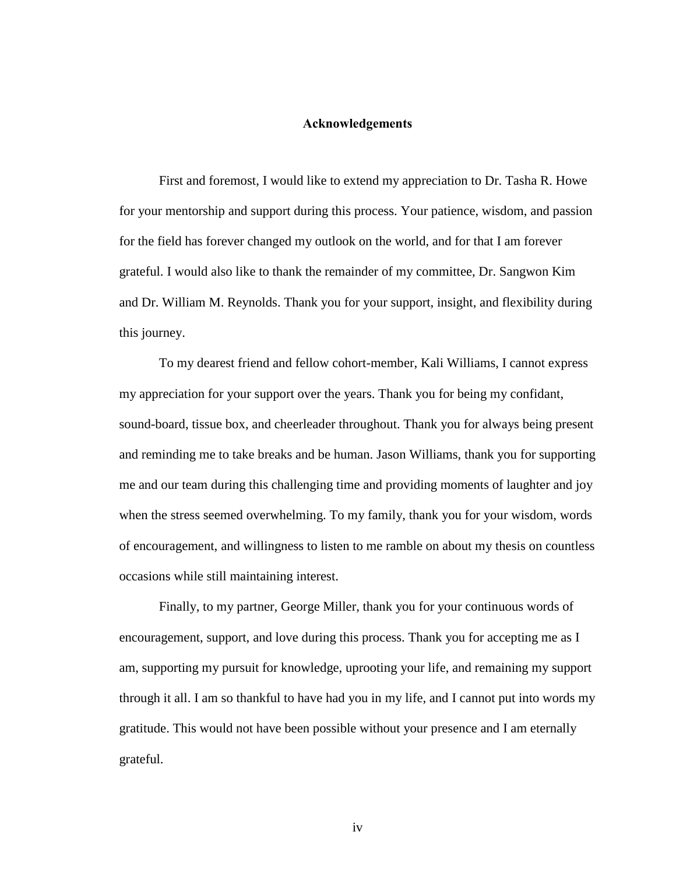#### **Acknowledgements**

<span id="page-3-0"></span>First and foremost, I would like to extend my appreciation to Dr. Tasha R. Howe for your mentorship and support during this process. Your patience, wisdom, and passion for the field has forever changed my outlook on the world, and for that I am forever grateful. I would also like to thank the remainder of my committee, Dr. Sangwon Kim and Dr. William M. Reynolds. Thank you for your support, insight, and flexibility during this journey.

To my dearest friend and fellow cohort-member, Kali Williams, I cannot express my appreciation for your support over the years. Thank you for being my confidant, sound-board, tissue box, and cheerleader throughout. Thank you for always being present and reminding me to take breaks and be human. Jason Williams, thank you for supporting me and our team during this challenging time and providing moments of laughter and joy when the stress seemed overwhelming. To my family, thank you for your wisdom, words of encouragement, and willingness to listen to me ramble on about my thesis on countless occasions while still maintaining interest.

Finally, to my partner, George Miller, thank you for your continuous words of encouragement, support, and love during this process. Thank you for accepting me as I am, supporting my pursuit for knowledge, uprooting your life, and remaining my support through it all. I am so thankful to have had you in my life, and I cannot put into words my gratitude. This would not have been possible without your presence and I am eternally grateful.

iv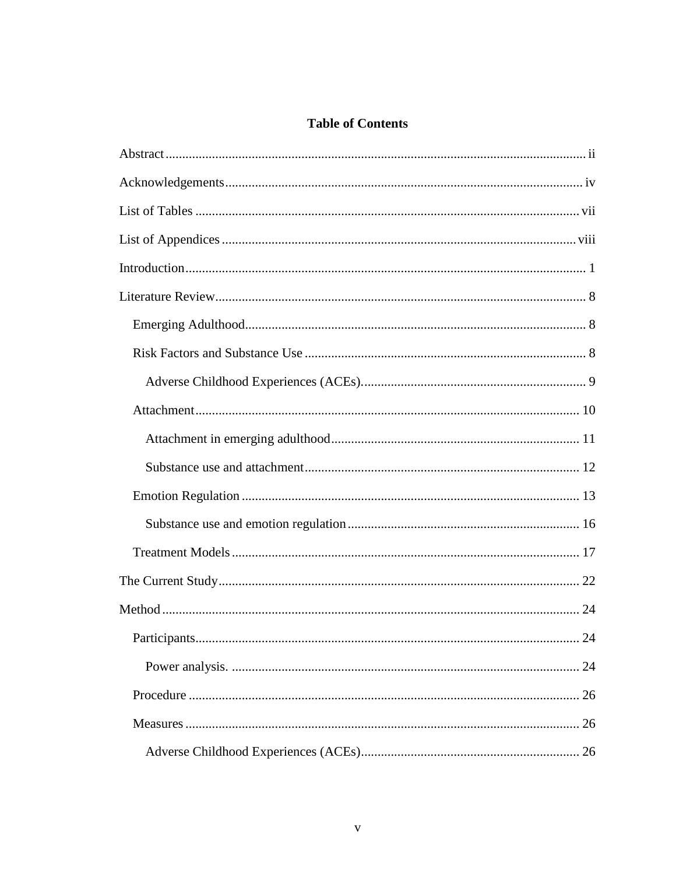# **Table of Contents**

| Participants.<br>24 |
|---------------------|
|                     |
|                     |
|                     |
|                     |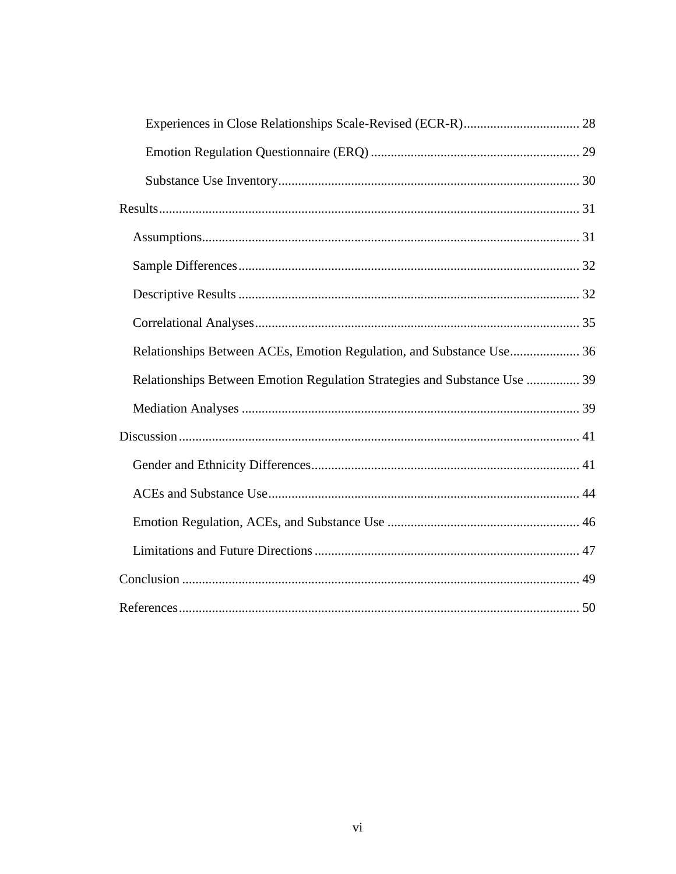<span id="page-5-0"></span>

| Relationships Between ACEs, Emotion Regulation, and Substance Use 36      |    |
|---------------------------------------------------------------------------|----|
| Relationships Between Emotion Regulation Strategies and Substance Use  39 |    |
|                                                                           |    |
|                                                                           |    |
|                                                                           |    |
|                                                                           |    |
|                                                                           |    |
|                                                                           |    |
|                                                                           |    |
| References                                                                | 50 |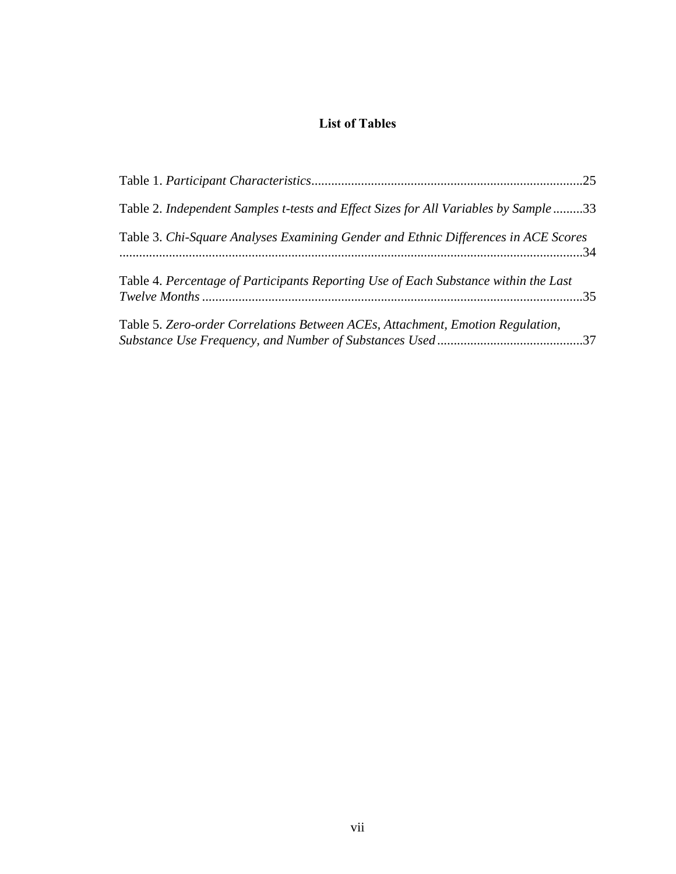# **List of Tables**

| Table 2. Independent Samples t-tests and Effect Sizes for All Variables by Sample 33 |  |
|--------------------------------------------------------------------------------------|--|
| Table 3. Chi-Square Analyses Examining Gender and Ethnic Differences in ACE Scores   |  |
| Table 4. Percentage of Participants Reporting Use of Each Substance within the Last  |  |
| Table 5. Zero-order Correlations Between ACEs, Attachment, Emotion Regulation,       |  |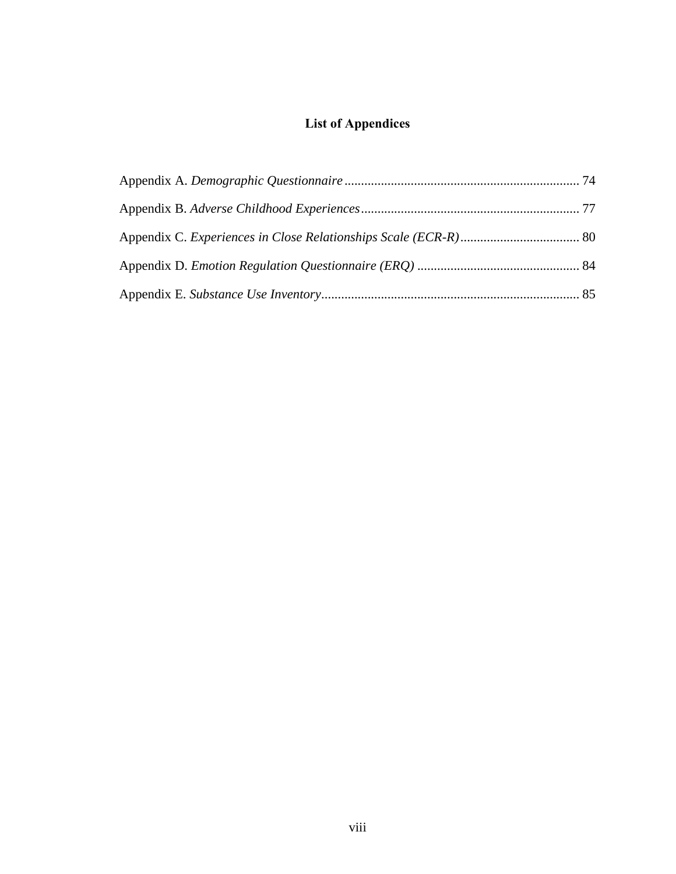# <span id="page-7-0"></span>**List of Appendices**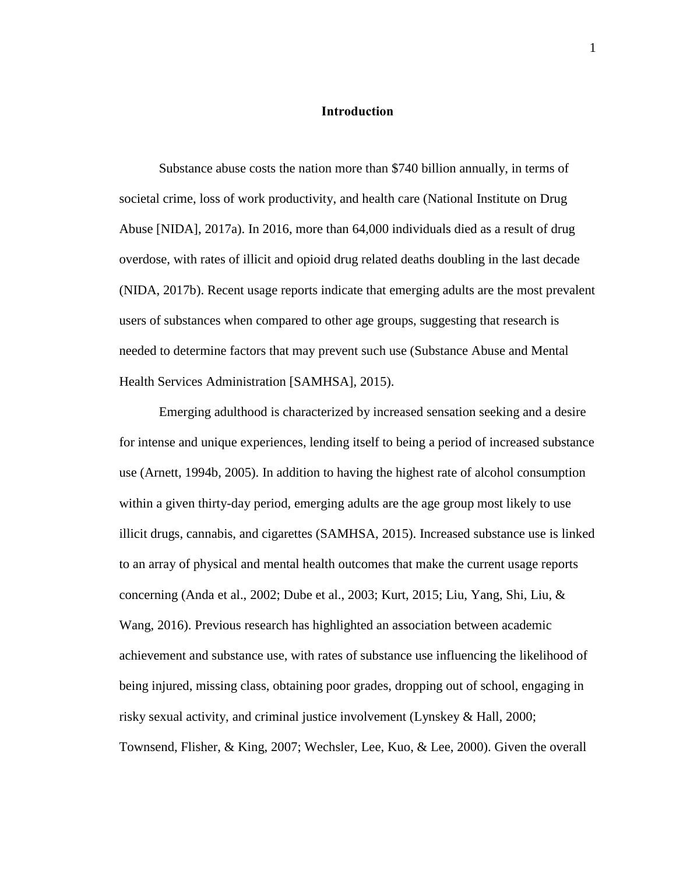#### **Introduction**

<span id="page-8-0"></span>Substance abuse costs the nation more than \$740 billion annually, in terms of societal crime, loss of work productivity, and health care (National Institute on Drug Abuse [NIDA], 2017a). In 2016, more than 64,000 individuals died as a result of drug overdose, with rates of illicit and opioid drug related deaths doubling in the last decade (NIDA, 2017b). Recent usage reports indicate that emerging adults are the most prevalent users of substances when compared to other age groups, suggesting that research is needed to determine factors that may prevent such use (Substance Abuse and Mental Health Services Administration [SAMHSA], 2015).

Emerging adulthood is characterized by increased sensation seeking and a desire for intense and unique experiences, lending itself to being a period of increased substance use (Arnett, 1994b, 2005). In addition to having the highest rate of alcohol consumption within a given thirty-day period, emerging adults are the age group most likely to use illicit drugs, cannabis, and cigarettes (SAMHSA, 2015). Increased substance use is linked to an array of physical and mental health outcomes that make the current usage reports concerning (Anda et al., 2002; Dube et al., 2003; Kurt, 2015; Liu, Yang, Shi, Liu, & Wang, 2016). Previous research has highlighted an association between academic achievement and substance use, with rates of substance use influencing the likelihood of being injured, missing class, obtaining poor grades, dropping out of school, engaging in risky sexual activity, and criminal justice involvement (Lynskey & Hall, 2000; Townsend, Flisher, & King, 2007; Wechsler, Lee, Kuo, & Lee, 2000). Given the overall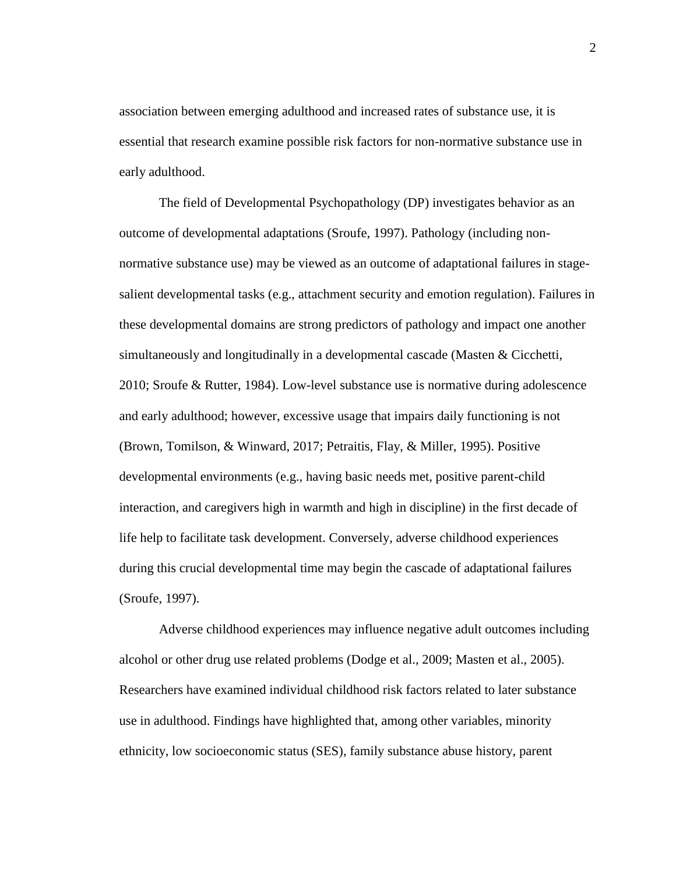association between emerging adulthood and increased rates of substance use, it is essential that research examine possible risk factors for non-normative substance use in early adulthood.

The field of Developmental Psychopathology (DP) investigates behavior as an outcome of developmental adaptations (Sroufe, 1997). Pathology (including nonnormative substance use) may be viewed as an outcome of adaptational failures in stagesalient developmental tasks (e.g., attachment security and emotion regulation). Failures in these developmental domains are strong predictors of pathology and impact one another simultaneously and longitudinally in a developmental cascade (Masten & Cicchetti, 2010; Sroufe & Rutter, 1984). Low-level substance use is normative during adolescence and early adulthood; however, excessive usage that impairs daily functioning is not (Brown, Tomilson, & Winward, 2017; Petraitis, Flay, & Miller, 1995). Positive developmental environments (e.g., having basic needs met, positive parent-child interaction, and caregivers high in warmth and high in discipline) in the first decade of life help to facilitate task development. Conversely, adverse childhood experiences during this crucial developmental time may begin the cascade of adaptational failures (Sroufe, 1997).

Adverse childhood experiences may influence negative adult outcomes including alcohol or other drug use related problems (Dodge et al., 2009; Masten et al., 2005). Researchers have examined individual childhood risk factors related to later substance use in adulthood. Findings have highlighted that, among other variables, minority ethnicity, low socioeconomic status (SES), family substance abuse history, parent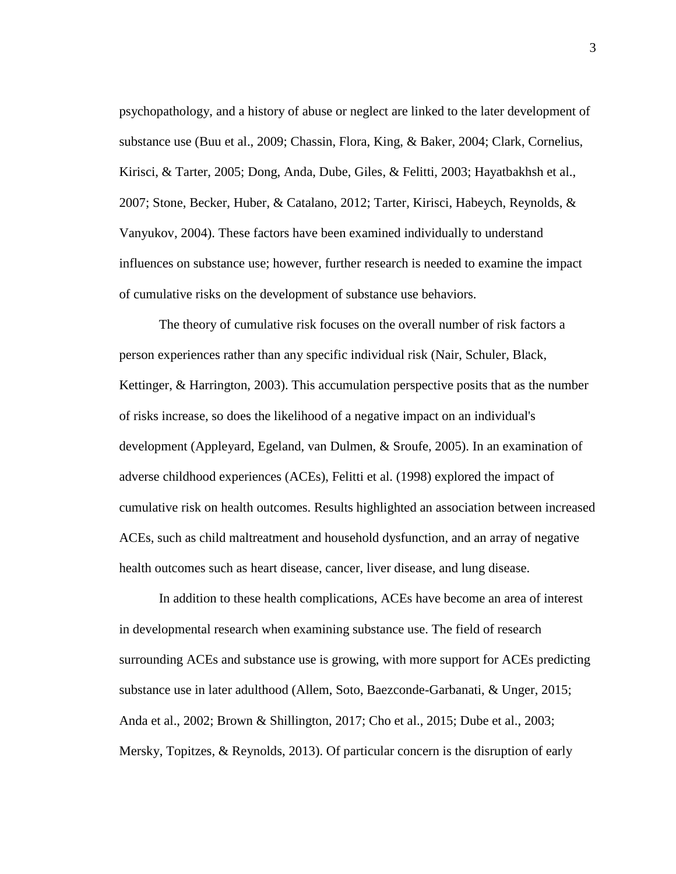psychopathology, and a history of abuse or neglect are linked to the later development of substance use (Buu et al., 2009; Chassin, Flora, King, & Baker, 2004; Clark, Cornelius, Kirisci, & Tarter, 2005; Dong, Anda, Dube, Giles, & Felitti, 2003; Hayatbakhsh et al., 2007; Stone, Becker, Huber, & Catalano, 2012; Tarter, Kirisci, Habeych, Reynolds, & Vanyukov, 2004). These factors have been examined individually to understand influences on substance use; however, further research is needed to examine the impact of cumulative risks on the development of substance use behaviors.

The theory of cumulative risk focuses on the overall number of risk factors a person experiences rather than any specific individual risk (Nair, Schuler, Black, Kettinger, & Harrington, 2003). This accumulation perspective posits that as the number of risks increase, so does the likelihood of a negative impact on an individual's development (Appleyard, Egeland, van Dulmen, & Sroufe, 2005). In an examination of adverse childhood experiences (ACEs), Felitti et al. (1998) explored the impact of cumulative risk on health outcomes. Results highlighted an association between increased ACEs, such as child maltreatment and household dysfunction, and an array of negative health outcomes such as heart disease, cancer, liver disease, and lung disease.

In addition to these health complications, ACEs have become an area of interest in developmental research when examining substance use. The field of research surrounding ACEs and substance use is growing, with more support for ACEs predicting substance use in later adulthood (Allem, Soto, Baezconde-Garbanati, & Unger, 2015; Anda et al., 2002; Brown & Shillington, 2017; Cho et al., 2015; Dube et al., 2003; Mersky, Topitzes, & Reynolds, 2013). Of particular concern is the disruption of early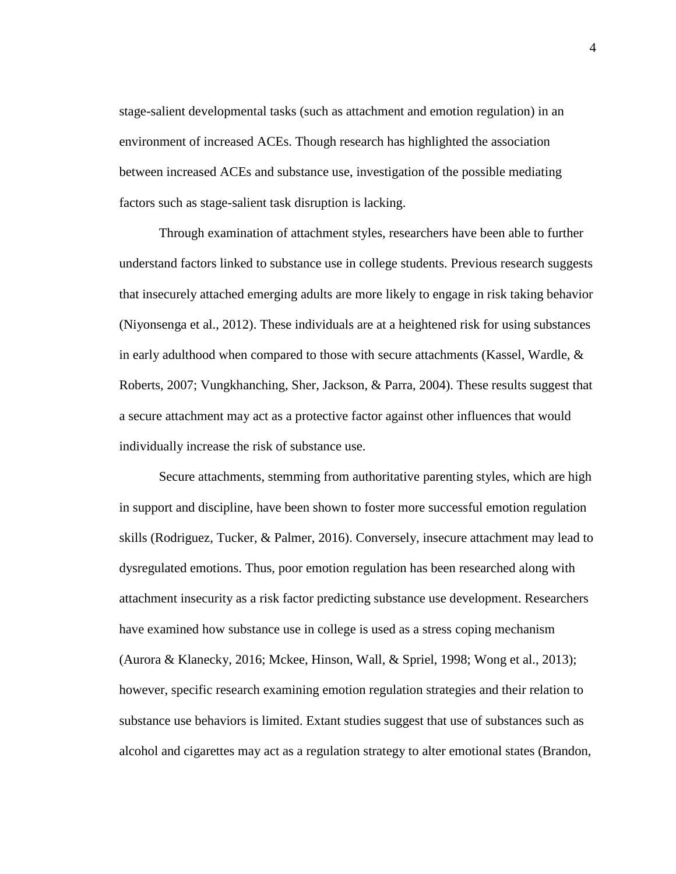stage-salient developmental tasks (such as attachment and emotion regulation) in an environment of increased ACEs. Though research has highlighted the association between increased ACEs and substance use, investigation of the possible mediating factors such as stage-salient task disruption is lacking.

Through examination of attachment styles, researchers have been able to further understand factors linked to substance use in college students. Previous research suggests that insecurely attached emerging adults are more likely to engage in risk taking behavior (Niyonsenga et al., 2012). These individuals are at a heightened risk for using substances in early adulthood when compared to those with secure attachments (Kassel, Wardle,  $\&$ Roberts, 2007; Vungkhanching, Sher, Jackson, & Parra, 2004). These results suggest that a secure attachment may act as a protective factor against other influences that would individually increase the risk of substance use.

Secure attachments, stemming from authoritative parenting styles, which are high in support and discipline, have been shown to foster more successful emotion regulation skills (Rodriguez, Tucker, & Palmer, 2016). Conversely, insecure attachment may lead to dysregulated emotions. Thus, poor emotion regulation has been researched along with attachment insecurity as a risk factor predicting substance use development. Researchers have examined how substance use in college is used as a stress coping mechanism (Aurora & Klanecky, 2016; Mckee, Hinson, Wall, & Spriel, 1998; Wong et al., 2013); however, specific research examining emotion regulation strategies and their relation to substance use behaviors is limited. Extant studies suggest that use of substances such as alcohol and cigarettes may act as a regulation strategy to alter emotional states (Brandon,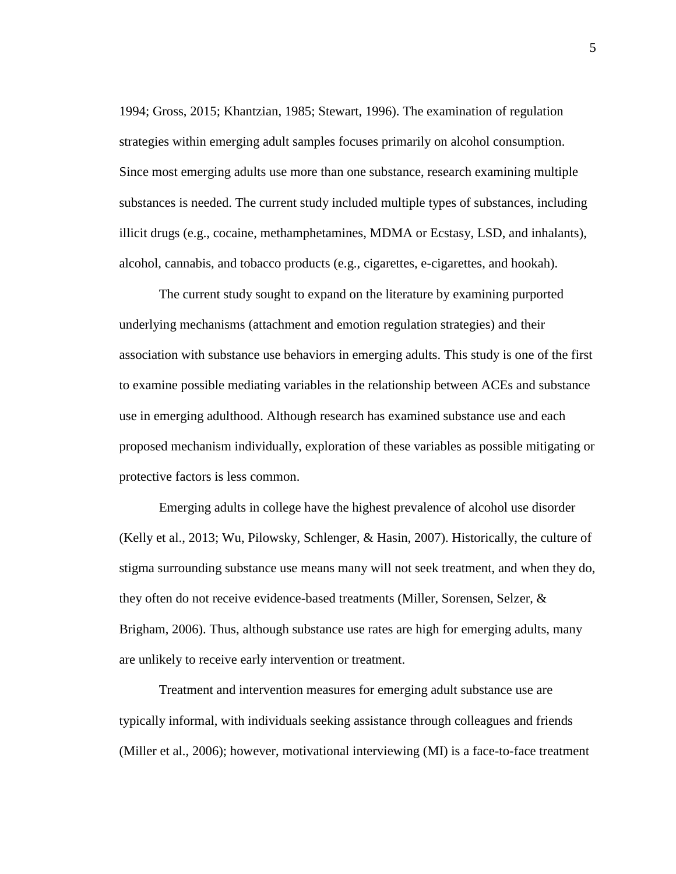1994; Gross, 2015; Khantzian, 1985; Stewart, 1996). The examination of regulation strategies within emerging adult samples focuses primarily on alcohol consumption. Since most emerging adults use more than one substance, research examining multiple substances is needed. The current study included multiple types of substances, including illicit drugs (e.g., cocaine, methamphetamines, MDMA or Ecstasy, LSD, and inhalants), alcohol, cannabis, and tobacco products (e.g., cigarettes, e-cigarettes, and hookah).

The current study sought to expand on the literature by examining purported underlying mechanisms (attachment and emotion regulation strategies) and their association with substance use behaviors in emerging adults. This study is one of the first to examine possible mediating variables in the relationship between ACEs and substance use in emerging adulthood. Although research has examined substance use and each proposed mechanism individually, exploration of these variables as possible mitigating or protective factors is less common.

Emerging adults in college have the highest prevalence of alcohol use disorder (Kelly et al., 2013; Wu, Pilowsky, Schlenger, & Hasin, 2007). Historically, the culture of stigma surrounding substance use means many will not seek treatment, and when they do, they often do not receive evidence-based treatments (Miller, Sorensen, Selzer, & Brigham, 2006). Thus, although substance use rates are high for emerging adults, many are unlikely to receive early intervention or treatment.

Treatment and intervention measures for emerging adult substance use are typically informal, with individuals seeking assistance through colleagues and friends (Miller et al., 2006); however, motivational interviewing (MI) is a face-to-face treatment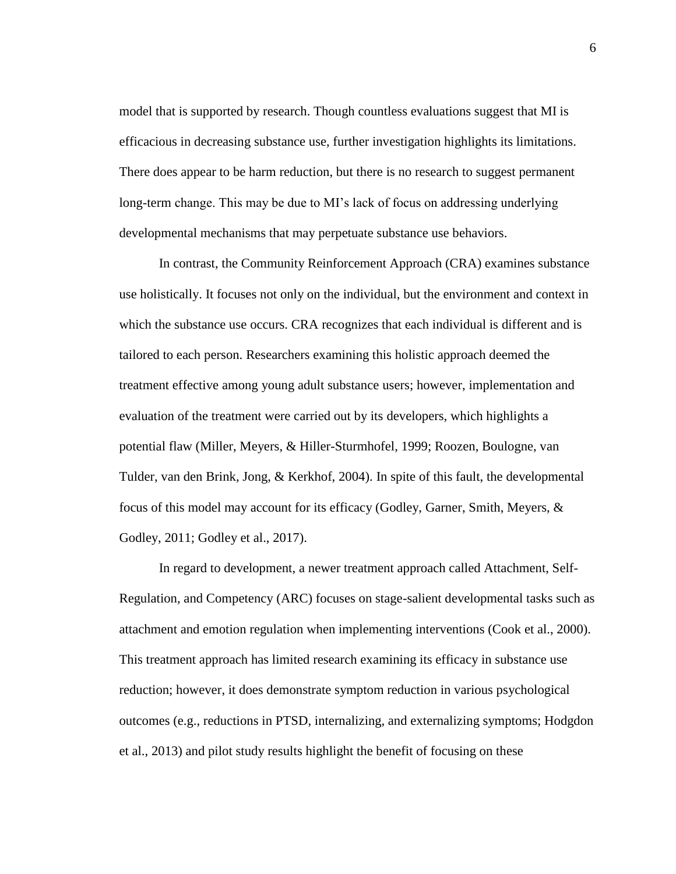model that is supported by research. Though countless evaluations suggest that MI is efficacious in decreasing substance use, further investigation highlights its limitations. There does appear to be harm reduction, but there is no research to suggest permanent long-term change. This may be due to MI's lack of focus on addressing underlying developmental mechanisms that may perpetuate substance use behaviors.

In contrast, the Community Reinforcement Approach (CRA) examines substance use holistically. It focuses not only on the individual, but the environment and context in which the substance use occurs. CRA recognizes that each individual is different and is tailored to each person. Researchers examining this holistic approach deemed the treatment effective among young adult substance users; however, implementation and evaluation of the treatment were carried out by its developers, which highlights a potential flaw (Miller, Meyers, & Hiller-Sturmhofel, 1999; Roozen, Boulogne, van Tulder, van den Brink, Jong, & Kerkhof, 2004). In spite of this fault, the developmental focus of this model may account for its efficacy (Godley, Garner, Smith, Meyers, & Godley, 2011; Godley et al., 2017).

In regard to development, a newer treatment approach called Attachment, Self-Regulation, and Competency (ARC) focuses on stage-salient developmental tasks such as attachment and emotion regulation when implementing interventions (Cook et al., 2000). This treatment approach has limited research examining its efficacy in substance use reduction; however, it does demonstrate symptom reduction in various psychological outcomes (e.g., reductions in PTSD, internalizing, and externalizing symptoms; Hodgdon et al., 2013) and pilot study results highlight the benefit of focusing on these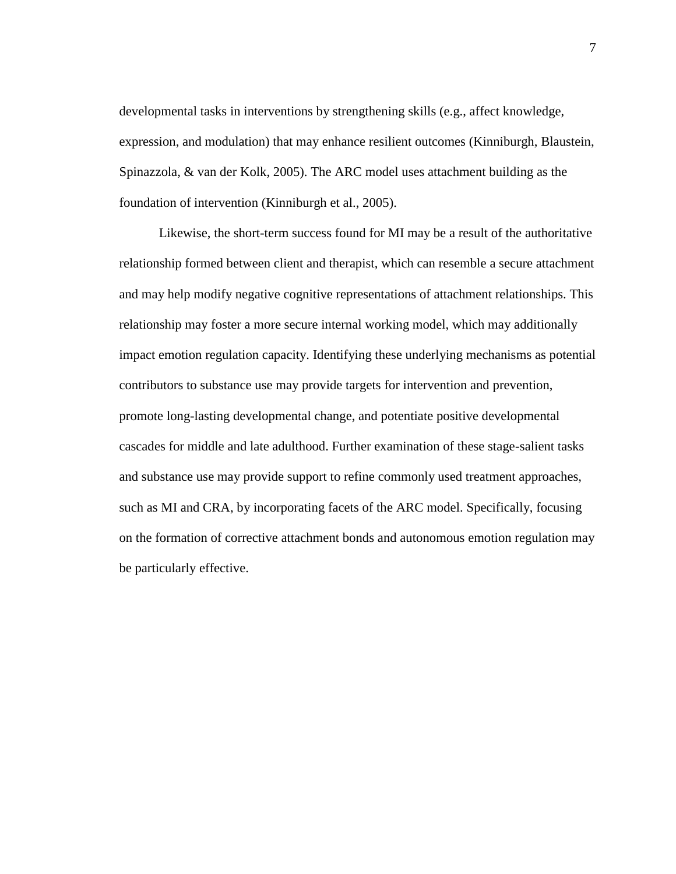developmental tasks in interventions by strengthening skills (e.g., affect knowledge, expression, and modulation) that may enhance resilient outcomes (Kinniburgh, Blaustein, Spinazzola, & van der Kolk, 2005). The ARC model uses attachment building as the foundation of intervention (Kinniburgh et al., 2005).

Likewise, the short-term success found for MI may be a result of the authoritative relationship formed between client and therapist, which can resemble a secure attachment and may help modify negative cognitive representations of attachment relationships. This relationship may foster a more secure internal working model, which may additionally impact emotion regulation capacity. Identifying these underlying mechanisms as potential contributors to substance use may provide targets for intervention and prevention, promote long-lasting developmental change, and potentiate positive developmental cascades for middle and late adulthood. Further examination of these stage-salient tasks and substance use may provide support to refine commonly used treatment approaches, such as MI and CRA, by incorporating facets of the ARC model. Specifically, focusing on the formation of corrective attachment bonds and autonomous emotion regulation may be particularly effective.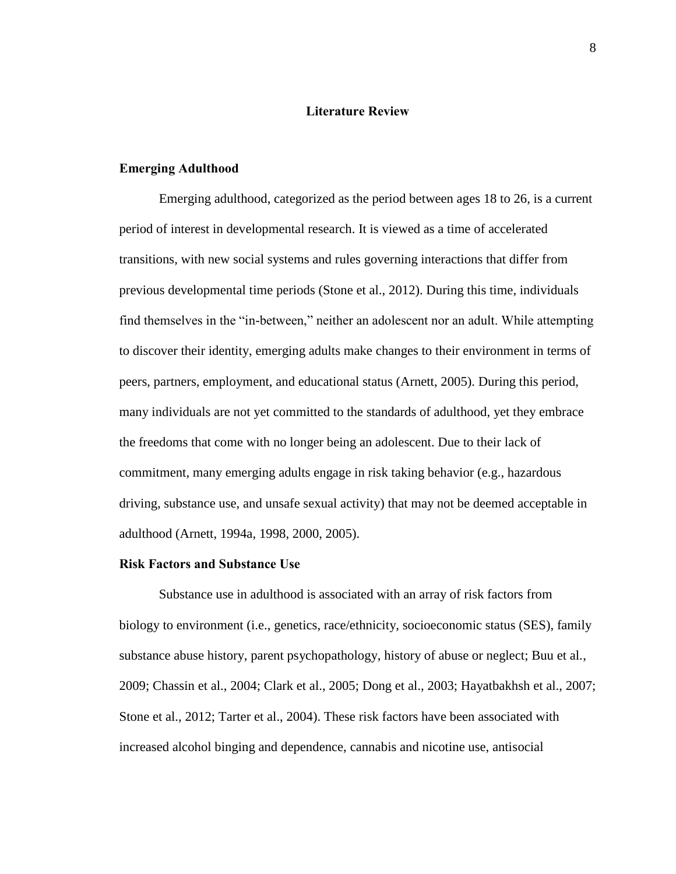#### **Literature Review**

#### <span id="page-15-1"></span><span id="page-15-0"></span>**Emerging Adulthood**

Emerging adulthood, categorized as the period between ages 18 to 26, is a current period of interest in developmental research. It is viewed as a time of accelerated transitions, with new social systems and rules governing interactions that differ from previous developmental time periods (Stone et al., 2012). During this time, individuals find themselves in the "in-between," neither an adolescent nor an adult. While attempting to discover their identity, emerging adults make changes to their environment in terms of peers, partners, employment, and educational status (Arnett, 2005). During this period, many individuals are not yet committed to the standards of adulthood, yet they embrace the freedoms that come with no longer being an adolescent. Due to their lack of commitment, many emerging adults engage in risk taking behavior (e.g., hazardous driving, substance use, and unsafe sexual activity) that may not be deemed acceptable in adulthood (Arnett, 1994a, 1998, 2000, 2005).

#### <span id="page-15-2"></span>**Risk Factors and Substance Use**

Substance use in adulthood is associated with an array of risk factors from biology to environment (i.e., genetics, race/ethnicity, socioeconomic status (SES), family substance abuse history, parent psychopathology, history of abuse or neglect; Buu et al., 2009; Chassin et al., 2004; Clark et al., 2005; Dong et al., 2003; Hayatbakhsh et al., 2007; Stone et al., 2012; Tarter et al., 2004). These risk factors have been associated with increased alcohol binging and dependence, cannabis and nicotine use, antisocial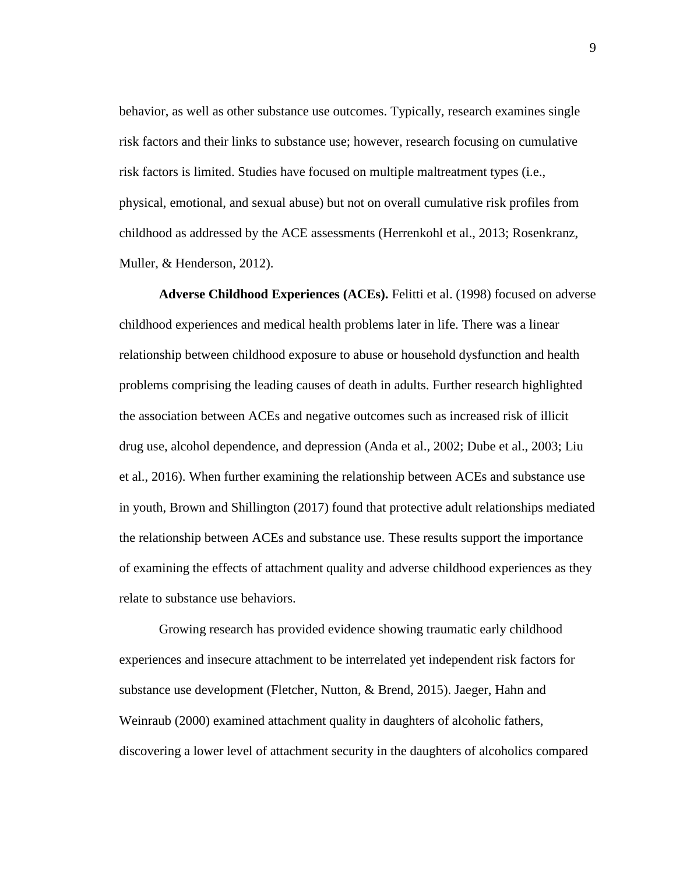behavior, as well as other substance use outcomes. Typically, research examines single risk factors and their links to substance use; however, research focusing on cumulative risk factors is limited. Studies have focused on multiple maltreatment types (i.e., physical, emotional, and sexual abuse) but not on overall cumulative risk profiles from childhood as addressed by the ACE assessments (Herrenkohl et al., 2013; Rosenkranz, Muller, & Henderson, 2012).

<span id="page-16-0"></span>**Adverse Childhood Experiences (ACEs).** Felitti et al. (1998) focused on adverse childhood experiences and medical health problems later in life. There was a linear relationship between childhood exposure to abuse or household dysfunction and health problems comprising the leading causes of death in adults. Further research highlighted the association between ACEs and negative outcomes such as increased risk of illicit drug use, alcohol dependence, and depression (Anda et al., 2002; Dube et al., 2003; Liu et al., 2016). When further examining the relationship between ACEs and substance use in youth, Brown and Shillington (2017) found that protective adult relationships mediated the relationship between ACEs and substance use. These results support the importance of examining the effects of attachment quality and adverse childhood experiences as they relate to substance use behaviors.

Growing research has provided evidence showing traumatic early childhood experiences and insecure attachment to be interrelated yet independent risk factors for substance use development (Fletcher, Nutton, & Brend, 2015). Jaeger, Hahn and Weinraub (2000) examined attachment quality in daughters of alcoholic fathers, discovering a lower level of attachment security in the daughters of alcoholics compared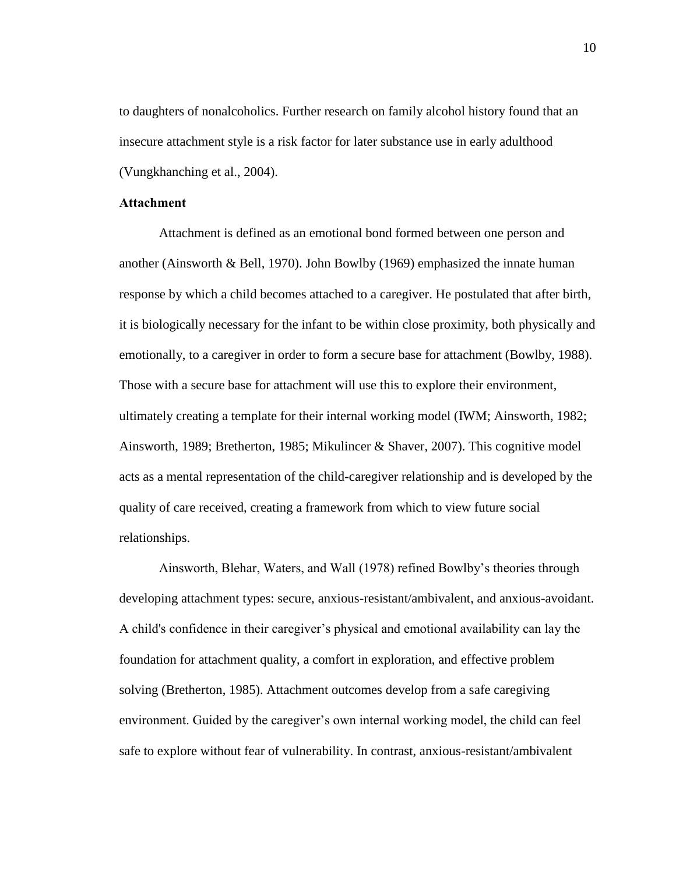to daughters of nonalcoholics. Further research on family alcohol history found that an insecure attachment style is a risk factor for later substance use in early adulthood (Vungkhanching et al., 2004).

#### <span id="page-17-0"></span>**Attachment**

Attachment is defined as an emotional bond formed between one person and another (Ainsworth & Bell, 1970). John Bowlby (1969) emphasized the innate human response by which a child becomes attached to a caregiver. He postulated that after birth, it is biologically necessary for the infant to be within close proximity, both physically and emotionally, to a caregiver in order to form a secure base for attachment (Bowlby, 1988). Those with a secure base for attachment will use this to explore their environment, ultimately creating a template for their internal working model (IWM; Ainsworth, 1982; Ainsworth, 1989; Bretherton, 1985; Mikulincer & Shaver, 2007). This cognitive model acts as a mental representation of the child-caregiver relationship and is developed by the quality of care received, creating a framework from which to view future social relationships.

Ainsworth, Blehar, Waters, and Wall (1978) refined Bowlby's theories through developing attachment types: secure, anxious-resistant/ambivalent, and anxious-avoidant. A child's confidence in their caregiver's physical and emotional availability can lay the foundation for attachment quality, a comfort in exploration, and effective problem solving (Bretherton, 1985). Attachment outcomes develop from a safe caregiving environment. Guided by the caregiver's own internal working model, the child can feel safe to explore without fear of vulnerability. In contrast, anxious-resistant/ambivalent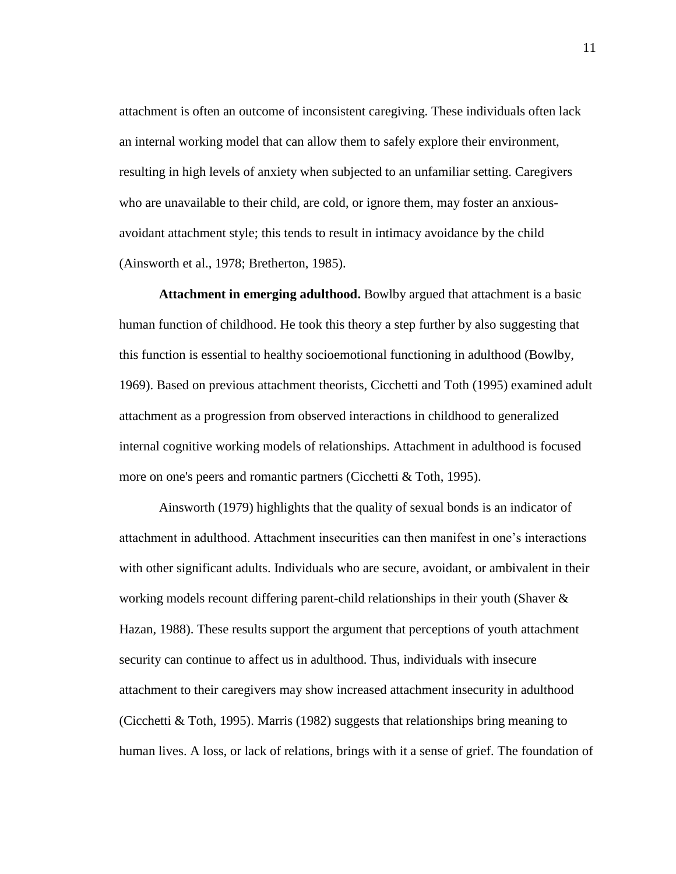attachment is often an outcome of inconsistent caregiving. These individuals often lack an internal working model that can allow them to safely explore their environment, resulting in high levels of anxiety when subjected to an unfamiliar setting. Caregivers who are unavailable to their child, are cold, or ignore them, may foster an anxiousavoidant attachment style; this tends to result in intimacy avoidance by the child (Ainsworth et al., 1978; Bretherton, 1985).

<span id="page-18-0"></span>**Attachment in emerging adulthood.** Bowlby argued that attachment is a basic human function of childhood. He took this theory a step further by also suggesting that this function is essential to healthy socioemotional functioning in adulthood (Bowlby, 1969). Based on previous attachment theorists, Cicchetti and Toth (1995) examined adult attachment as a progression from observed interactions in childhood to generalized internal cognitive working models of relationships. Attachment in adulthood is focused more on one's peers and romantic partners (Cicchetti & Toth, 1995).

Ainsworth (1979) highlights that the quality of sexual bonds is an indicator of attachment in adulthood. Attachment insecurities can then manifest in one's interactions with other significant adults. Individuals who are secure, avoidant, or ambivalent in their working models recount differing parent-child relationships in their youth (Shaver & Hazan, 1988). These results support the argument that perceptions of youth attachment security can continue to affect us in adulthood. Thus, individuals with insecure attachment to their caregivers may show increased attachment insecurity in adulthood (Cicchetti & Toth, 1995). Marris (1982) suggests that relationships bring meaning to human lives. A loss, or lack of relations, brings with it a sense of grief. The foundation of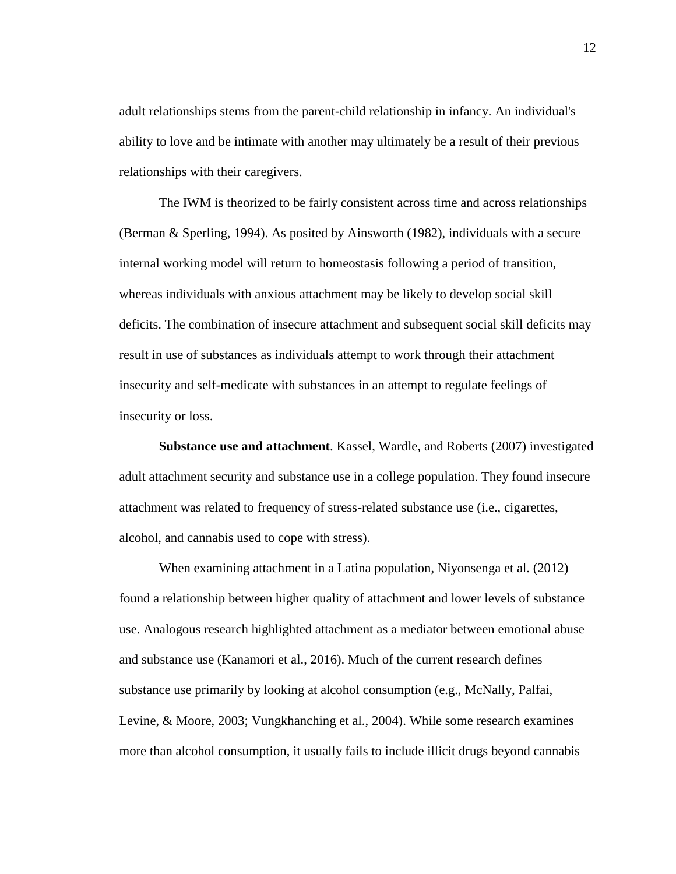adult relationships stems from the parent-child relationship in infancy. An individual's ability to love and be intimate with another may ultimately be a result of their previous relationships with their caregivers.

The IWM is theorized to be fairly consistent across time and across relationships (Berman & Sperling, 1994). As posited by Ainsworth (1982), individuals with a secure internal working model will return to homeostasis following a period of transition, whereas individuals with anxious attachment may be likely to develop social skill deficits. The combination of insecure attachment and subsequent social skill deficits may result in use of substances as individuals attempt to work through their attachment insecurity and self-medicate with substances in an attempt to regulate feelings of insecurity or loss.

<span id="page-19-0"></span>**Substance use and attachment**. Kassel, Wardle, and Roberts (2007) investigated adult attachment security and substance use in a college population. They found insecure attachment was related to frequency of stress-related substance use (i.e., cigarettes, alcohol, and cannabis used to cope with stress).

When examining attachment in a Latina population, Niyonsenga et al. (2012) found a relationship between higher quality of attachment and lower levels of substance use. Analogous research highlighted attachment as a mediator between emotional abuse and substance use (Kanamori et al., 2016). Much of the current research defines substance use primarily by looking at alcohol consumption (e.g., McNally, Palfai, Levine, & Moore, 2003; Vungkhanching et al., 2004). While some research examines more than alcohol consumption, it usually fails to include illicit drugs beyond cannabis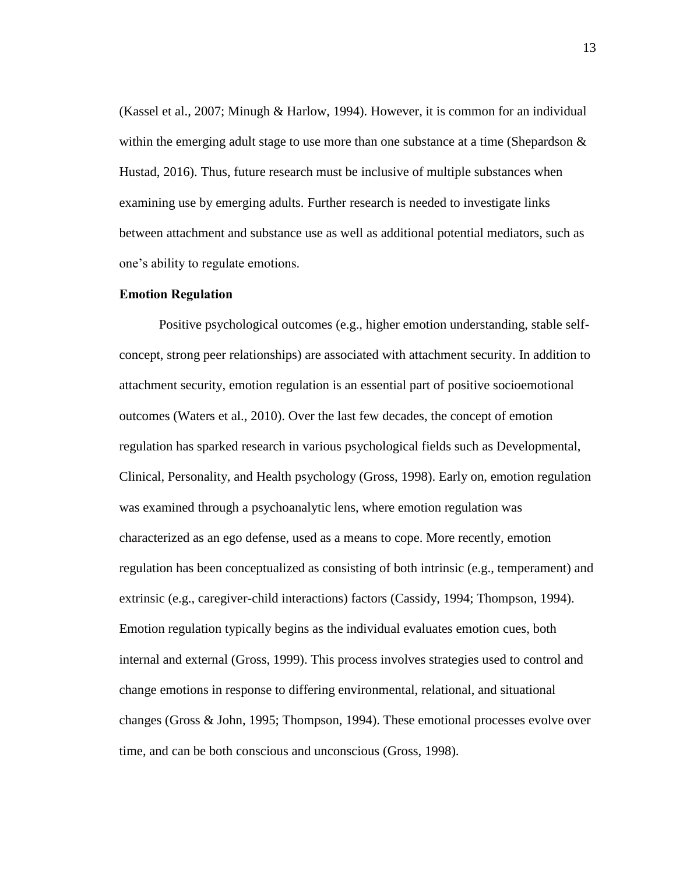(Kassel et al., 2007; Minugh & Harlow, 1994). However, it is common for an individual within the emerging adult stage to use more than one substance at a time (Shepardson  $\&$ Hustad, 2016). Thus, future research must be inclusive of multiple substances when examining use by emerging adults. Further research is needed to investigate links between attachment and substance use as well as additional potential mediators, such as one's ability to regulate emotions.

#### <span id="page-20-0"></span>**Emotion Regulation**

Positive psychological outcomes (e.g., higher emotion understanding, stable selfconcept, strong peer relationships) are associated with attachment security. In addition to attachment security, emotion regulation is an essential part of positive socioemotional outcomes (Waters et al., 2010). Over the last few decades, the concept of emotion regulation has sparked research in various psychological fields such as Developmental, Clinical, Personality, and Health psychology (Gross, 1998). Early on, emotion regulation was examined through a psychoanalytic lens, where emotion regulation was characterized as an ego defense, used as a means to cope. More recently, emotion regulation has been conceptualized as consisting of both intrinsic (e.g., temperament) and extrinsic (e.g., caregiver-child interactions) factors (Cassidy, 1994; Thompson, 1994). Emotion regulation typically begins as the individual evaluates emotion cues, both internal and external (Gross, 1999). This process involves strategies used to control and change emotions in response to differing environmental, relational, and situational changes (Gross & John, 1995; Thompson, 1994). These emotional processes evolve over time, and can be both conscious and unconscious (Gross, 1998).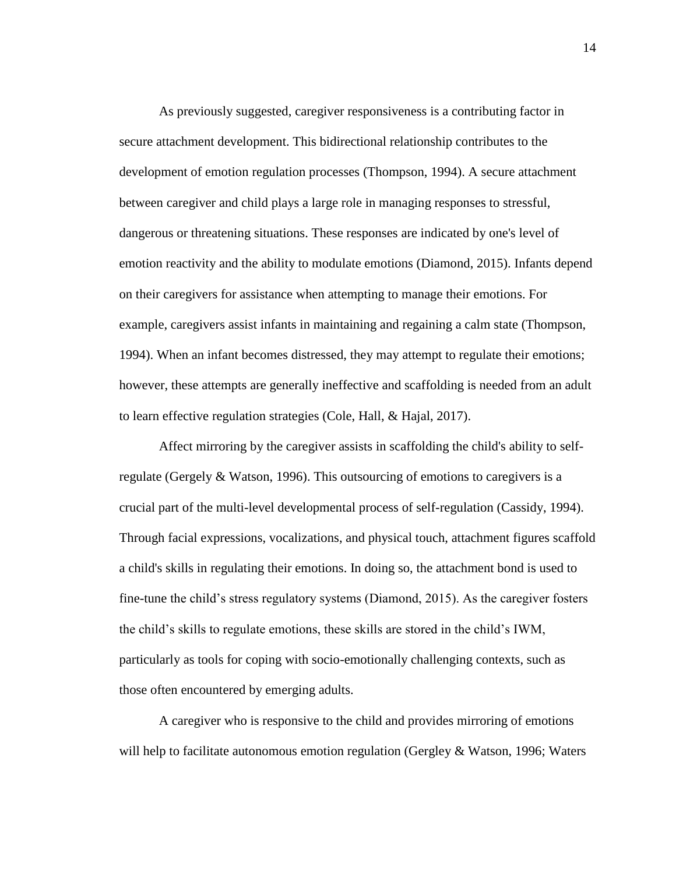As previously suggested, caregiver responsiveness is a contributing factor in secure attachment development. This bidirectional relationship contributes to the development of emotion regulation processes (Thompson, 1994). A secure attachment between caregiver and child plays a large role in managing responses to stressful, dangerous or threatening situations. These responses are indicated by one's level of emotion reactivity and the ability to modulate emotions (Diamond, 2015). Infants depend on their caregivers for assistance when attempting to manage their emotions. For example, caregivers assist infants in maintaining and regaining a calm state (Thompson, 1994). When an infant becomes distressed, they may attempt to regulate their emotions; however, these attempts are generally ineffective and scaffolding is needed from an adult to learn effective regulation strategies (Cole, Hall, & Hajal, 2017).

Affect mirroring by the caregiver assists in scaffolding the child's ability to selfregulate (Gergely & Watson, 1996). This outsourcing of emotions to caregivers is a crucial part of the multi-level developmental process of self-regulation (Cassidy, 1994). Through facial expressions, vocalizations, and physical touch, attachment figures scaffold a child's skills in regulating their emotions. In doing so, the attachment bond is used to fine-tune the child's stress regulatory systems (Diamond, 2015). As the caregiver fosters the child's skills to regulate emotions, these skills are stored in the child's IWM, particularly as tools for coping with socio-emotionally challenging contexts, such as those often encountered by emerging adults.

A caregiver who is responsive to the child and provides mirroring of emotions will help to facilitate autonomous emotion regulation (Gergley  $\&$  Watson, 1996; Waters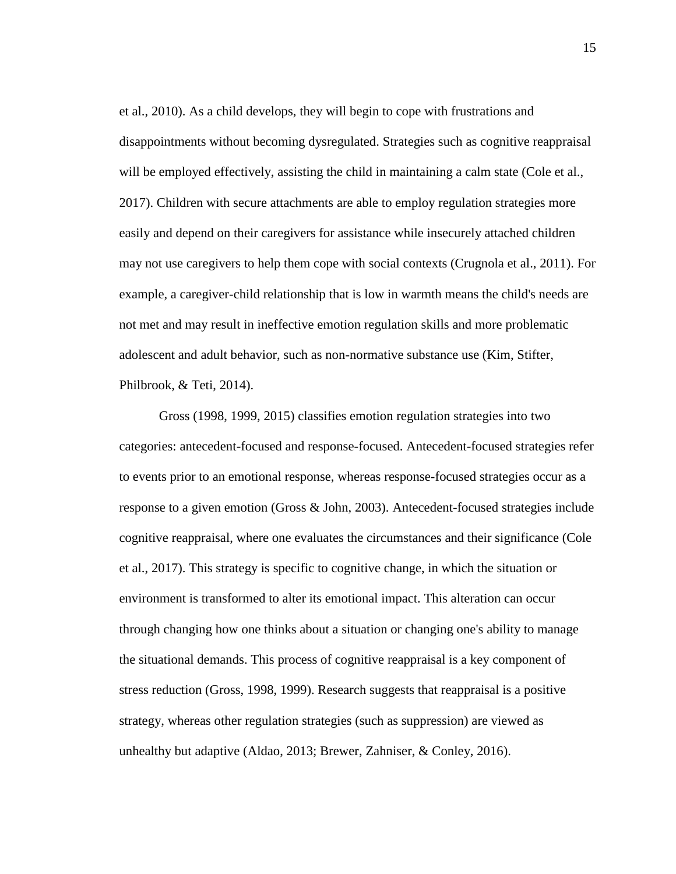et al., 2010). As a child develops, they will begin to cope with frustrations and disappointments without becoming dysregulated. Strategies such as cognitive reappraisal will be employed effectively, assisting the child in maintaining a calm state (Cole et al., 2017). Children with secure attachments are able to employ regulation strategies more easily and depend on their caregivers for assistance while insecurely attached children may not use caregivers to help them cope with social contexts (Crugnola et al., 2011). For example, a caregiver-child relationship that is low in warmth means the child's needs are not met and may result in ineffective emotion regulation skills and more problematic adolescent and adult behavior, such as non-normative substance use (Kim, Stifter, Philbrook, & Teti, 2014).

Gross (1998, 1999, 2015) classifies emotion regulation strategies into two categories: antecedent-focused and response-focused. Antecedent-focused strategies refer to events prior to an emotional response, whereas response-focused strategies occur as a response to a given emotion (Gross & John, 2003). Antecedent-focused strategies include cognitive reappraisal, where one evaluates the circumstances and their significance (Cole et al., 2017). This strategy is specific to cognitive change, in which the situation or environment is transformed to alter its emotional impact. This alteration can occur through changing how one thinks about a situation or changing one's ability to manage the situational demands. This process of cognitive reappraisal is a key component of stress reduction (Gross, 1998, 1999). Research suggests that reappraisal is a positive strategy, whereas other regulation strategies (such as suppression) are viewed as unhealthy but adaptive (Aldao, 2013; Brewer, Zahniser, & Conley, 2016).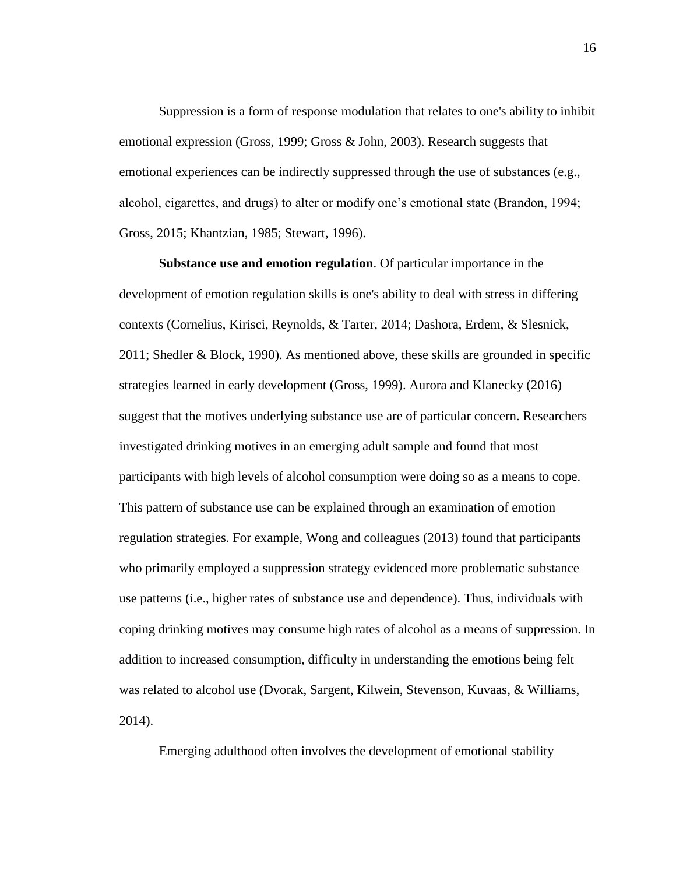Suppression is a form of response modulation that relates to one's ability to inhibit emotional expression (Gross, 1999; Gross & John, 2003). Research suggests that emotional experiences can be indirectly suppressed through the use of substances (e.g., alcohol, cigarettes, and drugs) to alter or modify one's emotional state (Brandon, 1994; Gross, 2015; Khantzian, 1985; Stewart, 1996).

<span id="page-23-0"></span>**Substance use and emotion regulation**. Of particular importance in the development of emotion regulation skills is one's ability to deal with stress in differing contexts (Cornelius, Kirisci, Reynolds, & Tarter, 2014; Dashora, Erdem, & Slesnick, 2011; Shedler & Block, 1990). As mentioned above, these skills are grounded in specific strategies learned in early development (Gross, 1999). Aurora and Klanecky (2016) suggest that the motives underlying substance use are of particular concern. Researchers investigated drinking motives in an emerging adult sample and found that most participants with high levels of alcohol consumption were doing so as a means to cope. This pattern of substance use can be explained through an examination of emotion regulation strategies. For example, Wong and colleagues (2013) found that participants who primarily employed a suppression strategy evidenced more problematic substance use patterns (i.e., higher rates of substance use and dependence). Thus, individuals with coping drinking motives may consume high rates of alcohol as a means of suppression. In addition to increased consumption, difficulty in understanding the emotions being felt was related to alcohol use (Dvorak, Sargent, Kilwein, Stevenson, Kuvaas, & Williams, 2014).

Emerging adulthood often involves the development of emotional stability

16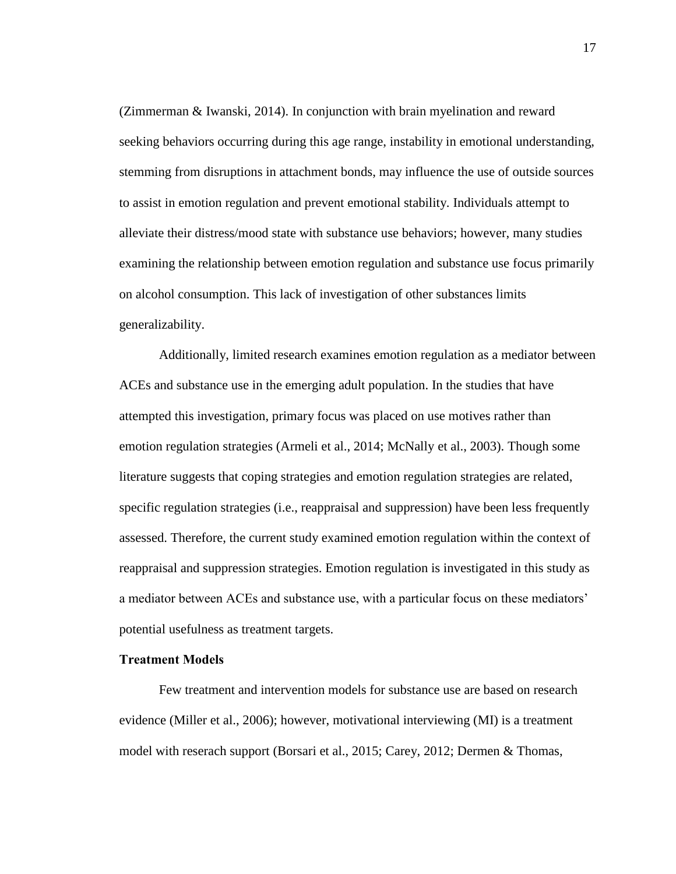(Zimmerman & Iwanski, 2014). In conjunction with brain myelination and reward seeking behaviors occurring during this age range, instability in emotional understanding, stemming from disruptions in attachment bonds, may influence the use of outside sources to assist in emotion regulation and prevent emotional stability. Individuals attempt to alleviate their distress/mood state with substance use behaviors; however, many studies examining the relationship between emotion regulation and substance use focus primarily on alcohol consumption. This lack of investigation of other substances limits generalizability.

Additionally, limited research examines emotion regulation as a mediator between ACEs and substance use in the emerging adult population. In the studies that have attempted this investigation, primary focus was placed on use motives rather than emotion regulation strategies (Armeli et al., 2014; McNally et al., 2003). Though some literature suggests that coping strategies and emotion regulation strategies are related, specific regulation strategies (i.e., reappraisal and suppression) have been less frequently assessed. Therefore, the current study examined emotion regulation within the context of reappraisal and suppression strategies. Emotion regulation is investigated in this study as a mediator between ACEs and substance use, with a particular focus on these mediators' potential usefulness as treatment targets.

#### <span id="page-24-0"></span>**Treatment Models**

Few treatment and intervention models for substance use are based on research evidence (Miller et al., 2006); however, motivational interviewing (MI) is a treatment model with reserach support (Borsari et al., 2015; Carey, 2012; Dermen & Thomas,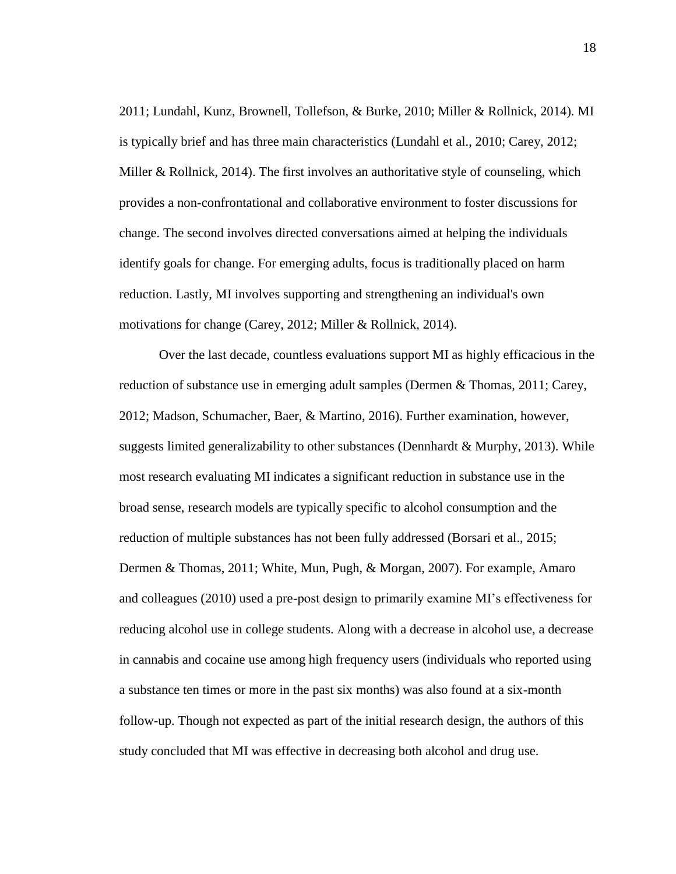2011; Lundahl, Kunz, Brownell, Tollefson, & Burke, 2010; Miller & Rollnick, 2014). MI is typically brief and has three main characteristics (Lundahl et al., 2010; Carey, 2012; Miller & Rollnick, 2014). The first involves an authoritative style of counseling, which provides a non-confrontational and collaborative environment to foster discussions for change. The second involves directed conversations aimed at helping the individuals identify goals for change. For emerging adults, focus is traditionally placed on harm reduction. Lastly, MI involves supporting and strengthening an individual's own motivations for change (Carey, 2012; Miller & Rollnick, 2014).

Over the last decade, countless evaluations support MI as highly efficacious in the reduction of substance use in emerging adult samples (Dermen & Thomas, 2011; Carey, 2012; Madson, Schumacher, Baer, & Martino, 2016). Further examination, however, suggests limited generalizability to other substances (Dennhardt & Murphy, 2013). While most research evaluating MI indicates a significant reduction in substance use in the broad sense, research models are typically specific to alcohol consumption and the reduction of multiple substances has not been fully addressed (Borsari et al., 2015; Dermen & Thomas, 2011; White, Mun, Pugh, & Morgan, 2007). For example, Amaro and colleagues (2010) used a pre-post design to primarily examine MI's effectiveness for reducing alcohol use in college students. Along with a decrease in alcohol use, a decrease in cannabis and cocaine use among high frequency users (individuals who reported using a substance ten times or more in the past six months) was also found at a six-month follow-up. Though not expected as part of the initial research design, the authors of this study concluded that MI was effective in decreasing both alcohol and drug use.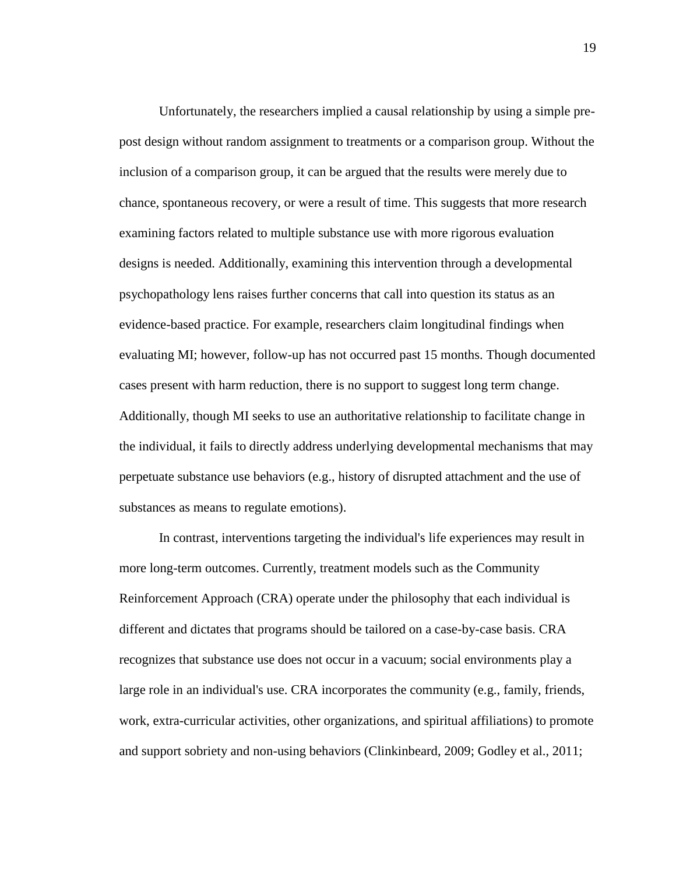Unfortunately, the researchers implied a causal relationship by using a simple prepost design without random assignment to treatments or a comparison group. Without the inclusion of a comparison group, it can be argued that the results were merely due to chance, spontaneous recovery, or were a result of time. This suggests that more research examining factors related to multiple substance use with more rigorous evaluation designs is needed. Additionally, examining this intervention through a developmental psychopathology lens raises further concerns that call into question its status as an evidence-based practice. For example, researchers claim longitudinal findings when evaluating MI; however, follow-up has not occurred past 15 months. Though documented cases present with harm reduction, there is no support to suggest long term change. Additionally, though MI seeks to use an authoritative relationship to facilitate change in the individual, it fails to directly address underlying developmental mechanisms that may perpetuate substance use behaviors (e.g., history of disrupted attachment and the use of substances as means to regulate emotions).

In contrast, interventions targeting the individual's life experiences may result in more long-term outcomes. Currently, treatment models such as the Community Reinforcement Approach (CRA) operate under the philosophy that each individual is different and dictates that programs should be tailored on a case-by-case basis. CRA recognizes that substance use does not occur in a vacuum; social environments play a large role in an individual's use. CRA incorporates the community (e.g., family, friends, work, extra-curricular activities, other organizations, and spiritual affiliations) to promote and support sobriety and non-using behaviors (Clinkinbeard, 2009; Godley et al., 2011;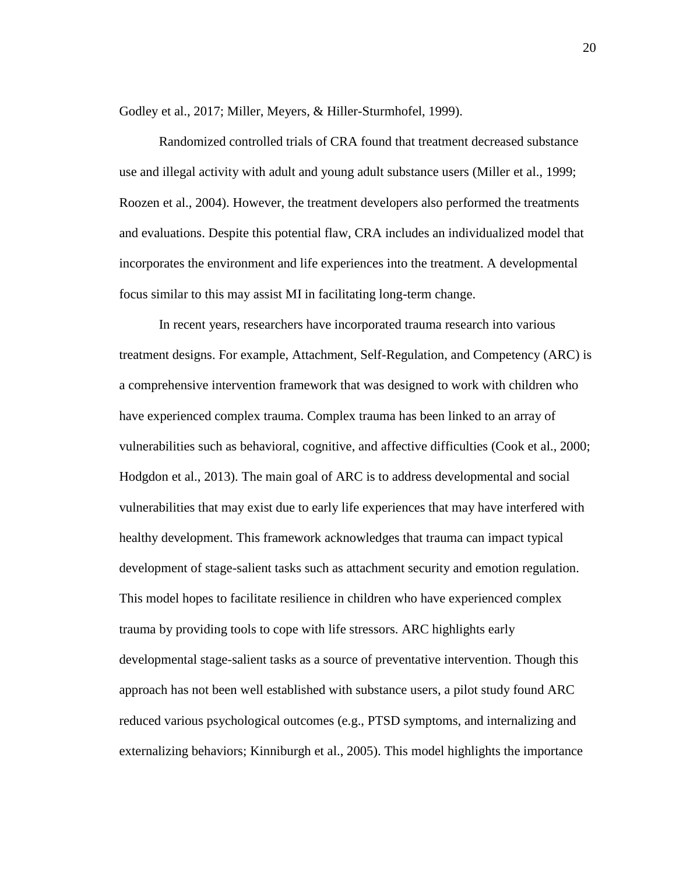Godley et al., 2017; Miller, Meyers, & Hiller-Sturmhofel, 1999).

Randomized controlled trials of CRA found that treatment decreased substance use and illegal activity with adult and young adult substance users (Miller et al., 1999; Roozen et al., 2004). However, the treatment developers also performed the treatments and evaluations. Despite this potential flaw, CRA includes an individualized model that incorporates the environment and life experiences into the treatment. A developmental focus similar to this may assist MI in facilitating long-term change.

In recent years, researchers have incorporated trauma research into various treatment designs. For example, Attachment, Self-Regulation, and Competency (ARC) is a comprehensive intervention framework that was designed to work with children who have experienced complex trauma. Complex trauma has been linked to an array of vulnerabilities such as behavioral, cognitive, and affective difficulties (Cook et al., 2000; Hodgdon et al., 2013). The main goal of ARC is to address developmental and social vulnerabilities that may exist due to early life experiences that may have interfered with healthy development. This framework acknowledges that trauma can impact typical development of stage-salient tasks such as attachment security and emotion regulation. This model hopes to facilitate resilience in children who have experienced complex trauma by providing tools to cope with life stressors. ARC highlights early developmental stage-salient tasks as a source of preventative intervention. Though this approach has not been well established with substance users, a pilot study found ARC reduced various psychological outcomes (e.g., PTSD symptoms, and internalizing and externalizing behaviors; Kinniburgh et al., 2005). This model highlights the importance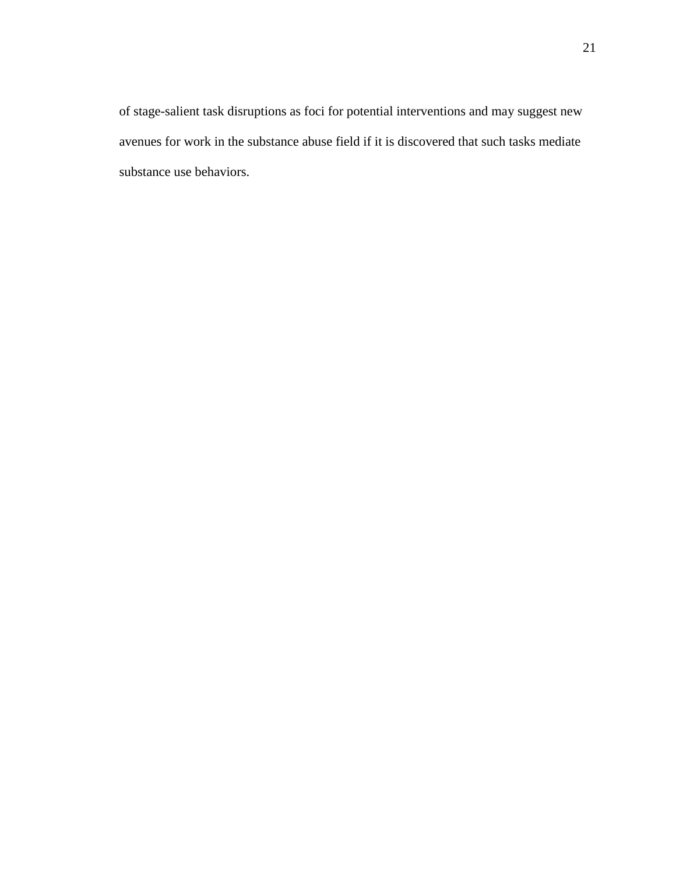of stage-salient task disruptions as foci for potential interventions and may suggest new avenues for work in the substance abuse field if it is discovered that such tasks mediate substance use behaviors.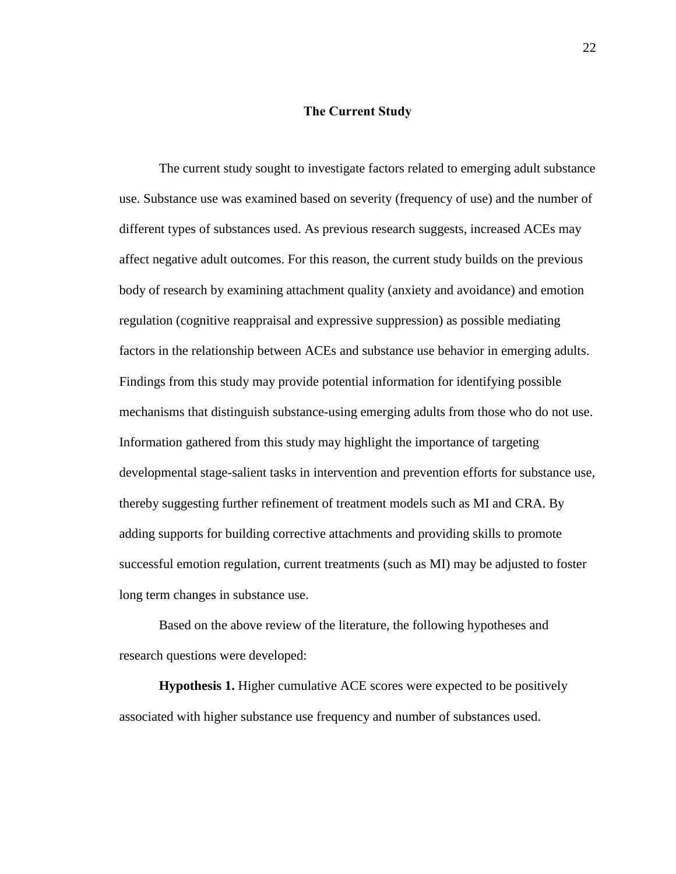#### **The Current Study**

<span id="page-29-0"></span>The current study sought to investigate factors related to emerging adult substance use. Substance use was examined based on severity (frequency of use) and the number of different types of substances used. As previous research suggests, increased ACEs may affect negative adult outcomes. For this reason, the current study builds on the previous body of research by examining attachment quality (anxiety and avoidance) and emotion regulation (cognitive reappraisal and expressive suppression) as possible mediating factors in the relationship between ACEs and substance use behavior in emerging adults. Findings from this study may provide potential information for identifying possible mechanisms that distinguish substance-using emerging adults from those who do not use. Information gathered from this study may highlight the importance of targeting developmental stage-salient tasks in intervention and prevention efforts for substance use, thereby suggesting further refinement of treatment models such as MI and CRA. By adding supports for building corrective attachments and providing skills to promote successful emotion regulation, current treatments (such as MI) may be adjusted to foster long term changes in substance use.

Based on the above review of the literature, the following hypotheses and research questions were developed:

**Hypothesis 1.** Higher cumulative ACE scores were expected to be positively associated with higher substance use frequency and number of substances used.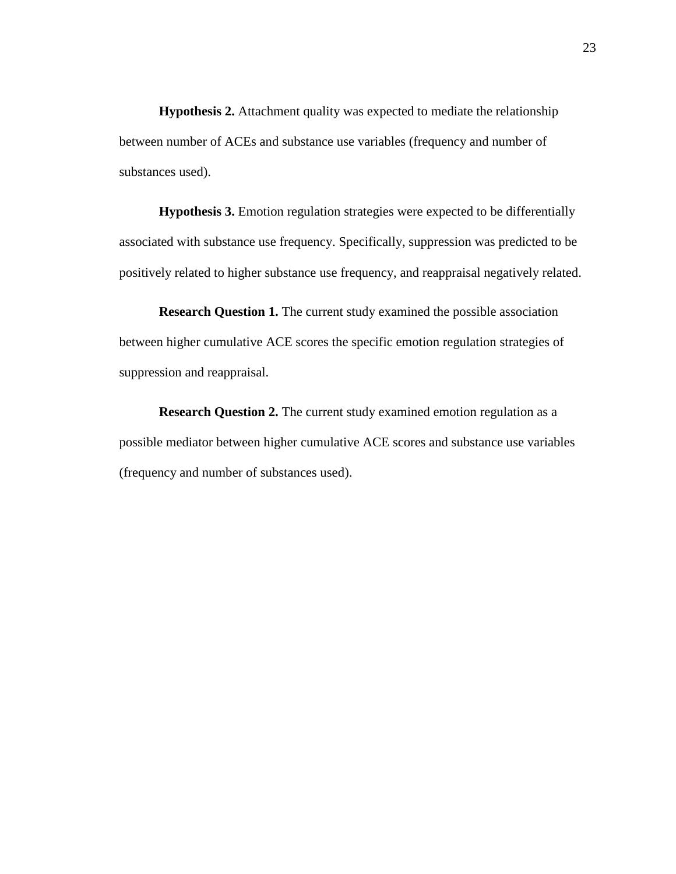**Hypothesis 2.** Attachment quality was expected to mediate the relationship between number of ACEs and substance use variables (frequency and number of substances used).

**Hypothesis 3.** Emotion regulation strategies were expected to be differentially associated with substance use frequency. Specifically, suppression was predicted to be positively related to higher substance use frequency, and reappraisal negatively related.

**Research Question 1.** The current study examined the possible association between higher cumulative ACE scores the specific emotion regulation strategies of suppression and reappraisal.

**Research Question 2.** The current study examined emotion regulation as a possible mediator between higher cumulative ACE scores and substance use variables (frequency and number of substances used).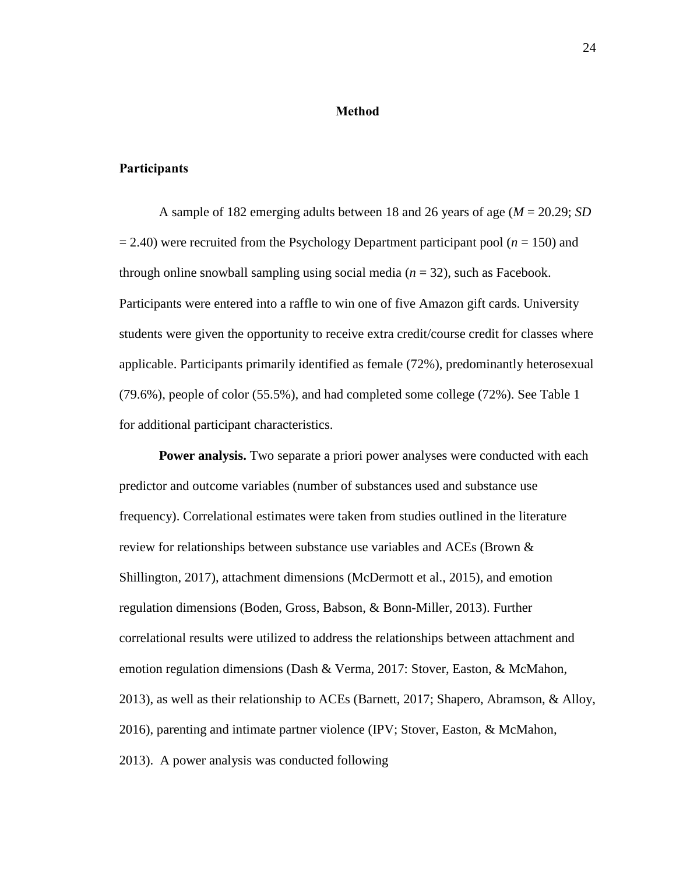#### **Method**

#### <span id="page-31-1"></span><span id="page-31-0"></span>**Participants**

A sample of 182 emerging adults between 18 and 26 years of age (*M* = 20.29; *SD* = 2.40) were recruited from the Psychology Department participant pool (*n* = 150) and through online snowball sampling using social media  $(n = 32)$ , such as Facebook. Participants were entered into a raffle to win one of five Amazon gift cards. University students were given the opportunity to receive extra credit/course credit for classes where applicable. Participants primarily identified as female (72%), predominantly heterosexual (79.6%), people of color (55.5%), and had completed some college (72%). See Table 1 for additional participant characteristics.

<span id="page-31-2"></span>**Power analysis.** Two separate a priori power analyses were conducted with each predictor and outcome variables (number of substances used and substance use frequency). Correlational estimates were taken from studies outlined in the literature review for relationships between substance use variables and ACEs (Brown & Shillington, 2017), attachment dimensions (McDermott et al., 2015), and emotion regulation dimensions (Boden, Gross, Babson, & Bonn-Miller, 2013). Further correlational results were utilized to address the relationships between attachment and emotion regulation dimensions (Dash & Verma, 2017: Stover, Easton, & McMahon, 2013), as well as their relationship to ACEs (Barnett, 2017; Shapero, Abramson, & Alloy, 2016), parenting and intimate partner violence (IPV; Stover, Easton, & McMahon, 2013). A power analysis was conducted following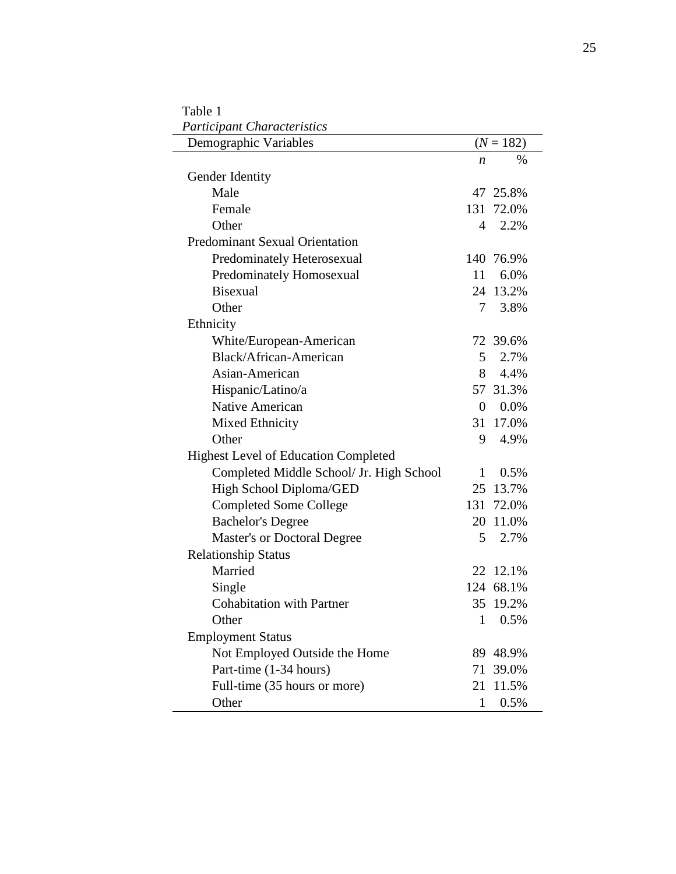| Demographic Variables                       |                | $(N = 182)$ |
|---------------------------------------------|----------------|-------------|
|                                             | n              | %           |
| Gender Identity                             |                |             |
| Male                                        |                | 47 25.8%    |
| Female                                      |                | 131 72.0%   |
| Other                                       | 4              | 2.2%        |
| <b>Predominant Sexual Orientation</b>       |                |             |
| Predominately Heterosexual                  |                | 140 76.9%   |
| Predominately Homosexual                    | 11             | 6.0%        |
| <b>Bisexual</b>                             |                | 24 13.2%    |
| Other                                       |                | 7 3.8%      |
| Ethnicity                                   |                |             |
| White/European-American                     |                | 72 39.6%    |
| Black/African-American                      | 5 <sup>5</sup> | 2.7%        |
| Asian-American                              |                | 8 4.4%      |
| Hispanic/Latino/a                           |                | 57 31.3%    |
| Native American                             |                | $0.0\%$     |
| Mixed Ethnicity                             |                | 31 17.0%    |
| Other                                       | 9              | 4.9%        |
| <b>Highest Level of Education Completed</b> |                |             |
| Completed Middle School/ Jr. High School    | $\mathbf{1}$   | 0.5%        |
| High School Diploma/GED                     |                | 25 13.7%    |
| <b>Completed Some College</b>               |                | 131 72.0%   |
| <b>Bachelor's Degree</b>                    |                | 20 11.0%    |
| <b>Master's or Doctoral Degree</b>          | 5              | 2.7%        |
| <b>Relationship Status</b>                  |                |             |
| Married                                     |                | 22 12.1%    |
| Single                                      |                | 124 68.1%   |
| <b>Cohabitation with Partner</b>            | 35             | 19.2%       |
| Other                                       | $\mathbf{1}$   | 0.5%        |
| <b>Employment Status</b>                    |                |             |
| Not Employed Outside the Home               | 89             | 48.9%       |
| Part-time (1-34 hours)                      | 71             | 39.0%       |
| Full-time (35 hours or more)                | 21             | 11.5%       |
| Other                                       | 1              | 0.5%        |

<span id="page-32-0"></span>Table 1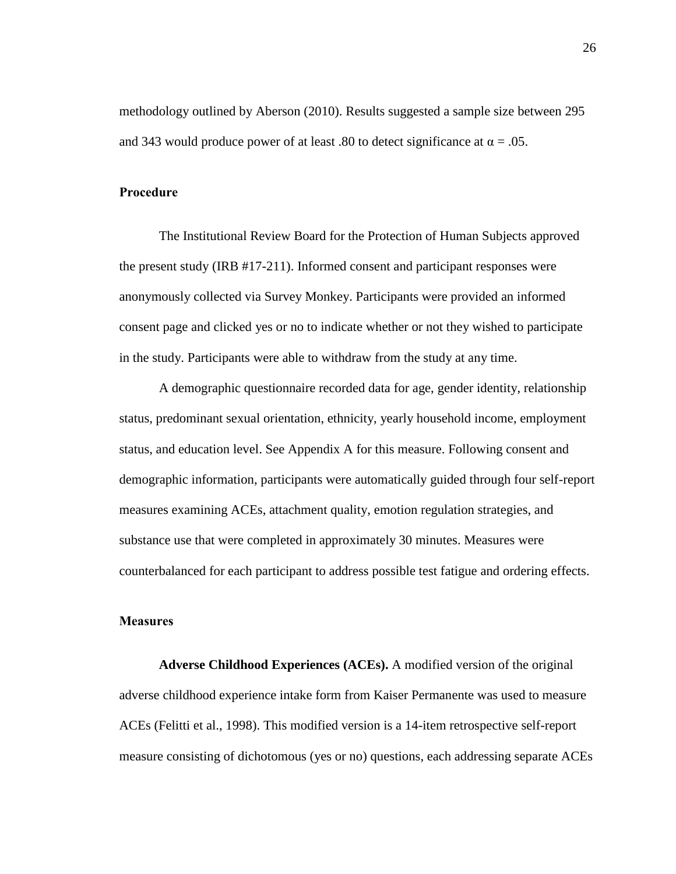methodology outlined by Aberson (2010). Results suggested a sample size between 295 and 343 would produce power of at least .80 to detect significance at  $\alpha = .05$ .

#### <span id="page-33-0"></span>**Procedure**

The Institutional Review Board for the Protection of Human Subjects approved the present study (IRB #17-211). Informed consent and participant responses were anonymously collected via Survey Monkey. Participants were provided an informed consent page and clicked yes or no to indicate whether or not they wished to participate in the study. Participants were able to withdraw from the study at any time.

A demographic questionnaire recorded data for age, gender identity, relationship status, predominant sexual orientation, ethnicity, yearly household income, employment status, and education level. See Appendix A for this measure. Following consent and demographic information, participants were automatically guided through four self-report measures examining ACEs, attachment quality, emotion regulation strategies, and substance use that were completed in approximately 30 minutes. Measures were counterbalanced for each participant to address possible test fatigue and ordering effects.

#### <span id="page-33-1"></span>**Measures**

<span id="page-33-2"></span>**Adverse Childhood Experiences (ACEs).** A modified version of the original adverse childhood experience intake form from Kaiser Permanente was used to measure ACEs (Felitti et al., 1998). This modified version is a 14-item retrospective self-report measure consisting of dichotomous (yes or no) questions, each addressing separate ACEs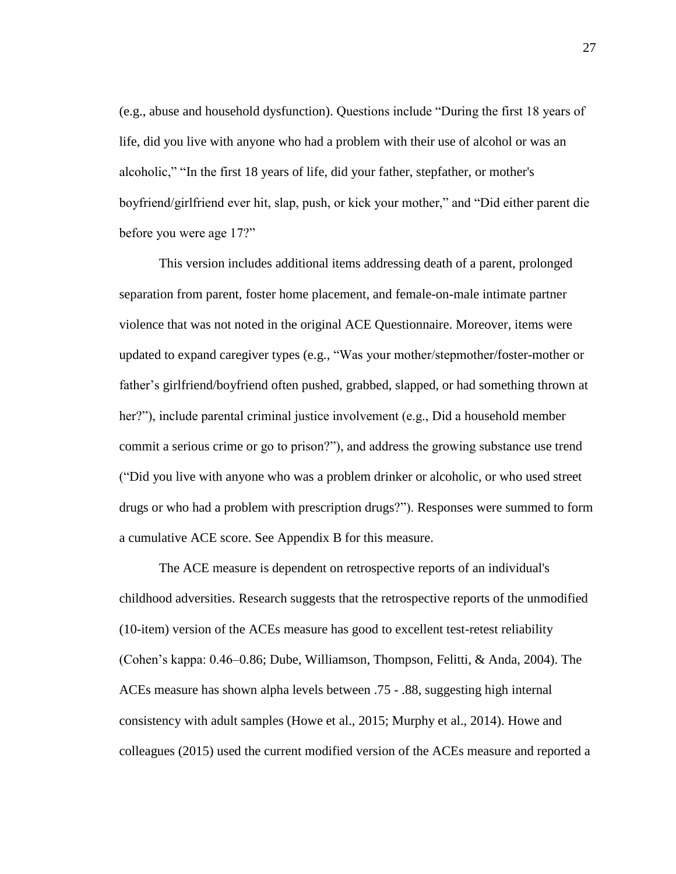(e.g., abuse and household dysfunction). Questions include "During the first 18 years of life, did you live with anyone who had a problem with their use of alcohol or was an alcoholic," "In the first 18 years of life, did your father, stepfather, or mother's boyfriend/girlfriend ever hit, slap, push, or kick your mother," and "Did either parent die before you were age 17?"

This version includes additional items addressing death of a parent, prolonged separation from parent, foster home placement, and female-on-male intimate partner violence that was not noted in the original ACE Questionnaire. Moreover, items were updated to expand caregiver types (e.g., "Was your mother/stepmother/foster-mother or father's girlfriend/boyfriend often pushed, grabbed, slapped, or had something thrown at her?"), include parental criminal justice involvement (e.g., Did a household member commit a serious crime or go to prison?"), and address the growing substance use trend ("Did you live with anyone who was a problem drinker or alcoholic, or who used street drugs or who had a problem with prescription drugs?"). Responses were summed to form a cumulative ACE score. See Appendix B for this measure.

The ACE measure is dependent on retrospective reports of an individual's childhood adversities. Research suggests that the retrospective reports of the unmodified (10-item) version of the ACEs measure has good to excellent test-retest reliability (Cohen's kappa: 0.46–0.86; Dube, Williamson, Thompson, Felitti, & Anda, 2004). The ACEs measure has shown alpha levels between .75 - .88, suggesting high internal consistency with adult samples (Howe et al., 2015; Murphy et al., 2014). Howe and colleagues (2015) used the current modified version of the ACEs measure and reported a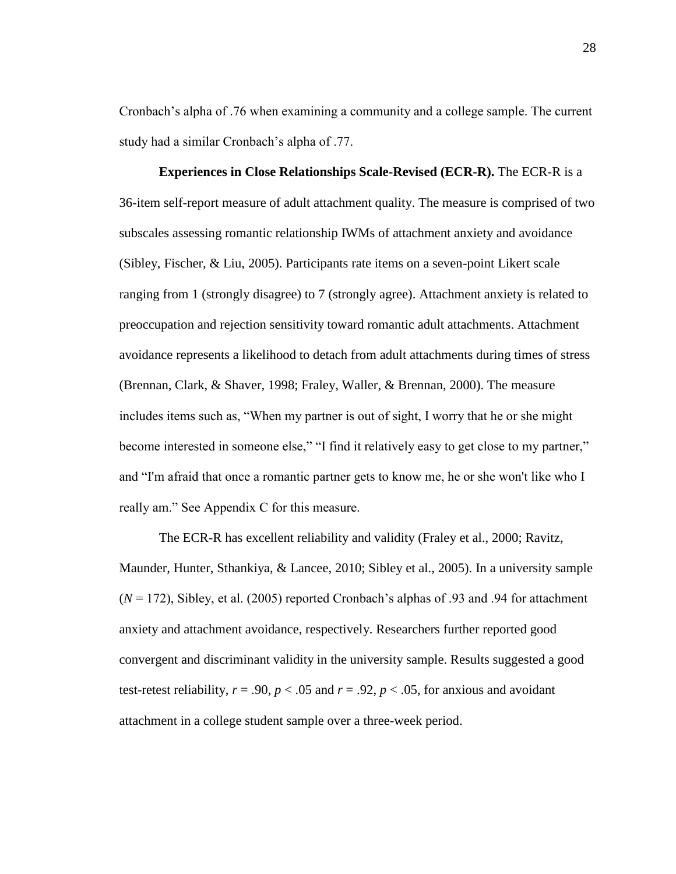Cronbach's alpha of .76 when examining a community and a college sample. The current study had a similar Cronbach's alpha of .77.

<span id="page-35-0"></span>**Experiences in Close Relationships Scale-Revised (ECR-R).** The ECR-R is a 36-item self-report measure of adult attachment quality. The measure is comprised of two subscales assessing romantic relationship IWMs of attachment anxiety and avoidance (Sibley, Fischer, & Liu, 2005). Participants rate items on a seven-point Likert scale ranging from 1 (strongly disagree) to 7 (strongly agree). Attachment anxiety is related to preoccupation and rejection sensitivity toward romantic adult attachments. Attachment avoidance represents a likelihood to detach from adult attachments during times of stress (Brennan, Clark, & Shaver, 1998; Fraley, Waller, & Brennan, 2000). The measure includes items such as, "When my partner is out of sight, I worry that he or she might become interested in someone else," "I find it relatively easy to get close to my partner," and "I'm afraid that once a romantic partner gets to know me, he or she won't like who I really am." See Appendix C for this measure.

The ECR-R has excellent reliability and validity (Fraley et al., 2000; Ravitz, Maunder, Hunter, Sthankiya, & Lancee, 2010; Sibley et al., 2005). In a university sample  $(N = 172)$ , Sibley, et al. (2005) reported Cronbach's alphas of .93 and .94 for attachment anxiety and attachment avoidance, respectively. Researchers further reported good convergent and discriminant validity in the university sample. Results suggested a good test-retest reliability,  $r = .90$ ,  $p < .05$  and  $r = .92$ ,  $p < .05$ , for anxious and avoidant attachment in a college student sample over a three-week period.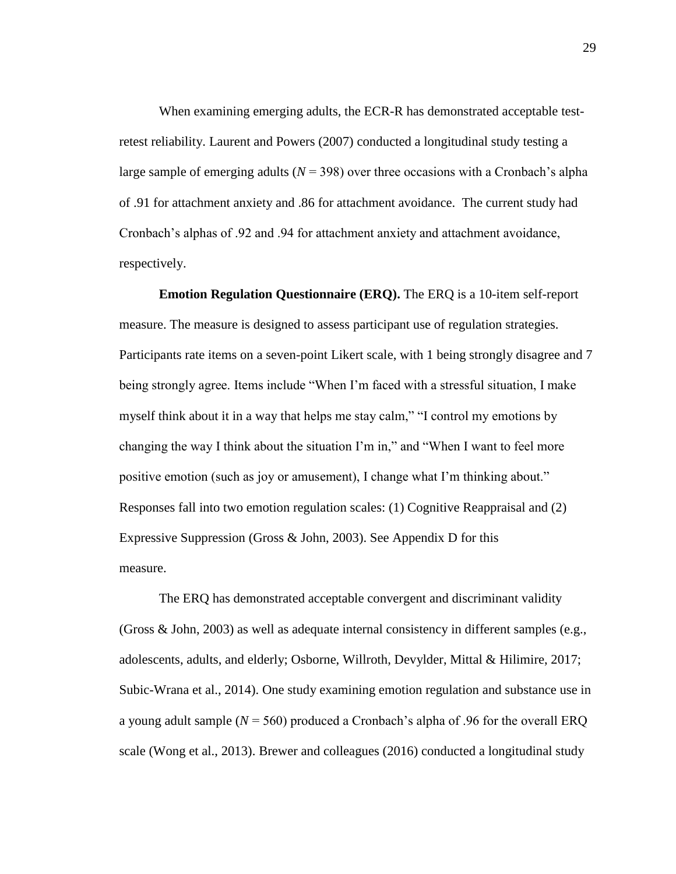When examining emerging adults, the ECR-R has demonstrated acceptable testretest reliability. Laurent and Powers (2007) conducted a longitudinal study testing a large sample of emerging adults ( $N = 398$ ) over three occasions with a Cronbach's alpha of .91 for attachment anxiety and .86 for attachment avoidance. The current study had Cronbach's alphas of .92 and .94 for attachment anxiety and attachment avoidance, respectively.

**Emotion Regulation Questionnaire (ERQ).** The ERQ is a 10-item self-report measure. The measure is designed to assess participant use of regulation strategies. Participants rate items on a seven-point Likert scale, with 1 being strongly disagree and 7 being strongly agree. Items include "When I'm faced with a stressful situation, I make myself think about it in a way that helps me stay calm," "I control my emotions by changing the way I think about the situation I'm in," and "When I want to feel more positive emotion (such as joy or amusement), I change what I'm thinking about." Responses fall into two emotion regulation scales: (1) Cognitive Reappraisal and (2) Expressive Suppression (Gross & John, 2003). See Appendix D for this measure.

The ERQ has demonstrated acceptable convergent and discriminant validity (Gross & John, 2003) as well as adequate internal consistency in different samples (e.g., adolescents, adults, and elderly; Osborne, Willroth, Devylder, Mittal & Hilimire, 2017; Subic-Wrana et al., 2014). One study examining emotion regulation and substance use in a young adult sample  $(N = 560)$  produced a Cronbach's alpha of .96 for the overall ERQ scale (Wong et al., 2013). Brewer and colleagues (2016) conducted a longitudinal study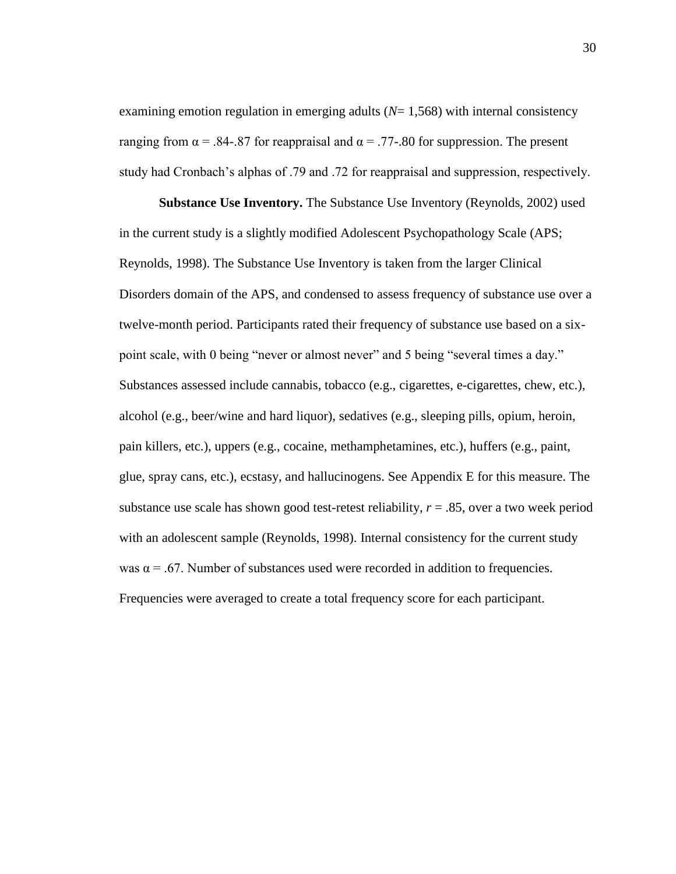examining emotion regulation in emerging adults (*N*= 1,568) with internal consistency ranging from  $\alpha = .84-.87$  for reappraisal and  $\alpha = .77-.80$  for suppression. The present study had Cronbach's alphas of .79 and .72 for reappraisal and suppression, respectively.

**Substance Use Inventory.** The Substance Use Inventory (Reynolds, 2002) used in the current study is a slightly modified Adolescent Psychopathology Scale (APS; Reynolds, 1998). The Substance Use Inventory is taken from the larger Clinical Disorders domain of the APS, and condensed to assess frequency of substance use over a twelve-month period. Participants rated their frequency of substance use based on a sixpoint scale, with 0 being "never or almost never" and 5 being "several times a day." Substances assessed include cannabis, tobacco (e.g., cigarettes, e-cigarettes, chew, etc.), alcohol (e.g., beer/wine and hard liquor), sedatives (e.g., sleeping pills, opium, heroin, pain killers, etc.), uppers (e.g., cocaine, methamphetamines, etc.), huffers (e.g., paint, glue, spray cans, etc.), ecstasy, and hallucinogens. See Appendix E for this measure. The substance use scale has shown good test-retest reliability, *r* = .85, over a two week period with an adolescent sample (Reynolds, 1998). Internal consistency for the current study was  $\alpha$  = .67. Number of substances used were recorded in addition to frequencies. Frequencies were averaged to create a total frequency score for each participant.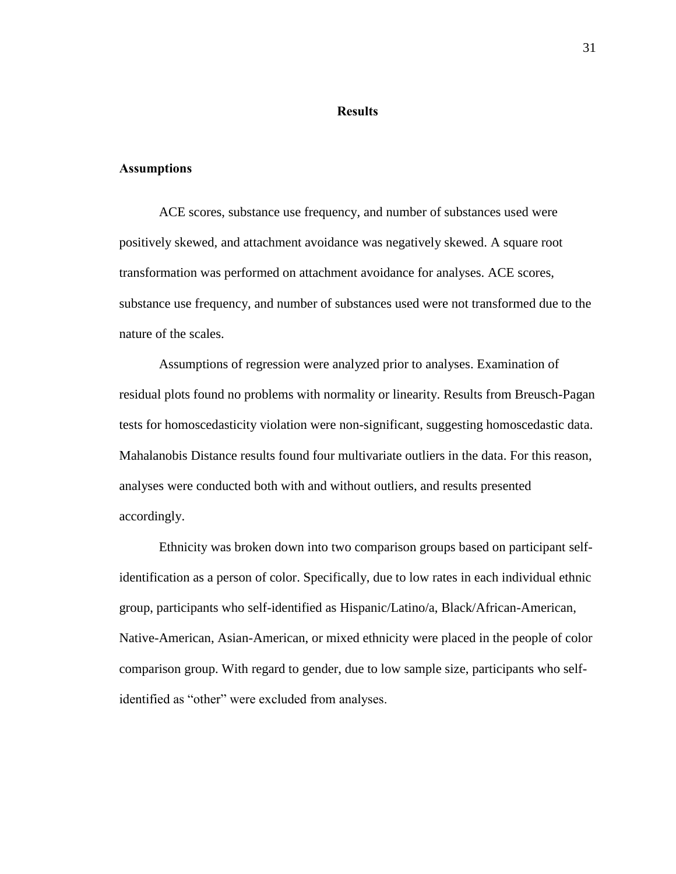### **Results**

## **Assumptions**

ACE scores, substance use frequency, and number of substances used were positively skewed, and attachment avoidance was negatively skewed. A square root transformation was performed on attachment avoidance for analyses. ACE scores, substance use frequency, and number of substances used were not transformed due to the nature of the scales.

Assumptions of regression were analyzed prior to analyses. Examination of residual plots found no problems with normality or linearity. Results from Breusch-Pagan tests for homoscedasticity violation were non-significant, suggesting homoscedastic data. Mahalanobis Distance results found four multivariate outliers in the data. For this reason, analyses were conducted both with and without outliers, and results presented accordingly.

Ethnicity was broken down into two comparison groups based on participant selfidentification as a person of color. Specifically, due to low rates in each individual ethnic group, participants who self-identified as Hispanic/Latino/a, Black/African-American, Native-American, Asian-American, or mixed ethnicity were placed in the people of color comparison group. With regard to gender, due to low sample size, participants who selfidentified as "other" were excluded from analyses.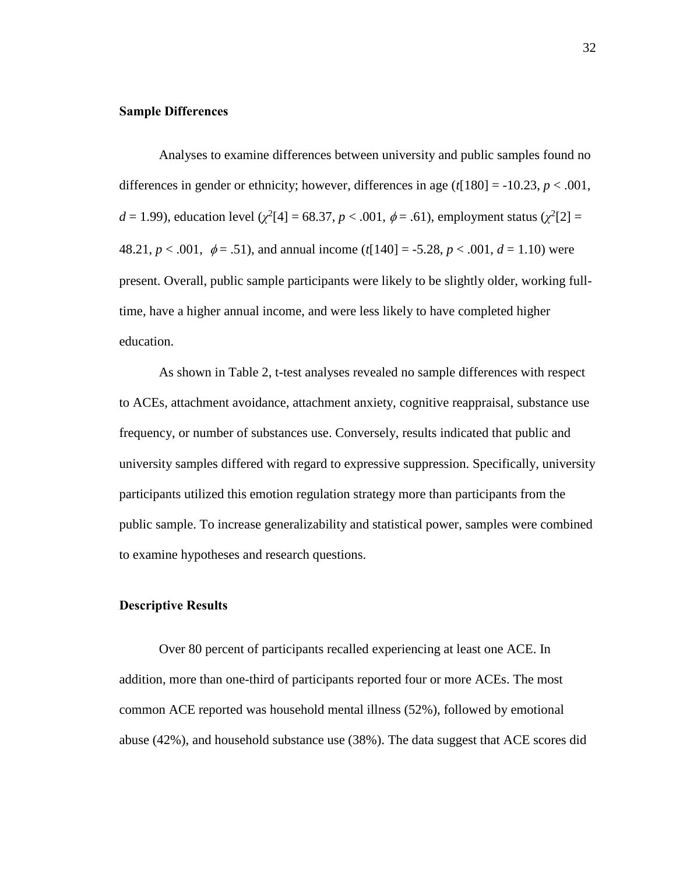### **Sample Differences**

Analyses to examine differences between university and public samples found no differences in gender or ethnicity; however, differences in age  $(t[180] = -10.23, p < .001$ , *d* = 1.99), education level ( $\chi^2$ [4] = 68.37, *p* < .001,  $\phi$  = .61), employment status ( $\chi^2$ [2] = 48.21,  $p < .001$ ,  $\phi = .51$ ), and annual income ( $t[140] = .5.28$ ,  $p < .001$ ,  $d = 1.10$ ) were present. Overall, public sample participants were likely to be slightly older, working fulltime, have a higher annual income, and were less likely to have completed higher education.

As shown in Table 2, t-test analyses revealed no sample differences with respect to ACEs, attachment avoidance, attachment anxiety, cognitive reappraisal, substance use frequency, or number of substances use. Conversely, results indicated that public and university samples differed with regard to expressive suppression. Specifically, university participants utilized this emotion regulation strategy more than participants from the public sample. To increase generalizability and statistical power, samples were combined to examine hypotheses and research questions.

### **Descriptive Results**

Over 80 percent of participants recalled experiencing at least one ACE. In addition, more than one-third of participants reported four or more ACEs. The most common ACE reported was household mental illness (52%), followed by emotional abuse (42%), and household substance use (38%). The data suggest that ACE scores did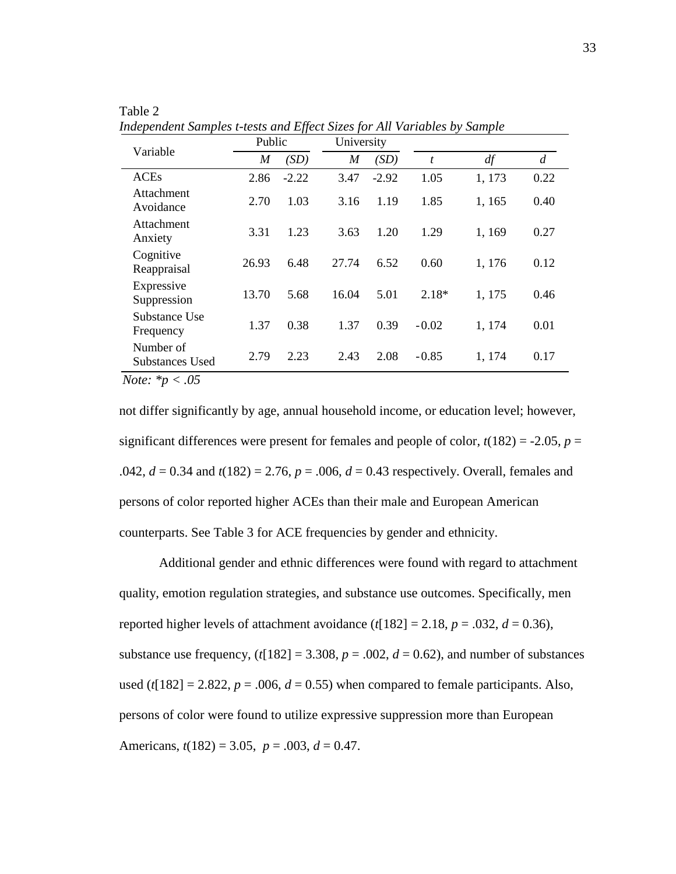|                                                                                     | Public |         | University       |         |         |        |                |
|-------------------------------------------------------------------------------------|--------|---------|------------------|---------|---------|--------|----------------|
| Variable                                                                            | M      | (SD)    | $\boldsymbol{M}$ | (SD)    | t       | df     | $\overline{d}$ |
| <b>ACEs</b>                                                                         | 2.86   | $-2.22$ | 3.47             | $-2.92$ | 1.05    | 1,173  | 0.22           |
| Attachment<br>Avoidance                                                             | 2.70   | 1.03    | 3.16             | 1.19    | 1.85    | 1,165  | 0.40           |
| Attachment<br>Anxiety                                                               | 3.31   | 1.23    | 3.63             | 1.20    | 1.29    | 1,169  | 0.27           |
| Cognitive<br>Reappraisal                                                            | 26.93  | 6.48    | 27.74            | 6.52    | 0.60    | 1,176  | 0.12           |
| Expressive<br>Suppression                                                           | 13.70  | 5.68    | 16.04            | 5.01    | $2.18*$ | 1,175  | 0.46           |
| Substance Use<br>Frequency                                                          | 1.37   | 0.38    | 1.37             | 0.39    | $-0.02$ | 1, 174 | 0.01           |
| Number of<br>Substances Used                                                        | 2.79   | 2.23    | 2.43             | 2.08    | $-0.85$ | 1, 174 | 0.17           |
| $\overline{M_{\text{min}}}$ $\overline{M_{\text{min}}}$ $\overline{M_{\text{min}}}$ |        |         |                  |         |         |        |                |

Table 2 *Independent Samples t-tests and Effect Sizes for All Variables by Sample*

*Note: \*p < .05*

not differ significantly by age, annual household income, or education level; however, significant differences were present for females and people of color,  $t(182) = -2.05$ ,  $p =$ .042, *d* = 0.34 and *t*(182) = 2.76, *p* = .006, *d* = 0.43 respectively. Overall, females and persons of color reported higher ACEs than their male and European American counterparts. See Table 3 for ACE frequencies by gender and ethnicity.

Additional gender and ethnic differences were found with regard to attachment quality, emotion regulation strategies, and substance use outcomes. Specifically, men reported higher levels of attachment avoidance  $(t[182] = 2.18, p = .032, d = 0.36)$ , substance use frequency,  $(t[182] = 3.308, p = .002, d = 0.62)$ , and number of substances used ( $t[182] = 2.822$ ,  $p = .006$ ,  $d = 0.55$ ) when compared to female participants. Also, persons of color were found to utilize expressive suppression more than European Americans,  $t(182) = 3.05$ ,  $p = .003$ ,  $d = 0.47$ .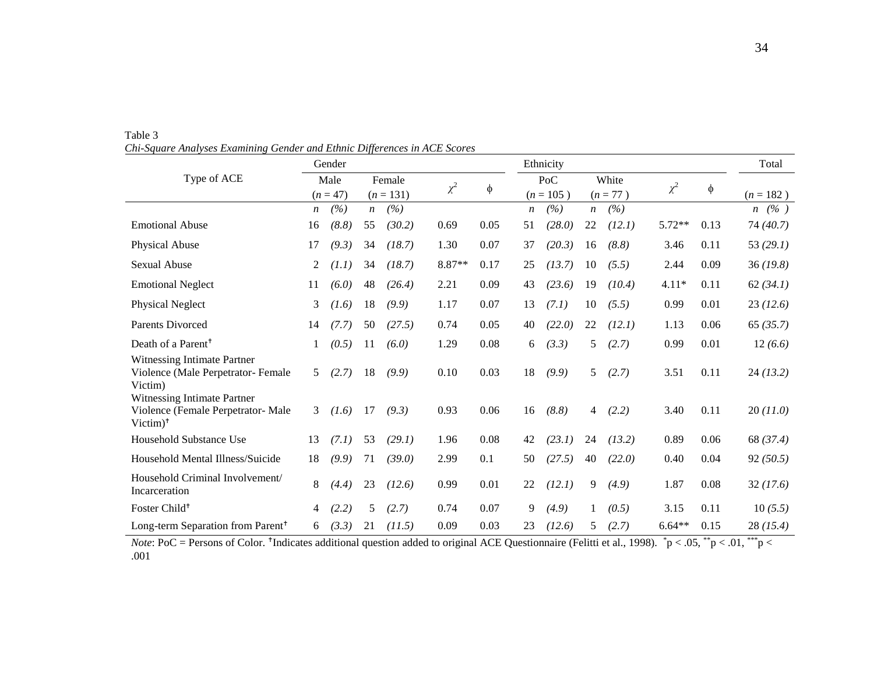|                                                                                             |    | Gender     |                  |             |          |        |    | Ethnicity   |                  |            |          |      | Total       |
|---------------------------------------------------------------------------------------------|----|------------|------------------|-------------|----------|--------|----|-------------|------------------|------------|----------|------|-------------|
| Type of ACE                                                                                 |    | Male       |                  | Female      | $\chi^2$ |        |    | PoC         |                  | White      | $\chi^2$ |      |             |
|                                                                                             |    | $(n = 47)$ |                  | $(n = 131)$ |          | $\phi$ |    | $(n = 105)$ |                  | $(n = 77)$ |          | φ    | $(n = 182)$ |
|                                                                                             | n  | (%)        | $\boldsymbol{n}$ | (%)         |          |        | n  | (%)         | $\boldsymbol{n}$ | (%)        |          |      | $n \ (\%)$  |
| <b>Emotional Abuse</b>                                                                      | 16 | (8.8)      | 55               | (30.2)      | 0.69     | 0.05   | 51 | (28.0)      | 22               | (12.1)     | $5.72**$ | 0.13 | 74(40.7)    |
| Physical Abuse                                                                              | 17 | (9.3)      | 34               | (18.7)      | 1.30     | 0.07   | 37 | (20.3)      | 16               | (8.8)      | 3.46     | 0.11 | 53 $(29.1)$ |
| <b>Sexual Abuse</b>                                                                         | 2  | (1.1)      | 34               | (18.7)      | 8.87**   | 0.17   | 25 | (13.7)      | 10               | (5.5)      | 2.44     | 0.09 | 36(19.8)    |
| <b>Emotional Neglect</b>                                                                    | 11 | (6.0)      | 48               | (26.4)      | 2.21     | 0.09   | 43 | (23.6)      | 19               | (10.4)     | $4.11*$  | 0.11 | 62 (34.1)   |
| Physical Neglect                                                                            | 3  | (1.6)      | 18               | (9.9)       | 1.17     | 0.07   | 13 | (7.1)       | 10               | (5.5)      | 0.99     | 0.01 | 23(12.6)    |
| <b>Parents Divorced</b>                                                                     | 14 | (7.7)      | 50               | (27.5)      | 0.74     | 0.05   | 40 | (22.0)      | 22               | (12.1)     | 1.13     | 0.06 | 65(35.7)    |
| Death of a Parent <sup>+</sup>                                                              |    | (0.5)      | 11               | (6.0)       | 1.29     | 0.08   | 6  | (3.3)       | 5                | (2.7)      | 0.99     | 0.01 | 12(6.6)     |
| Witnessing Intimate Partner<br>Violence (Male Perpetrator- Female<br>Victim)                | 5  | (2.7)      | 18               | (9.9)       | 0.10     | 0.03   | 18 | (9.9)       | 5                | (2.7)      | 3.51     | 0.11 | 24(13.2)    |
| Witnessing Intimate Partner<br>Violence (Female Perpetrator- Male<br>$Victim)$ <sup>†</sup> | 3  | (1.6)      | 17               | (9.3)       | 0.93     | 0.06   | 16 | (8.8)       | $\overline{4}$   | (2.2)      | 3.40     | 0.11 | 20(11.0)    |
| Household Substance Use                                                                     | 13 | (7.1)      | 53               | (29.1)      | 1.96     | 0.08   | 42 | (23.1)      | 24               | (13.2)     | 0.89     | 0.06 | 68 (37.4)   |
| Household Mental Illness/Suicide                                                            | 18 | (9.9)      | 71               | (39.0)      | 2.99     | 0.1    | 50 | (27.5)      | 40               | (22.0)     | 0.40     | 0.04 | 92(50.5)    |
| Household Criminal Involvement/<br>Incarceration                                            | 8  | (4.4)      | 23               | (12.6)      | 0.99     | 0.01   | 22 | (12.1)      | 9                | (4.9)      | 1.87     | 0.08 | 32(17.6)    |
| Foster Child <sup>+</sup>                                                                   | 4  | (2.2)      | 5                | (2.7)       | 0.74     | 0.07   | 9  | (4.9)       | 1                | (0.5)      | 3.15     | 0.11 | 10(5.5)     |
| Long-term Separation from Parent <sup>†</sup>                                               | 6  | (3.3)      | 21               | (11.5)      | 0.09     | 0.03   | 23 | (12.6)      | 5                | (2.7)      | $6.64**$ | 0.15 | 28(15.4)    |

 Table 3  *Chi-Square Analyses Examining Gender and Ethnic Differences in ACE Scores*

*Note*: PoC = Persons of Color. <sup>†</sup>Indicates additional question added to original ACE Questionnaire (Felitti et al., 1998).  $^*p < .05$ ,  $^*p < .01$ ,  $^{**p} <$ .001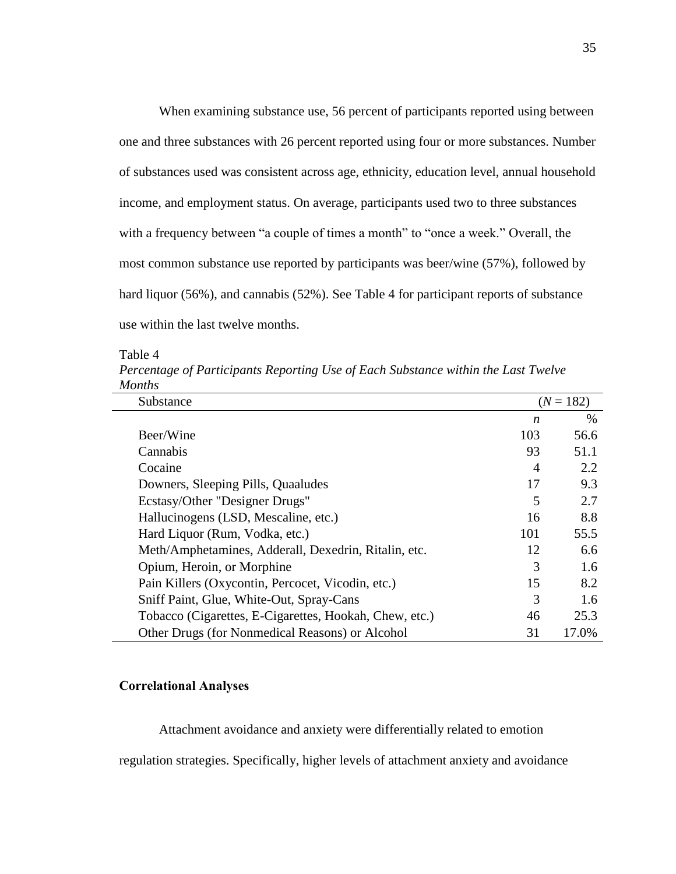When examining substance use, 56 percent of participants reported using between one and three substances with 26 percent reported using four or more substances. Number of substances used was consistent across age, ethnicity, education level, annual household income, and employment status. On average, participants used two to three substances with a frequency between "a couple of times a month" to "once a week." Overall, the most common substance use reported by participants was beer/wine (57%), followed by hard liquor (56%), and cannabis (52%). See Table 4 for participant reports of substance use within the last twelve months.

Table 4

*Percentage of Participants Reporting Use of Each Substance within the Last Twelve Months*

| Substance                                              |     | $(N = 182)$ |
|--------------------------------------------------------|-----|-------------|
|                                                        | n   | $\%$        |
| Beer/Wine                                              | 103 | 56.6        |
| Cannabis                                               | 93  | 51.1        |
| Cocaine                                                | 4   | 2.2         |
| Downers, Sleeping Pills, Quaaludes                     | 17  | 9.3         |
| Ecstasy/Other "Designer Drugs"                         | 5   | 2.7         |
| Hallucinogens (LSD, Mescaline, etc.)                   | 16  | 8.8         |
| Hard Liquor (Rum, Vodka, etc.)                         | 101 | 55.5        |
| Meth/Amphetamines, Adderall, Dexedrin, Ritalin, etc.   | 12  | 6.6         |
| Opium, Heroin, or Morphine                             | 3   | 1.6         |
| Pain Killers (Oxycontin, Percocet, Vicodin, etc.)      | 15  | 8.2         |
| Sniff Paint, Glue, White-Out, Spray-Cans               | 3   | 1.6         |
| Tobacco (Cigarettes, E-Cigarettes, Hookah, Chew, etc.) | 46  | 25.3        |
| Other Drugs (for Nonmedical Reasons) or Alcohol        | 31  | 17.0%       |

# **Correlational Analyses**

Attachment avoidance and anxiety were differentially related to emotion

regulation strategies. Specifically, higher levels of attachment anxiety and avoidance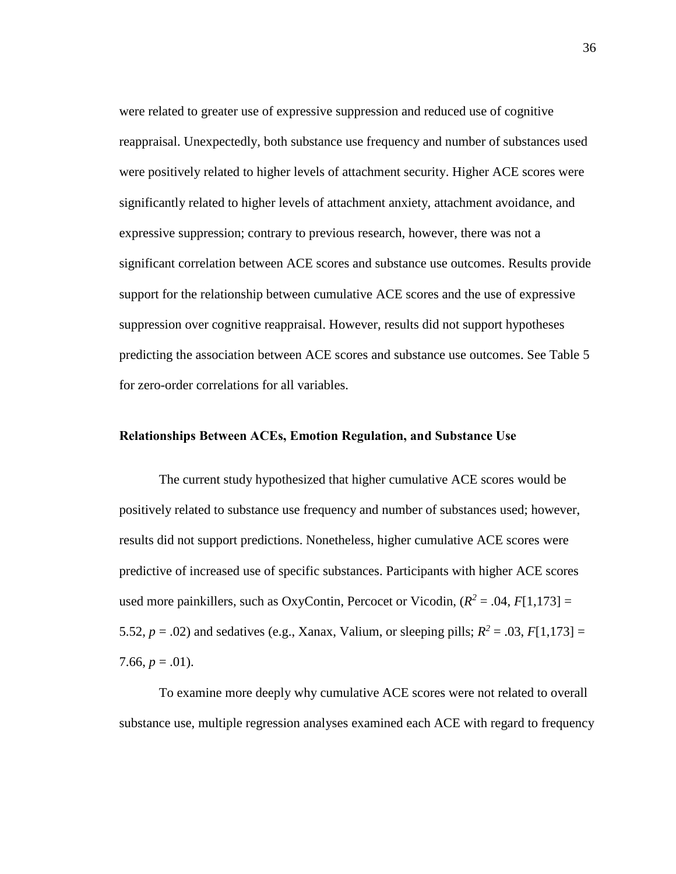were related to greater use of expressive suppression and reduced use of cognitive reappraisal. Unexpectedly, both substance use frequency and number of substances used were positively related to higher levels of attachment security. Higher ACE scores were significantly related to higher levels of attachment anxiety, attachment avoidance, and expressive suppression; contrary to previous research, however, there was not a significant correlation between ACE scores and substance use outcomes. Results provide support for the relationship between cumulative ACE scores and the use of expressive suppression over cognitive reappraisal. However, results did not support hypotheses predicting the association between ACE scores and substance use outcomes. See Table 5 for zero-order correlations for all variables.

## **Relationships Between ACEs, Emotion Regulation, and Substance Use**

The current study hypothesized that higher cumulative ACE scores would be positively related to substance use frequency and number of substances used; however, results did not support predictions. Nonetheless, higher cumulative ACE scores were predictive of increased use of specific substances. Participants with higher ACE scores used more painkillers, such as OxyContin, Percocet or Vicodin,  $(R^2 = .04, F[1,173] =$ 5.52,  $p = .02$ ) and sedatives (e.g., Xanax, Valium, or sleeping pills;  $R^2 = .03$ ,  $F[1,173] =$ 7.66,  $p = .01$ ).

To examine more deeply why cumulative ACE scores were not related to overall substance use, multiple regression analyses examined each ACE with regard to frequency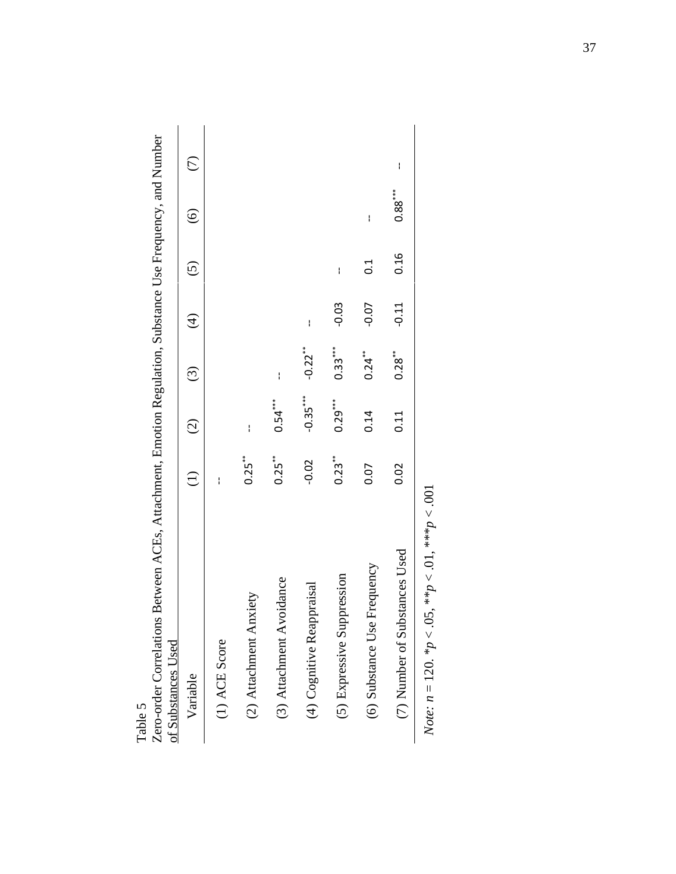| Variable                      | Ξ                    | $\widehat{C}$ | $\odot$              | $\widehat{\mathcal{F}}$ | $\widehat{\odot}$ | $\widehat{\odot}$ |   |
|-------------------------------|----------------------|---------------|----------------------|-------------------------|-------------------|-------------------|---|
| $(1)$ ACE Score               | ł                    |               |                      |                         |                   |                   |   |
| (2) Attachment Anxiety        | $0.25***$            | $\mathbf{I}$  |                      |                         |                   |                   |   |
| (3) Attachment Avoidance      | $0.25$ <sup>**</sup> | $0.54***$     | ł                    |                         |                   |                   |   |
| (4) Cognitive Reappraisal     | $-0.02$              | $-0.35***$    | $-0.22**$            | ł                       |                   |                   |   |
| (5) Expressive Suppression    | $0.23***$            | $0.29***$     | $0.33***$            | $-0.03$                 | I                 |                   |   |
| (6) Substance Use Frequency   | 0.07                 | 0.14          | $0.24$ <sup>**</sup> | $-0.07$                 | $\frac{1}{2}$     | $\mathbf{I}$      |   |
| (7) Number of Substances Used | 0.02                 | 0.11          | $0.28***$            | $-0.11$                 | 0.16              | $0.88***$         | I |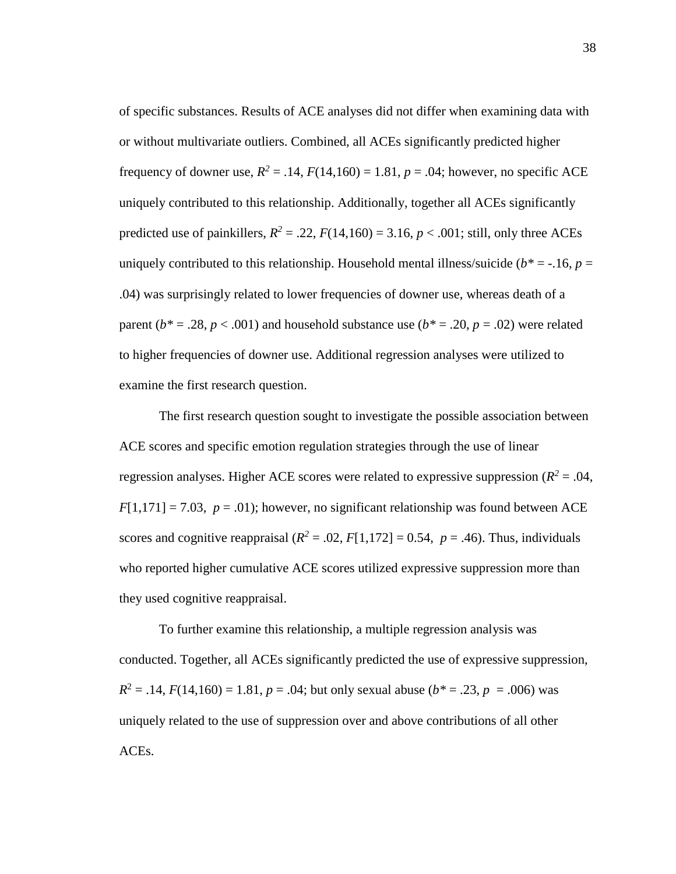of specific substances. Results of ACE analyses did not differ when examining data with or without multivariate outliers. Combined, all ACEs significantly predicted higher frequency of downer use,  $R^2 = .14$ ,  $F(14,160) = 1.81$ ,  $p = .04$ ; however, no specific ACE uniquely contributed to this relationship. Additionally, together all ACEs significantly predicted use of painkillers,  $R^2 = .22$ ,  $F(14,160) = 3.16$ ,  $p < .001$ ; still, only three ACEs uniquely contributed to this relationship. Household mental illness/suicide ( $b^* = -16$ ,  $p =$ .04) was surprisingly related to lower frequencies of downer use, whereas death of a parent ( $b^* = .28$ ,  $p < .001$ ) and household substance use ( $b^* = .20$ ,  $p = .02$ ) were related to higher frequencies of downer use. Additional regression analyses were utilized to examine the first research question.

The first research question sought to investigate the possible association between ACE scores and specific emotion regulation strategies through the use of linear regression analyses. Higher ACE scores were related to expressive suppression ( $R^2 = .04$ ,  $F[1,171] = 7.03$ ,  $p = .01$ ); however, no significant relationship was found between ACE scores and cognitive reappraisal ( $R^2 = .02$ ,  $F[1,172] = 0.54$ ,  $p = .46$ ). Thus, individuals who reported higher cumulative ACE scores utilized expressive suppression more than they used cognitive reappraisal.

To further examine this relationship, a multiple regression analysis was conducted. Together, all ACEs significantly predicted the use of expressive suppression,  $R^2 = .14$ ,  $F(14,160) = 1.81$ ,  $p = .04$ ; but only sexual abuse ( $b^* = .23$ ,  $p = .006$ ) was uniquely related to the use of suppression over and above contributions of all other ACEs.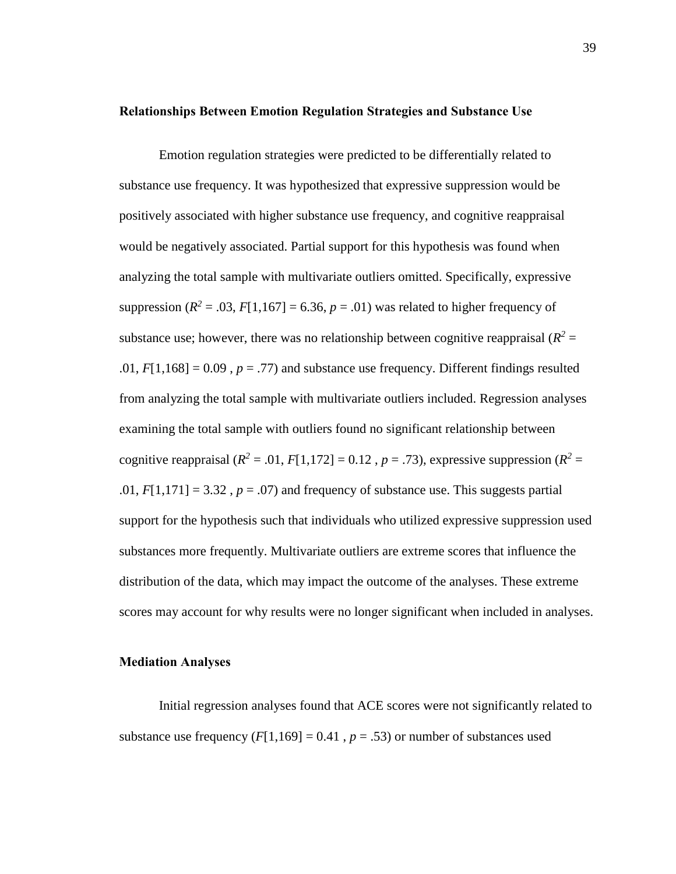#### **Relationships Between Emotion Regulation Strategies and Substance Use**

Emotion regulation strategies were predicted to be differentially related to substance use frequency. It was hypothesized that expressive suppression would be positively associated with higher substance use frequency, and cognitive reappraisal would be negatively associated. Partial support for this hypothesis was found when analyzing the total sample with multivariate outliers omitted. Specifically, expressive suppression ( $R^2$  = .03,  $F[1,167]$  = 6.36,  $p = .01$ ) was related to higher frequency of substance use; however, there was no relationship between cognitive reappraisal  $(R^2 =$ .01,  $F[1,168] = 0.09$ ,  $p = .77$ ) and substance use frequency. Different findings resulted from analyzing the total sample with multivariate outliers included. Regression analyses examining the total sample with outliers found no significant relationship between cognitive reappraisal ( $R^2 = .01$ ,  $F[1,172] = 0.12$ ,  $p = .73$ ), expressive suppression ( $R^2 =$ .01,  $F[1,171] = 3.32$ ,  $p = .07$ ) and frequency of substance use. This suggests partial support for the hypothesis such that individuals who utilized expressive suppression used substances more frequently. Multivariate outliers are extreme scores that influence the distribution of the data, which may impact the outcome of the analyses. These extreme scores may account for why results were no longer significant when included in analyses.

### **Mediation Analyses**

Initial regression analyses found that ACE scores were not significantly related to substance use frequency  $(F[1,169] = 0.41$ ,  $p = .53$ ) or number of substances used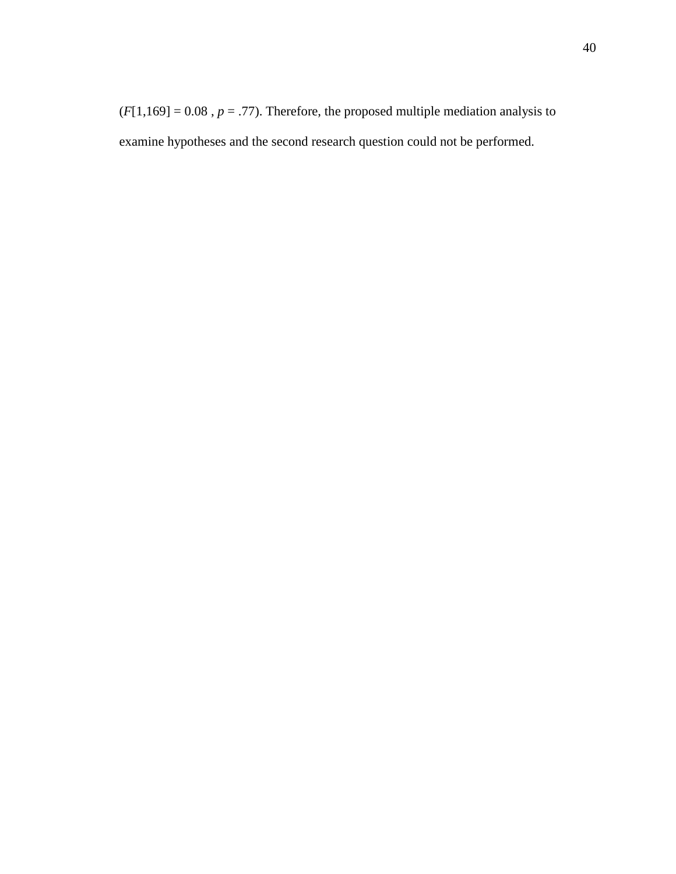$(F[1,169] = 0.08$ ,  $p = .77$ ). Therefore, the proposed multiple mediation analysis to examine hypotheses and the second research question could not be performed.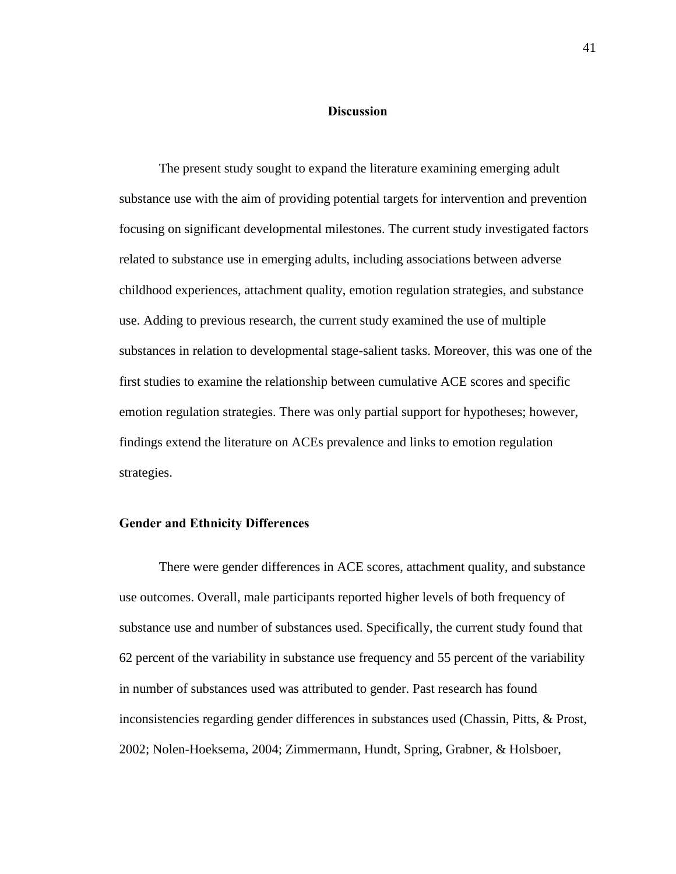### **Discussion**

The present study sought to expand the literature examining emerging adult substance use with the aim of providing potential targets for intervention and prevention focusing on significant developmental milestones. The current study investigated factors related to substance use in emerging adults, including associations between adverse childhood experiences, attachment quality, emotion regulation strategies, and substance use. Adding to previous research, the current study examined the use of multiple substances in relation to developmental stage-salient tasks. Moreover, this was one of the first studies to examine the relationship between cumulative ACE scores and specific emotion regulation strategies. There was only partial support for hypotheses; however, findings extend the literature on ACEs prevalence and links to emotion regulation strategies.

## **Gender and Ethnicity Differences**

There were gender differences in ACE scores, attachment quality, and substance use outcomes. Overall, male participants reported higher levels of both frequency of substance use and number of substances used. Specifically, the current study found that 62 percent of the variability in substance use frequency and 55 percent of the variability in number of substances used was attributed to gender. Past research has found inconsistencies regarding gender differences in substances used (Chassin, Pitts, & Prost, 2002; Nolen-Hoeksema, 2004; Zimmermann, Hundt, Spring, Grabner, & Holsboer,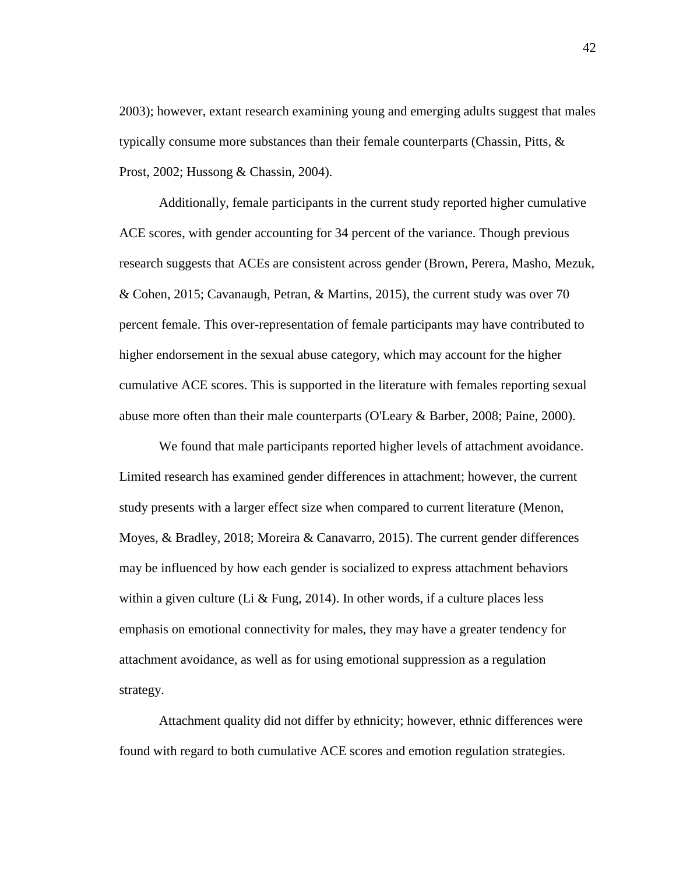2003); however, extant research examining young and emerging adults suggest that males typically consume more substances than their female counterparts (Chassin, Pitts,  $\&$ Prost, 2002; Hussong & Chassin, 2004).

Additionally, female participants in the current study reported higher cumulative ACE scores, with gender accounting for 34 percent of the variance. Though previous research suggests that ACEs are consistent across gender (Brown, Perera, Masho, Mezuk, & Cohen, 2015; Cavanaugh, Petran, & Martins, 2015), the current study was over 70 percent female. This over-representation of female participants may have contributed to higher endorsement in the sexual abuse category, which may account for the higher cumulative ACE scores. This is supported in the literature with females reporting sexual abuse more often than their male counterparts (O'Leary & Barber, 2008; Paine, 2000).

We found that male participants reported higher levels of attachment avoidance. Limited research has examined gender differences in attachment; however, the current study presents with a larger effect size when compared to current literature (Menon, Moyes, & Bradley, 2018; Moreira & Canavarro, 2015). The current gender differences may be influenced by how each gender is socialized to express attachment behaviors within a given culture (Li & Fung, 2014). In other words, if a culture places less emphasis on emotional connectivity for males, they may have a greater tendency for attachment avoidance, as well as for using emotional suppression as a regulation strategy.

Attachment quality did not differ by ethnicity; however, ethnic differences were found with regard to both cumulative ACE scores and emotion regulation strategies.

42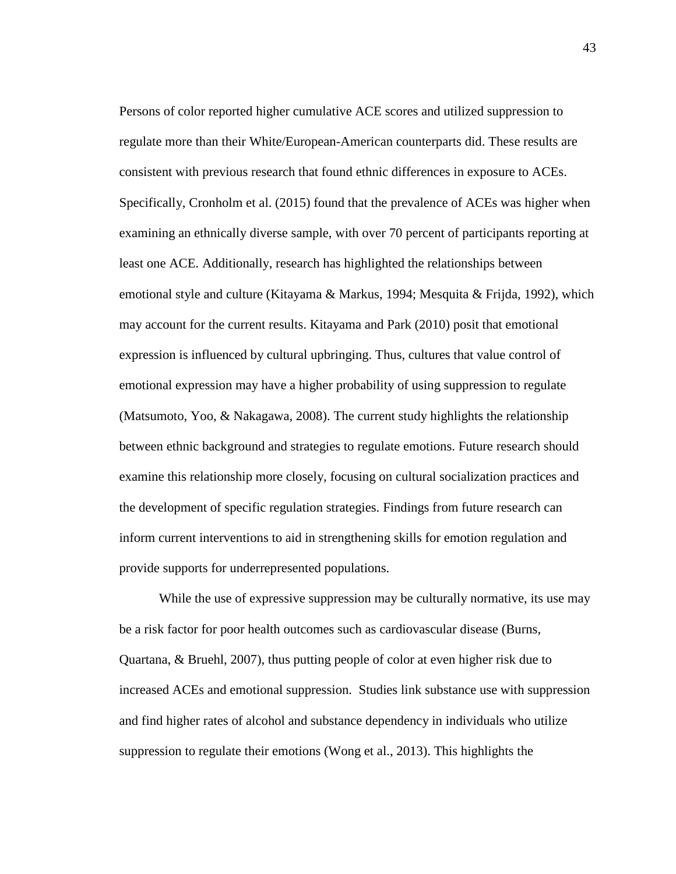Persons of color reported higher cumulative ACE scores and utilized suppression to regulate more than their White/European-American counterparts did. These results are consistent with previous research that found ethnic differences in exposure to ACEs. Specifically, Cronholm et al. (2015) found that the prevalence of ACEs was higher when examining an ethnically diverse sample, with over 70 percent of participants reporting at least one ACE. Additionally, research has highlighted the relationships between emotional style and culture (Kitayama & Markus, 1994; Mesquita & Frijda, 1992), which may account for the current results. Kitayama and Park (2010) posit that emotional expression is influenced by cultural upbringing. Thus, cultures that value control of emotional expression may have a higher probability of using suppression to regulate (Matsumoto, Yoo, & Nakagawa, 2008). The current study highlights the relationship between ethnic background and strategies to regulate emotions. Future research should examine this relationship more closely, focusing on cultural socialization practices and the development of specific regulation strategies. Findings from future research can inform current interventions to aid in strengthening skills for emotion regulation and provide supports for underrepresented populations.

While the use of expressive suppression may be culturally normative, its use may be a risk factor for poor health outcomes such as cardiovascular disease (Burns, Quartana, & Bruehl, 2007), thus putting people of color at even higher risk due to increased ACEs and emotional suppression. Studies link substance use with suppression and find higher rates of alcohol and substance dependency in individuals who utilize suppression to regulate their emotions (Wong et al., 2013). This highlights the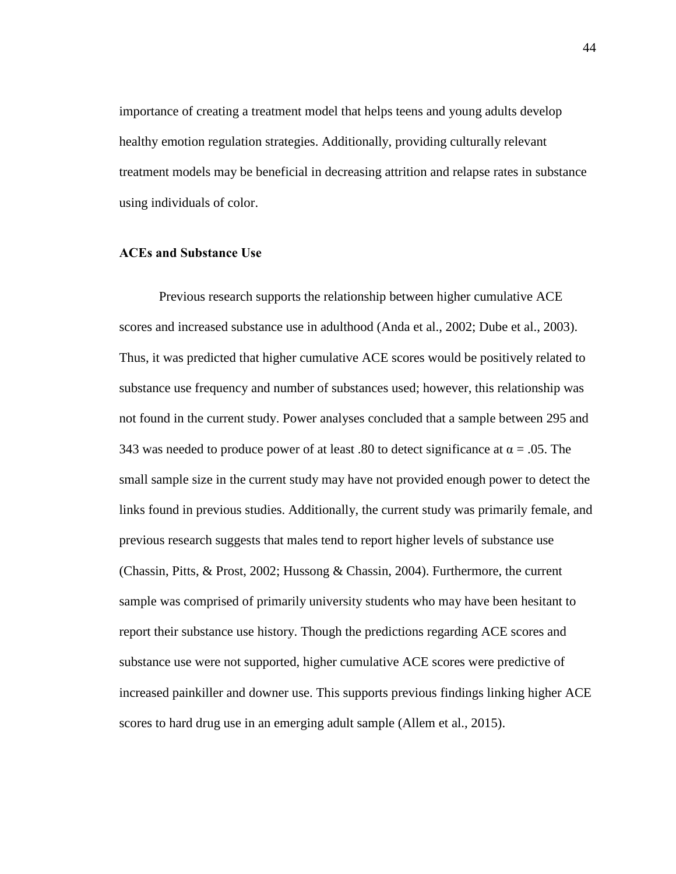importance of creating a treatment model that helps teens and young adults develop healthy emotion regulation strategies. Additionally, providing culturally relevant treatment models may be beneficial in decreasing attrition and relapse rates in substance using individuals of color.

#### **ACEs and Substance Use**

Previous research supports the relationship between higher cumulative ACE scores and increased substance use in adulthood (Anda et al., 2002; Dube et al., 2003). Thus, it was predicted that higher cumulative ACE scores would be positively related to substance use frequency and number of substances used; however, this relationship was not found in the current study. Power analyses concluded that a sample between 295 and 343 was needed to produce power of at least .80 to detect significance at  $\alpha = .05$ . The small sample size in the current study may have not provided enough power to detect the links found in previous studies. Additionally, the current study was primarily female, and previous research suggests that males tend to report higher levels of substance use (Chassin, Pitts, & Prost, 2002; Hussong & Chassin, 2004). Furthermore, the current sample was comprised of primarily university students who may have been hesitant to report their substance use history. Though the predictions regarding ACE scores and substance use were not supported, higher cumulative ACE scores were predictive of increased painkiller and downer use. This supports previous findings linking higher ACE scores to hard drug use in an emerging adult sample (Allem et al., 2015).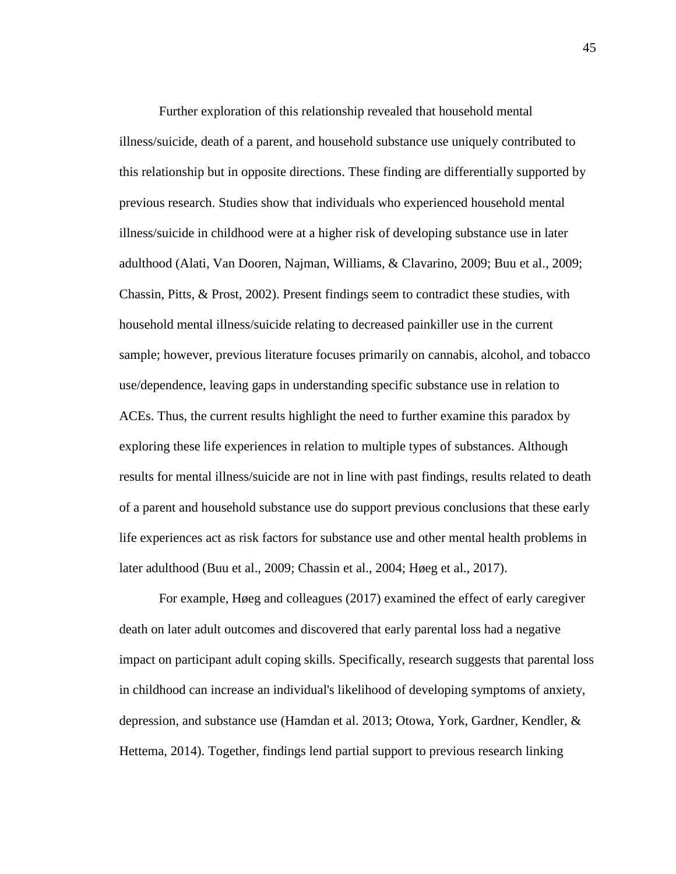Further exploration of this relationship revealed that household mental illness/suicide, death of a parent, and household substance use uniquely contributed to this relationship but in opposite directions. These finding are differentially supported by previous research. Studies show that individuals who experienced household mental illness/suicide in childhood were at a higher risk of developing substance use in later adulthood (Alati, Van Dooren, Najman, Williams, & Clavarino, 2009; Buu et al., 2009; Chassin, Pitts, & Prost, 2002). Present findings seem to contradict these studies, with household mental illness/suicide relating to decreased painkiller use in the current sample; however, previous literature focuses primarily on cannabis, alcohol, and tobacco use/dependence, leaving gaps in understanding specific substance use in relation to ACEs. Thus, the current results highlight the need to further examine this paradox by exploring these life experiences in relation to multiple types of substances. Although results for mental illness/suicide are not in line with past findings, results related to death of a parent and household substance use do support previous conclusions that these early life experiences act as risk factors for substance use and other mental health problems in later adulthood (Buu et al., 2009; Chassin et al., 2004; Høeg et al., 2017).

For example, Høeg and colleagues (2017) examined the effect of early caregiver death on later adult outcomes and discovered that early parental loss had a negative impact on participant adult coping skills. Specifically, research suggests that parental loss in childhood can increase an individual's likelihood of developing symptoms of anxiety, depression, and substance use (Hamdan et al. 2013; Otowa, York, Gardner, Kendler, & Hettema, 2014). Together, findings lend partial support to previous research linking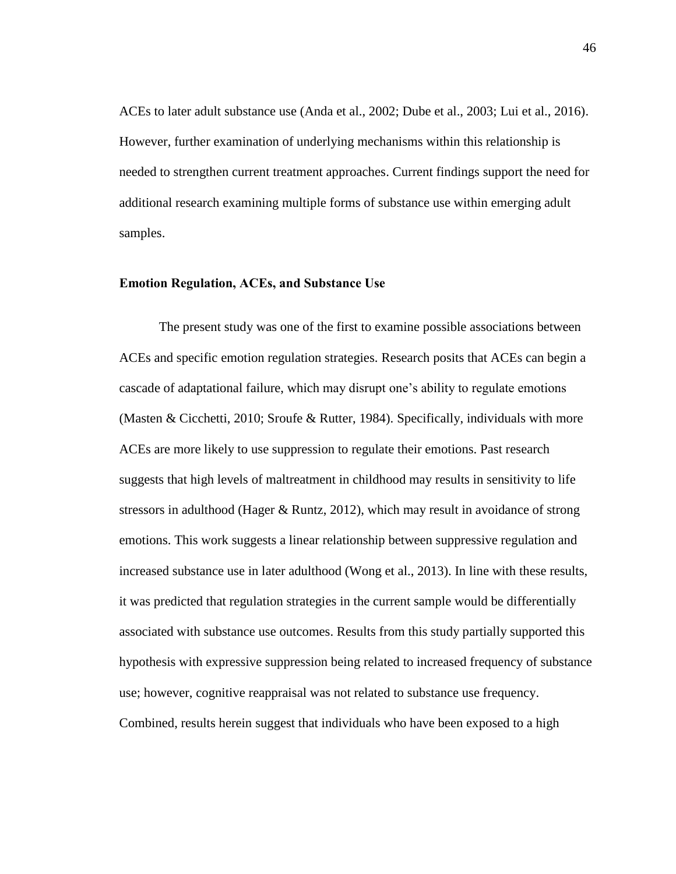ACEs to later adult substance use (Anda et al., 2002; Dube et al., 2003; Lui et al., 2016). However, further examination of underlying mechanisms within this relationship is needed to strengthen current treatment approaches. Current findings support the need for additional research examining multiple forms of substance use within emerging adult samples.

#### **Emotion Regulation, ACEs, and Substance Use**

The present study was one of the first to examine possible associations between ACEs and specific emotion regulation strategies. Research posits that ACEs can begin a cascade of adaptational failure, which may disrupt one's ability to regulate emotions (Masten & Cicchetti, 2010; Sroufe & Rutter, 1984). Specifically, individuals with more ACEs are more likely to use suppression to regulate their emotions. Past research suggests that high levels of maltreatment in childhood may results in sensitivity to life stressors in adulthood (Hager & Runtz, 2012), which may result in avoidance of strong emotions. This work suggests a linear relationship between suppressive regulation and increased substance use in later adulthood (Wong et al., 2013). In line with these results, it was predicted that regulation strategies in the current sample would be differentially associated with substance use outcomes. Results from this study partially supported this hypothesis with expressive suppression being related to increased frequency of substance use; however, cognitive reappraisal was not related to substance use frequency. Combined, results herein suggest that individuals who have been exposed to a high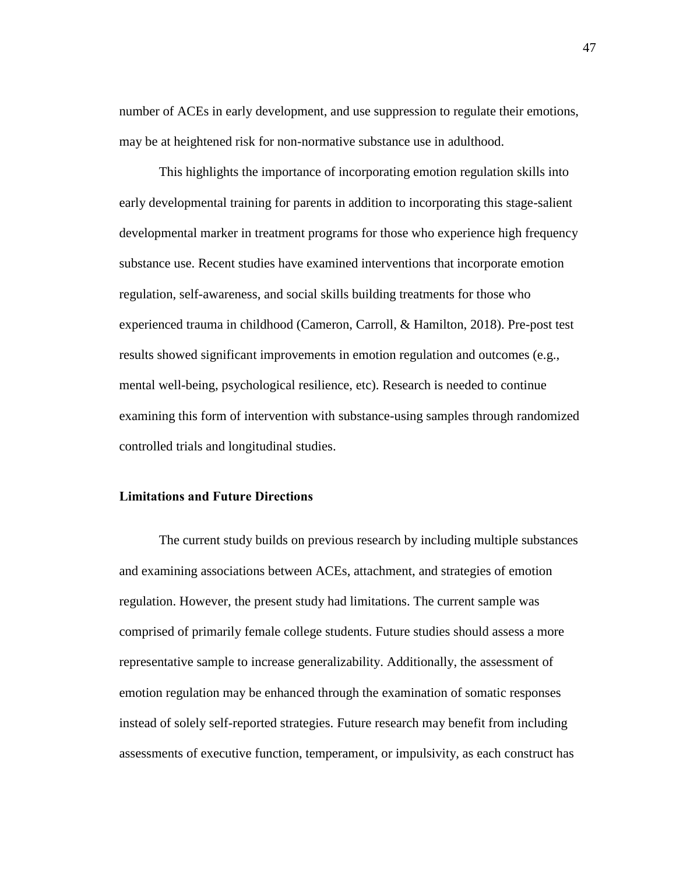number of ACEs in early development, and use suppression to regulate their emotions, may be at heightened risk for non-normative substance use in adulthood.

This highlights the importance of incorporating emotion regulation skills into early developmental training for parents in addition to incorporating this stage-salient developmental marker in treatment programs for those who experience high frequency substance use. Recent studies have examined interventions that incorporate emotion regulation, self-awareness, and social skills building treatments for those who experienced trauma in childhood (Cameron, Carroll, & Hamilton, 2018). Pre-post test results showed significant improvements in emotion regulation and outcomes (e.g., mental well-being, psychological resilience, etc). Research is needed to continue examining this form of intervention with substance-using samples through randomized controlled trials and longitudinal studies.

## **Limitations and Future Directions**

The current study builds on previous research by including multiple substances and examining associations between ACEs, attachment, and strategies of emotion regulation. However, the present study had limitations. The current sample was comprised of primarily female college students. Future studies should assess a more representative sample to increase generalizability. Additionally, the assessment of emotion regulation may be enhanced through the examination of somatic responses instead of solely self-reported strategies. Future research may benefit from including assessments of executive function, temperament, or impulsivity, as each construct has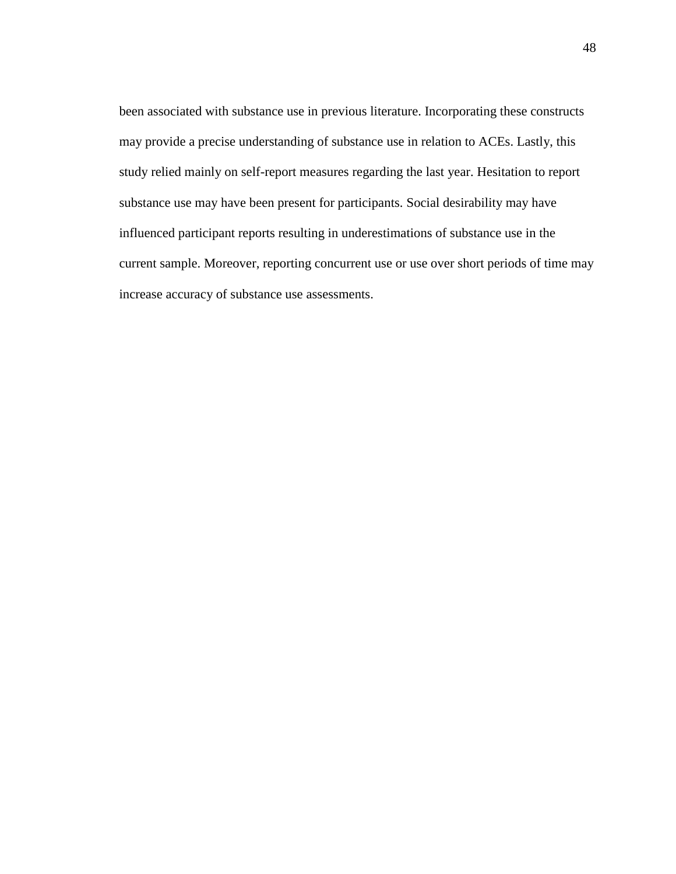been associated with substance use in previous literature. Incorporating these constructs may provide a precise understanding of substance use in relation to ACEs. Lastly, this study relied mainly on self-report measures regarding the last year. Hesitation to report substance use may have been present for participants. Social desirability may have influenced participant reports resulting in underestimations of substance use in the current sample. Moreover, reporting concurrent use or use over short periods of time may increase accuracy of substance use assessments.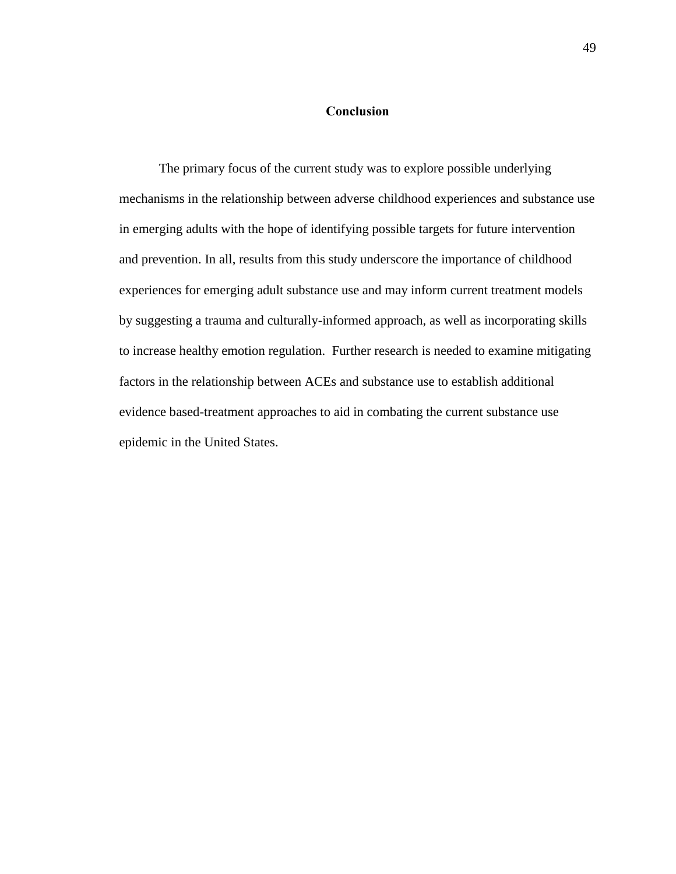# **Conclusion**

The primary focus of the current study was to explore possible underlying mechanisms in the relationship between adverse childhood experiences and substance use in emerging adults with the hope of identifying possible targets for future intervention and prevention. In all, results from this study underscore the importance of childhood experiences for emerging adult substance use and may inform current treatment models by suggesting a trauma and culturally-informed approach, as well as incorporating skills to increase healthy emotion regulation. Further research is needed to examine mitigating factors in the relationship between ACEs and substance use to establish additional evidence based-treatment approaches to aid in combating the current substance use epidemic in the United States.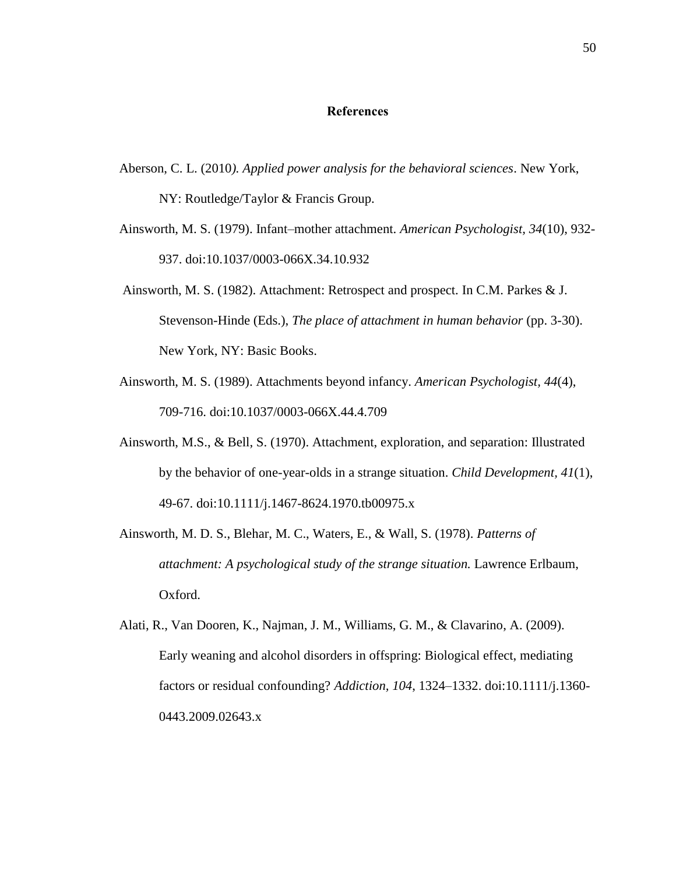### **References**

- Aberson, C. L. (2010*). Applied power analysis for the behavioral sciences*. New York, NY: Routledge/Taylor & Francis Group.
- Ainsworth, M. S. (1979). Infant–mother attachment. *American Psychologist, 34*(10), 932- 937. doi:10.1037/0003-066X.34.10.932
- Ainsworth, M. S. (1982). Attachment: Retrospect and prospect. In C.M. Parkes & J. Stevenson-Hinde (Eds.), *The place of attachment in human behavior* (pp. 3-30). New York, NY: Basic Books.
- Ainsworth, M. S. (1989). Attachments beyond infancy. *American Psychologist, 44*(4), 709-716. doi:10.1037/0003-066X.44.4.709
- Ainsworth, M.S., & Bell, S. (1970). Attachment, exploration, and separation: Illustrated by the behavior of one-year-olds in a strange situation. *Child Development, 41*(1), 49-67. doi:10.1111/j.1467-8624.1970.tb00975.x
- Ainsworth, M. D. S., Blehar, M. C., Waters, E., & Wall, S. (1978). *Patterns of attachment: A psychological study of the strange situation.* Lawrence Erlbaum, Oxford.
- Alati, R., Van Dooren, K., Najman, J. M., Williams, G. M., & Clavarino, A. (2009). Early weaning and alcohol disorders in offspring: Biological effect, mediating factors or residual confounding? *Addiction, 104*, 1324–1332. doi:10.1111/j.1360- 0443.2009.02643.x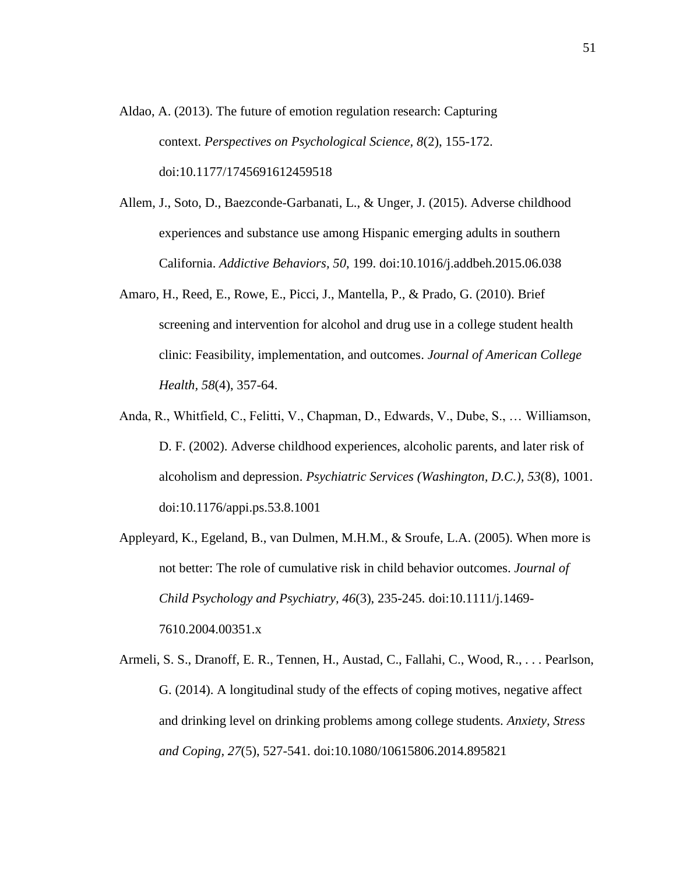- Aldao, A. (2013). The future of emotion regulation research: Capturing context. *Perspectives on Psychological Science, 8*(2), 155-172. doi:10.1177/1745691612459518
- Allem, J., Soto, D., Baezconde-Garbanati, L., & Unger, J. (2015). Adverse childhood experiences and substance use among Hispanic emerging adults in southern California. *Addictive Behaviors, 50*, 199. doi:10.1016/j.addbeh.2015.06.038
- Amaro, H., Reed, E., Rowe, E., Picci, J., Mantella, P., & Prado, G. (2010). Brief screening and intervention for alcohol and drug use in a college student health clinic: Feasibility, implementation, and outcomes. *Journal of American College Health, 58*(4), 357-64.
- Anda, R., Whitfield, C., Felitti, V., Chapman, D., Edwards, V., Dube, S., … Williamson, D. F. (2002). Adverse childhood experiences, alcoholic parents, and later risk of alcoholism and depression. *Psychiatric Services (Washington, D.C.), 53*(8), 1001. doi:10.1176/appi.ps.53.8.1001
- Appleyard, K., Egeland, B., van Dulmen, M.H.M., & Sroufe, L.A. (2005). When more is not better: The role of cumulative risk in child behavior outcomes. *Journal of Child Psychology and Psychiatry, 46*(3), 235-245. doi:10.1111/j.1469- 7610.2004.00351.x
- Armeli, S. S., Dranoff, E. R., Tennen, H., Austad, C., Fallahi, C., Wood, R., . . . Pearlson, G. (2014). A longitudinal study of the effects of coping motives, negative affect and drinking level on drinking problems among college students. *Anxiety, Stress and Coping, 27*(5), 527-541. doi:10.1080/10615806.2014.895821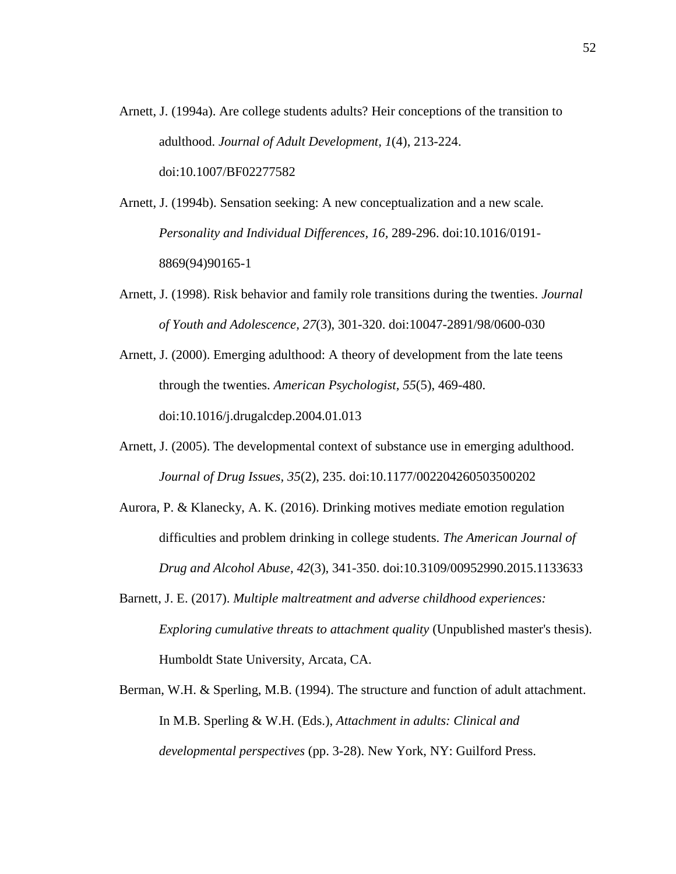- Arnett, J. (1994a). Are college students adults? Heir conceptions of the transition to adulthood. *Journal of Adult Development, 1*(4), 213-224. doi:10.1007/BF02277582
- Arnett, J. (1994b). Sensation seeking: A new conceptualization and a new scale*. Personality and Individual Differences, 16,* 289-296. doi:10.1016/0191- 8869(94)90165-1
- Arnett, J. (1998). Risk behavior and family role transitions during the twenties. *Journal of Youth and Adolescence, 27*(3), 301-320. doi:10047-2891/98/0600-030
- Arnett, J. (2000). Emerging adulthood: A theory of development from the late teens through the twenties. *American Psychologist, 55*(5), 469-480. doi:10.1016/j.drugalcdep.2004.01.013
- Arnett, J. (2005). The developmental context of substance use in emerging adulthood. *Journal of Drug Issues, 35*(2), 235. doi:10.1177/002204260503500202
- Aurora, P. & Klanecky, A. K. (2016). Drinking motives mediate emotion regulation difficulties and problem drinking in college students. *The American Journal of Drug and Alcohol Abuse, 42*(3), 341-350. doi:10.3109/00952990.2015.1133633
- Barnett, J. E. (2017). *Multiple maltreatment and adverse childhood experiences: Exploring cumulative threats to attachment quality* (Unpublished master's thesis). Humboldt State University, Arcata, CA.
- Berman, W.H. & Sperling, M.B. (1994). The structure and function of adult attachment. In M.B. Sperling & W.H. (Eds.), *Attachment in adults: Clinical and developmental perspectives* (pp. 3-28). New York, NY: Guilford Press.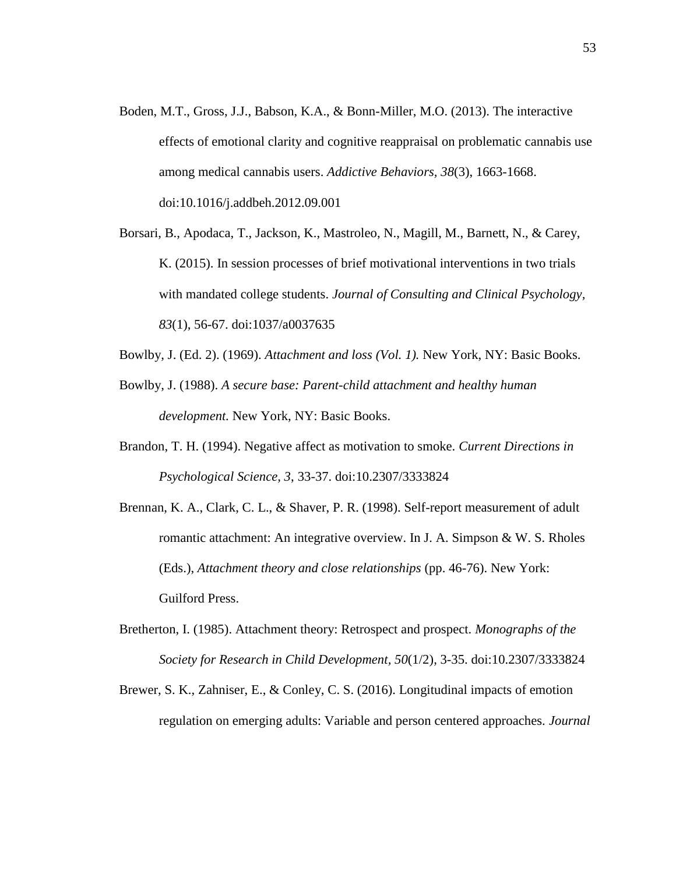- Boden, M.T., Gross, J.J., Babson, K.A., & Bonn-Miller, M.O. (2013). The interactive effects of emotional clarity and cognitive reappraisal on problematic cannabis use among medical cannabis users. *Addictive Behaviors, 38*(3), 1663-1668. doi:10.1016/j.addbeh.2012.09.001
- Borsari, B., Apodaca, T., Jackson, K., Mastroleo, N., Magill, M., Barnett, N., & Carey, K. (2015). In session processes of brief motivational interventions in two trials with mandated college students. *Journal of Consulting and Clinical Psychology, 83*(1), 56-67. doi:1037/a0037635
- Bowlby, J. (Ed. 2). (1969). *Attachment and loss (Vol. 1).* New York, NY: Basic Books.
- Bowlby, J. (1988). *A secure base: Parent-child attachment and healthy human development.* New York, NY: Basic Books.
- Brandon, T. H. (1994). Negative affect as motivation to smoke. *Current Directions in Psychological Science, 3*, 33-37. doi:10.2307/3333824
- Brennan, K. A., Clark, C. L., & Shaver, P. R. (1998). Self-report measurement of adult romantic attachment: An integrative overview. In J. A. Simpson & W. S. Rholes (Eds.), *Attachment theory and close relationships* (pp. 46-76). New York: Guilford Press.
- Bretherton, I. (1985). Attachment theory: Retrospect and prospect. *Monographs of the Society for Research in Child Development, 50*(1/2), 3-35. doi:10.2307/3333824
- Brewer, S. K., Zahniser, E., & Conley, C. S. (2016). Longitudinal impacts of emotion regulation on emerging adults: Variable and person centered approaches. *Journal*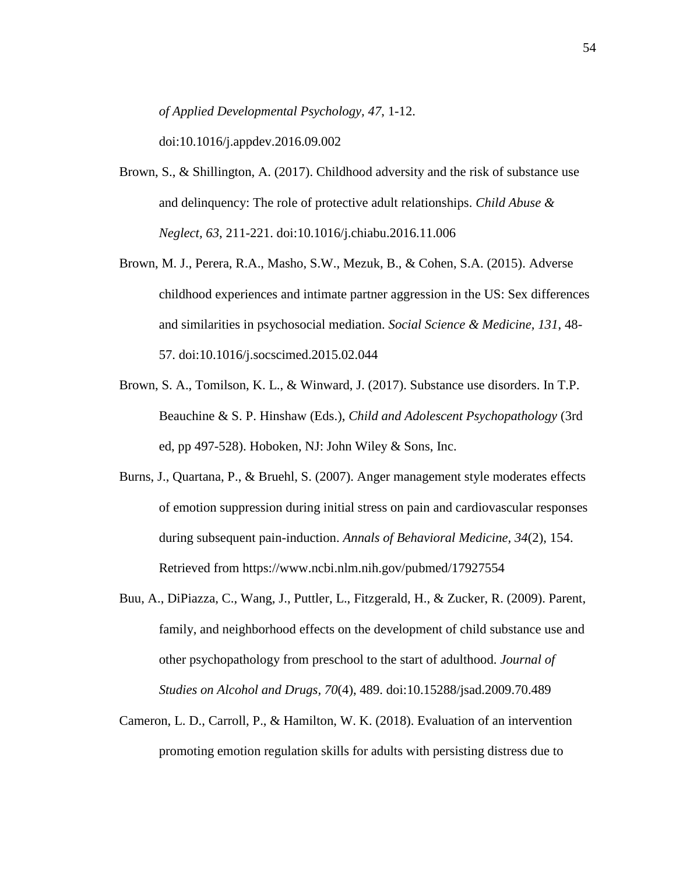*of Applied Developmental Psychology, 47*, 1-12.

doi:10.1016/j.appdev.2016.09.002

- Brown, S., & Shillington, A. (2017). Childhood adversity and the risk of substance use and delinquency: The role of protective adult relationships. *Child Abuse & Neglect, 63*, 211-221. doi:10.1016/j.chiabu.2016.11.006
- Brown, M. J., Perera, R.A., Masho, S.W., Mezuk, B., & Cohen, S.A. (2015). Adverse childhood experiences and intimate partner aggression in the US: Sex differences and similarities in psychosocial mediation. *Social Science & Medicine, 131*, 48- 57. doi:10.1016/j.socscimed.2015.02.044
- Brown, S. A., Tomilson, K. L., & Winward, J. (2017). Substance use disorders. In T.P. Beauchine & S. P. Hinshaw (Eds.), *Child and Adolescent Psychopathology* (3rd ed, pp 497-528). Hoboken, NJ: John Wiley & Sons, Inc.
- Burns, J., Quartana, P., & Bruehl, S. (2007). Anger management style moderates effects of emotion suppression during initial stress on pain and cardiovascular responses during subsequent pain-induction. *Annals of Behavioral Medicine, 34*(2), 154. Retrieved from https://www.ncbi.nlm.nih.gov/pubmed/17927554
- Buu, A., DiPiazza, C., Wang, J., Puttler, L., Fitzgerald, H., & Zucker, R. (2009). Parent, family, and neighborhood effects on the development of child substance use and other psychopathology from preschool to the start of adulthood. *Journal of Studies on Alcohol and Drugs, 70*(4), 489. doi:10.15288/jsad.2009.70.489
- Cameron, L. D., Carroll, P., & Hamilton, W. K. (2018). Evaluation of an intervention promoting emotion regulation skills for adults with persisting distress due to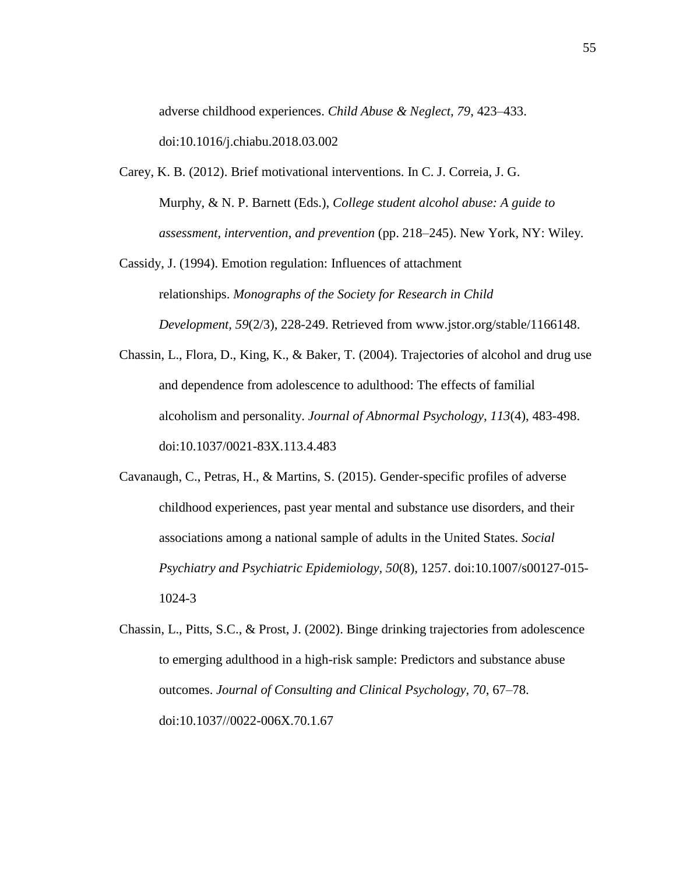adverse childhood experiences. *Child Abuse & Neglect, 79*, 423–433. doi:10.1016/j.chiabu.2018.03.002

- Carey, K. B. (2012). Brief motivational interventions. In C. J. Correia, J. G. Murphy, & N. P. Barnett (Eds.), *College student alcohol abuse: A guide to assessment, intervention, and prevention* (pp. 218–245). New York, NY: Wiley.
- Cassidy, J. (1994). Emotion regulation: Influences of attachment relationships. *Monographs of the Society for Research in Child Development, 59*(2/3), 228-249. Retrieved from [www.jstor.org/stable/1166148.](http://www.jstor.org/stable/1166148)
- Chassin, L., Flora, D., King, K., & Baker, T. (2004). Trajectories of alcohol and drug use and dependence from adolescence to adulthood: The effects of familial alcoholism and personality. *Journal of Abnormal Psychology, 113*(4), 483-498. doi:10.1037/0021-83X.113.4.483
- Cavanaugh, C., Petras, H., & Martins, S. (2015). Gender-specific profiles of adverse childhood experiences, past year mental and substance use disorders, and their associations among a national sample of adults in the United States. *Social Psychiatry and Psychiatric Epidemiology, 50*(8), 1257. doi:10.1007/s00127-015- 1024-3
- Chassin, L., Pitts, S.C., & Prost, J. (2002). Binge drinking trajectories from adolescence to emerging adulthood in a high-risk sample: Predictors and substance abuse outcomes. *Journal of Consulting and Clinical Psychology, 70*, 67–78. doi:10.1037//0022-006X.70.1.67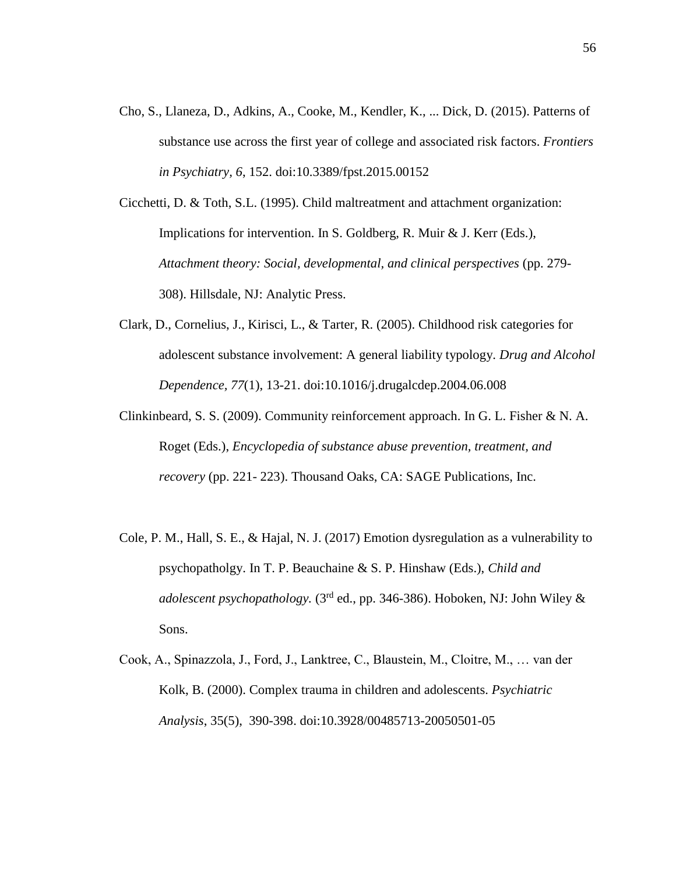Cho, S., Llaneza, D., Adkins, A., Cooke, M., Kendler, K., ... Dick, D. (2015). Patterns of substance use across the first year of college and associated risk factors. *Frontiers in Psychiatry, 6*, 152. doi:10.3389/fpst.2015.00152

Cicchetti, D. & Toth, S.L. (1995). Child maltreatment and attachment organization: Implications for intervention. In S. Goldberg, R. Muir & J. Kerr (Eds.), *Attachment theory: Social, developmental, and clinical perspectives* (pp. 279- 308). Hillsdale, NJ: Analytic Press.

- Clark, D., Cornelius, J., Kirisci, L., & Tarter, R. (2005). Childhood risk categories for adolescent substance involvement: A general liability typology. *Drug and Alcohol Dependence, 77*(1), 13-21. doi:10.1016/j.drugalcdep.2004.06.008
- Clinkinbeard, S. S. (2009). Community reinforcement approach. In G. L. Fisher & N. A. Roget (Eds.), *Encyclopedia of substance abuse prevention, treatment, and recovery* (pp. 221- 223). Thousand Oaks, CA: SAGE Publications, Inc.
- Cole, P. M., Hall, S. E., & Hajal, N. J. (2017) Emotion dysregulation as a vulnerability to psychopatholgy. In T. P. Beauchaine & S. P. Hinshaw (Eds.), *Child and adolescent psychopathology.* (3rd ed., pp. 346-386). Hoboken, NJ: John Wiley & Sons.
- Cook, A., Spinazzola, J., Ford, J., Lanktree, C., Blaustein, M., Cloitre, M., … van der Kolk, B. (2000). Complex trauma in children and adolescents. *Psychiatric Analysis*, 35(5), 390-398. doi:10.3928/00485713-20050501-05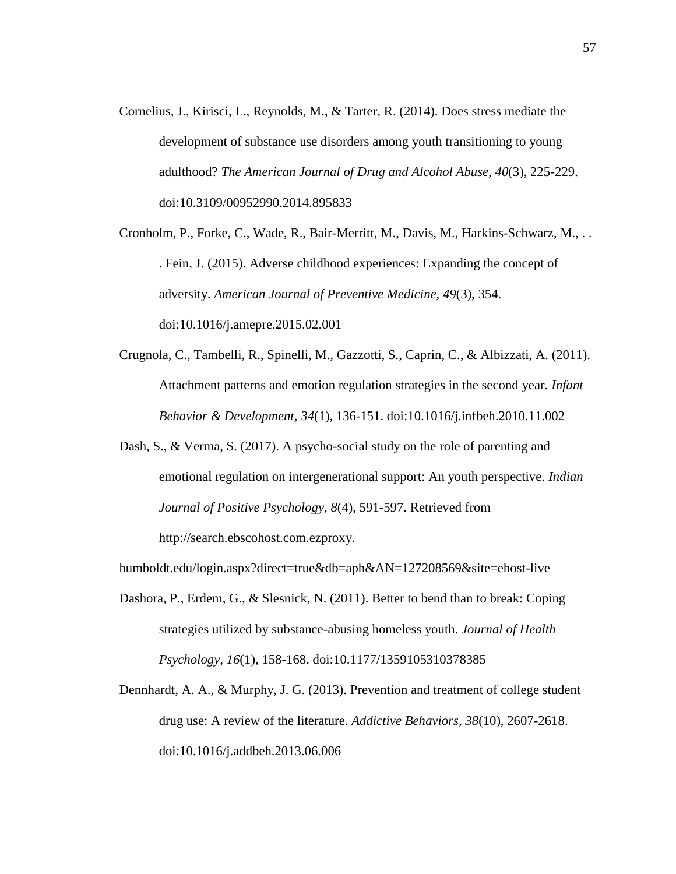Cornelius, J., Kirisci, L., Reynolds, M., & Tarter, R. (2014). Does stress mediate the development of substance use disorders among youth transitioning to young adulthood? *The American Journal of Drug and Alcohol Abuse, 40*(3), 225-229. doi:10.3109/00952990.2014.895833

Cronholm, P., Forke, C., Wade, R., Bair-Merritt, M., Davis, M., Harkins-Schwarz, M., . . . Fein, J. (2015). Adverse childhood experiences: Expanding the concept of adversity. *American Journal of Preventive Medicine, 49*(3), 354. doi:10.1016/j.amepre.2015.02.001

- Crugnola, C., Tambelli, R., Spinelli, M., Gazzotti, S., Caprin, C., & Albizzati, A. (2011). Attachment patterns and emotion regulation strategies in the second year. *Infant Behavior & Development, 34*(1), 136-151. doi:10.1016/j.infbeh.2010.11.002
- Dash, S., & Verma, S. (2017). A psycho-social study on the role of parenting and emotional regulation on intergenerational support: An youth perspective. *Indian Journal of Positive Psychology, 8*(4), 591-597. Retrieved from http://search.ebscohost.com.ezproxy.

humboldt.edu/login.aspx?direct=true&db=aph&AN=127208569&site=ehost-live

- Dashora, P., Erdem, G., & Slesnick, N. (2011). Better to bend than to break: Coping strategies utilized by substance-abusing homeless youth. *Journal of Health Psychology, 16*(1), 158-168. doi:10.1177/1359105310378385
- Dennhardt, A. A., & Murphy, J. G. (2013). Prevention and treatment of college student drug use: A review of the literature. *Addictive Behaviors, 38*(10), 2607-2618. doi:10.1016/j.addbeh.2013.06.006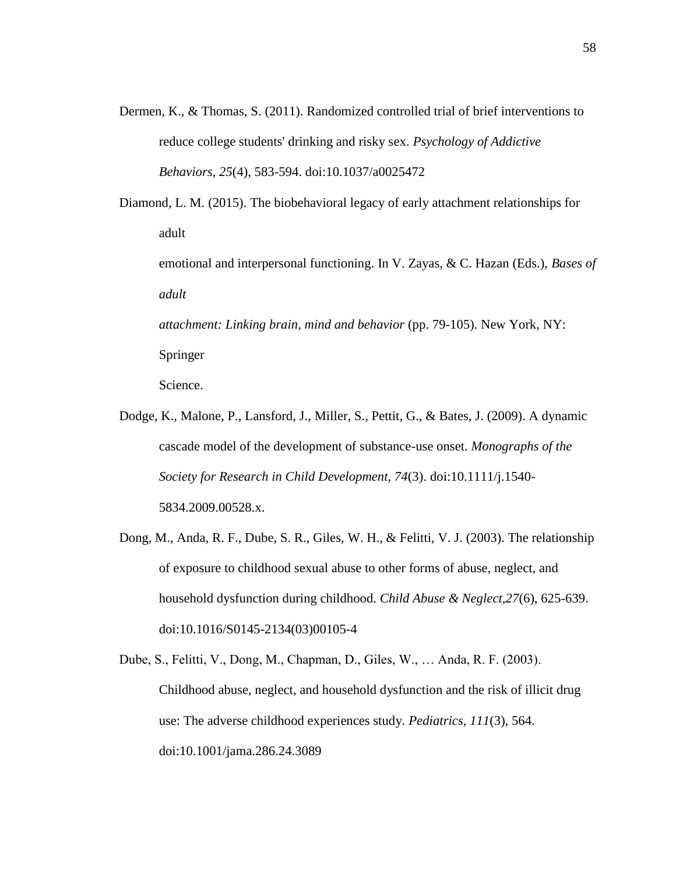- Dermen, K., & Thomas, S. (2011). Randomized controlled trial of brief interventions to reduce college students' drinking and risky sex. *Psychology of Addictive Behaviors, 25*(4), 583-594. doi:10.1037/a0025472
- Diamond, L. M. (2015). The biobehavioral legacy of early attachment relationships for adult

emotional and interpersonal functioning. In V. Zayas, & C. Hazan (Eds.), *Bases of adult*

*attachment: Linking brain, mind and behavior* (pp. 79-105). New York, NY: Springer

Science.

- Dodge, K., Malone, P., Lansford, J., Miller, S., Pettit, G., & Bates, J. (2009). A dynamic cascade model of the development of substance-use onset. *Monographs of the Society for Research in Child Development, 74*(3). doi:10.1111/j.1540- 5834.2009.00528.x.
- Dong, M., Anda, R. F., Dube, S. R., Giles, W. H., & Felitti, V. J. (2003). The relationship of exposure to childhood sexual abuse to other forms of abuse, neglect, and household dysfunction during childhood. *Child Abuse & Neglect,27*(6), 625-639. doi:10.1016/S0145-2134(03)00105-4

Dube, S., Felitti, V., Dong, M., Chapman, D., Giles, W., … Anda, R. F. (2003). Childhood abuse, neglect, and household dysfunction and the risk of illicit drug use: The adverse childhood experiences study. *Pediatrics, 111*(3), 564. doi:10.1001/jama.286.24.3089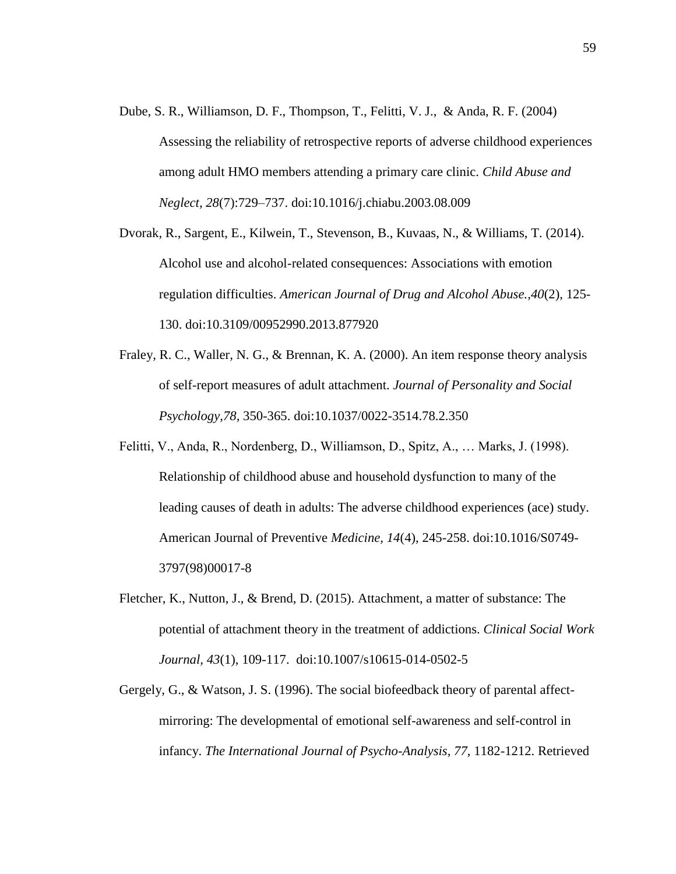- Dube, S. R., Williamson, D. F., Thompson, T., Felitti, V. J., & Anda, R. F. (2004) Assessing the reliability of retrospective reports of adverse childhood experiences among adult HMO members attending a primary care clinic. *Child Abuse and Neglect, 28*(7):729–737. doi:10.1016/j.chiabu.2003.08.009
- Dvorak, R., Sargent, E., Kilwein, T., Stevenson, B., Kuvaas, N., & Williams, T. (2014). Alcohol use and alcohol-related consequences: Associations with emotion regulation difficulties. *American Journal of Drug and Alcohol Abuse.,40*(2), 125- 130. doi:10.3109/00952990.2013.877920
- Fraley, R. C., Waller, N. G., & Brennan, K. A. (2000). An item response theory analysis of self-report measures of adult attachment. *Journal of Personality and Social Psychology,78,* 350-365. doi:10.1037/0022-3514.78.2.350
- Felitti, V., Anda, R., Nordenberg, D., Williamson, D., Spitz, A., … Marks, J. (1998). Relationship of childhood abuse and household dysfunction to many of the leading causes of death in adults: The adverse childhood experiences (ace) study. American Journal of Preventive *Medicine, 14*(4), 245-258. doi:10.1016/S0749- 3797(98)00017-8
- Fletcher, K., Nutton, J., & Brend, D. (2015). Attachment, a matter of substance: The potential of attachment theory in the treatment of addictions. *Clinical Social Work Journal, 43*(1), 109-117. doi:10.1007/s10615-014-0502-5
- Gergely, G., & Watson, J. S. (1996). The social biofeedback theory of parental affectmirroring: The developmental of emotional self-awareness and self-control in infancy. *The International Journal of Psycho-Analysis, 77*, 1182-1212. Retrieved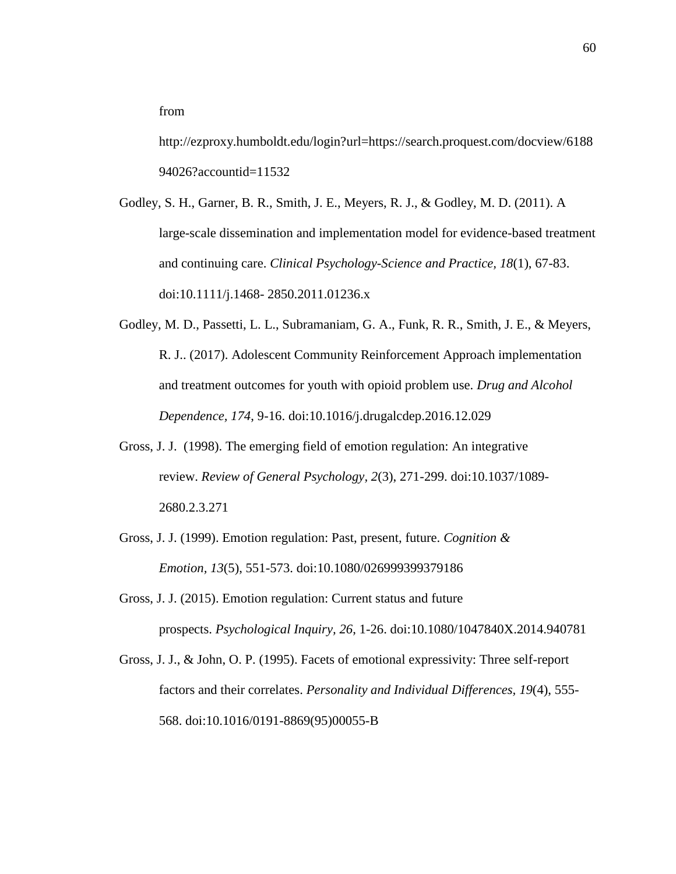from

http://ezproxy.humboldt.edu/login?url=https://search.proquest.com/docview/6188 94026?accountid=11532

Godley, S. H., Garner, B. R., Smith, J. E., Meyers, R. J., & Godley, M. D. (2011). A large-scale dissemination and implementation model for evidence-based treatment and continuing care. *Clinical Psychology-Science and Practice, 18*(1), 67-83. doi:10.1111/j.1468- 2850.2011.01236.x

- Godley, M. D., Passetti, L. L., Subramaniam, G. A., Funk, R. R., Smith, J. E., & Meyers, R. J.. (2017). Adolescent Community Reinforcement Approach implementation and treatment outcomes for youth with opioid problem use. *Drug and Alcohol Dependence, 174*, 9-16. doi:10.1016/j.drugalcdep.2016.12.029
- Gross, J. J. (1998). The emerging field of emotion regulation: An integrative review. *Review of General Psychology, 2*(3), 271-299. doi:10.1037/1089- 2680.2.3.271
- Gross, J. J. (1999). Emotion regulation: Past, present, future. *Cognition & Emotion, 13*(5), 551-573. doi:10.1080/026999399379186
- Gross, J. J. (2015). Emotion regulation: Current status and future prospects. *Psychological Inquiry, 26*, 1-26. doi:10.1080/1047840X.2014.940781

Gross, J. J., & John, O. P. (1995). Facets of emotional expressivity: Three self-report factors and their correlates. *Personality and Individual Differences, 19*(4), 555- 568. doi:10.1016/0191-8869(95)00055-B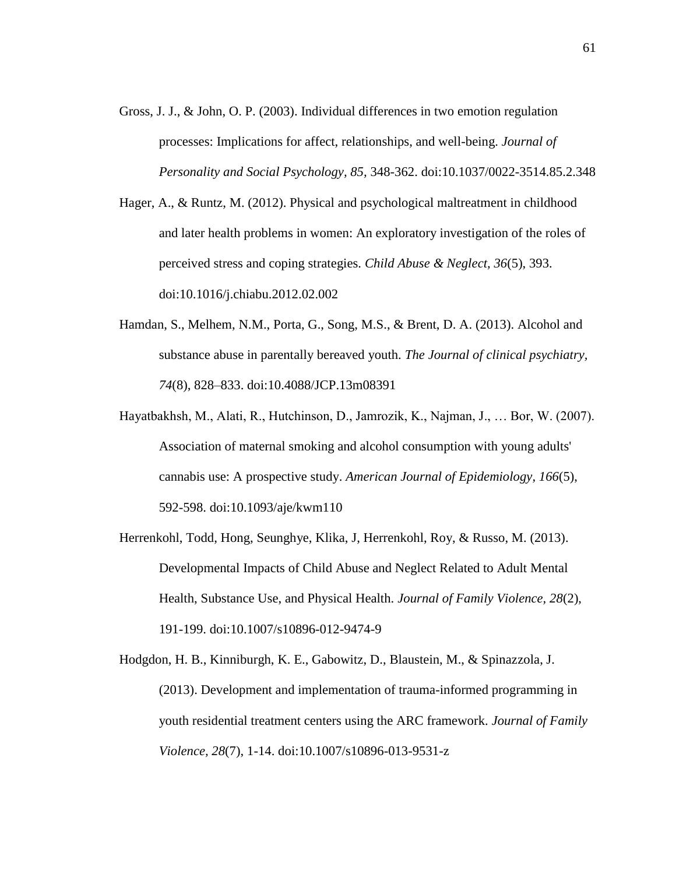- Gross, J. J., & John, O. P. (2003). Individual differences in two emotion regulation processes: Implications for affect, relationships, and well-being. *Journal of Personality and Social Psychology, 85,* 348-362. doi:10.1037/0022-3514.85.2.348
- Hager, A., & Runtz, M. (2012). Physical and psychological maltreatment in childhood and later health problems in women: An exploratory investigation of the roles of perceived stress and coping strategies. *Child Abuse & Neglect, 36*(5), 393. doi:10.1016/j.chiabu.2012.02.002
- Hamdan, S., Melhem, N.M., Porta, G., Song, M.S., & Brent, D. A. (2013). Alcohol and substance abuse in parentally bereaved youth. *The Journal of clinical psychiatry, 74*(8), 828–833. doi:10.4088/JCP.13m08391
- Hayatbakhsh, M., Alati, R., Hutchinson, D., Jamrozik, K., Najman, J., … Bor, W. (2007). Association of maternal smoking and alcohol consumption with young adults' cannabis use: A prospective study. *American Journal of Epidemiology, 166*(5), 592-598. doi:10.1093/aje/kwm110
- Herrenkohl, Todd, Hong, Seunghye, Klika, J, Herrenkohl, Roy, & Russo, M. (2013). Developmental Impacts of Child Abuse and Neglect Related to Adult Mental Health, Substance Use, and Physical Health. *Journal of Family Violence, 28*(2), 191-199. doi:10.1007/s10896-012-9474-9

Hodgdon, H. B., Kinniburgh, K. E., Gabowitz, D., Blaustein, M., & Spinazzola, J. (2013). Development and implementation of trauma-informed programming in youth residential treatment centers using the ARC framework. *Journal of Family Violence, 28*(7), 1-14. doi:10.1007/s10896-013-9531-z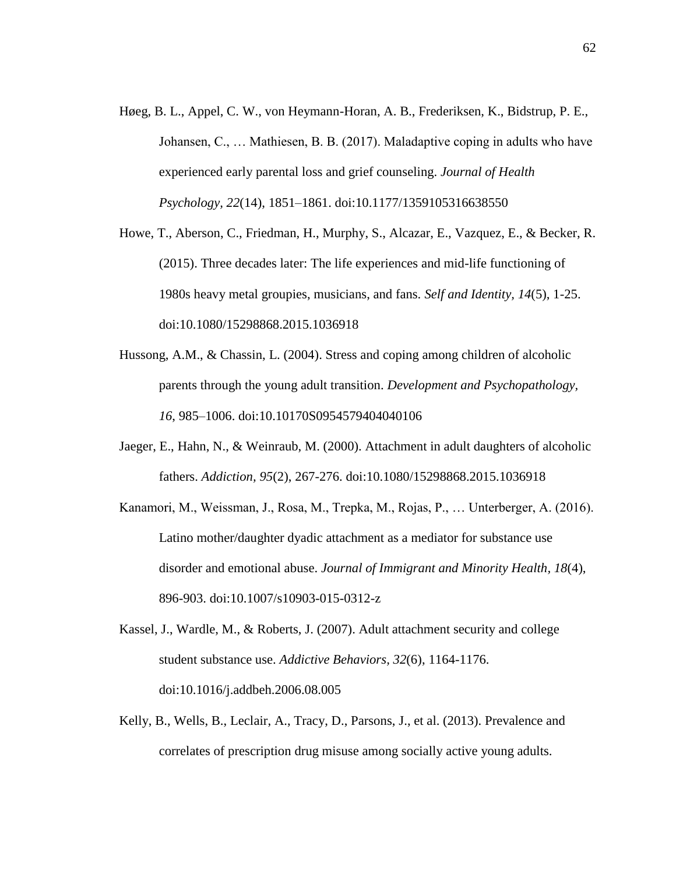- Høeg, B. L., Appel, C. W., von Heymann-Horan, A. B., Frederiksen, K., Bidstrup, P. E., Johansen, C., … Mathiesen, B. B. (2017). Maladaptive coping in adults who have experienced early parental loss and grief counseling. *Journal of Health Psychology, 22*(14), 1851–1861. doi:10.1177/1359105316638550
- Howe, T., Aberson, C., Friedman, H., Murphy, S., Alcazar, E., Vazquez, E., & Becker, R. (2015). Three decades later: The life experiences and mid-life functioning of 1980s heavy metal groupies, musicians, and fans. *Self and Identity, 14*(5), 1-25. doi:10.1080/15298868.2015.1036918
- Hussong, A.M., & Chassin, L. (2004). Stress and coping among children of alcoholic parents through the young adult transition. *Development and Psychopathology, 16*, 985–1006. doi:10.10170S0954579404040106
- Jaeger, E., Hahn, N., & Weinraub, M. (2000). Attachment in adult daughters of alcoholic fathers. *Addiction, 95*(2), 267-276. doi:10.1080/15298868.2015.1036918
- Kanamori, M., Weissman, J., Rosa, M., Trepka, M., Rojas, P., … Unterberger, A. (2016). Latino mother/daughter dyadic attachment as a mediator for substance use disorder and emotional abuse. *Journal of Immigrant and Minority Health, 18*(4), 896-903. doi:10.1007/s10903-015-0312-z
- Kassel, J., Wardle, M., & Roberts, J. (2007). Adult attachment security and college student substance use. *Addictive Behaviors, 32*(6), 1164-1176. doi:10.1016/j.addbeh.2006.08.005
- Kelly, B., Wells, B., Leclair, A., Tracy, D., Parsons, J., et al. (2013). Prevalence and correlates of prescription drug misuse among socially active young adults.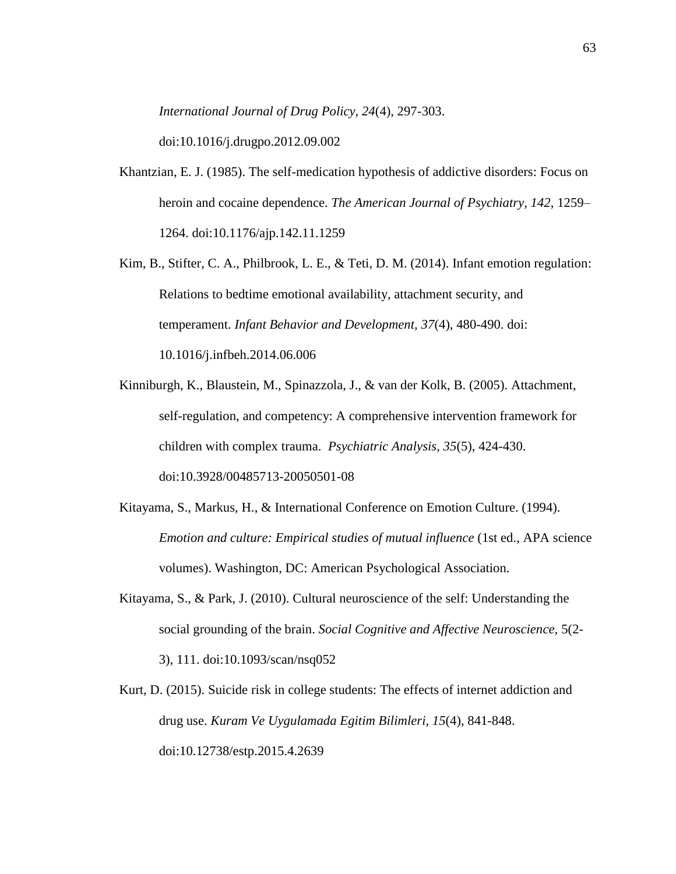*International Journal of Drug Policy, 24*(4), 297-303.

doi:10.1016/j.drugpo.2012.09.002

- Khantzian, E. J. (1985). The self-medication hypothesis of addictive disorders: Focus on heroin and cocaine dependence. *The American Journal of Psychiatry, 142*, 1259– 1264. doi:10.1176/ajp.142.11.1259
- Kim, B., Stifter, C. A., Philbrook, L. E., & Teti, D. M. (2014). Infant emotion regulation: Relations to bedtime emotional availability, attachment security, and temperament. *Infant Behavior and Development, 37*(4), 480-490. doi: 10.1016/j.infbeh.2014.06.006
- Kinniburgh, K., Blaustein, M., Spinazzola, J., & van der Kolk, B. (2005). Attachment, self-regulation, and competency: A comprehensive intervention framework for children with complex trauma. *Psychiatric Analysis, 35*(5), 424-430. doi:10.3928/00485713-20050501-08
- Kitayama, S., Markus, H., & International Conference on Emotion Culture. (1994). *Emotion and culture: Empirical studies of mutual influence* (1st ed., APA science volumes). Washington, DC: American Psychological Association.
- Kitayama, S., & Park, J. (2010). Cultural neuroscience of the self: Understanding the social grounding of the brain. *Social Cognitive and Affective Neuroscience,* 5(2- 3), 111. doi:10.1093/scan/nsq052
- Kurt, D. (2015). Suicide risk in college students: The effects of internet addiction and drug use. *Kuram Ve Uygulamada Egitim Bilimleri, 15*(4), 841-848. doi:10.12738/estp.2015.4.2639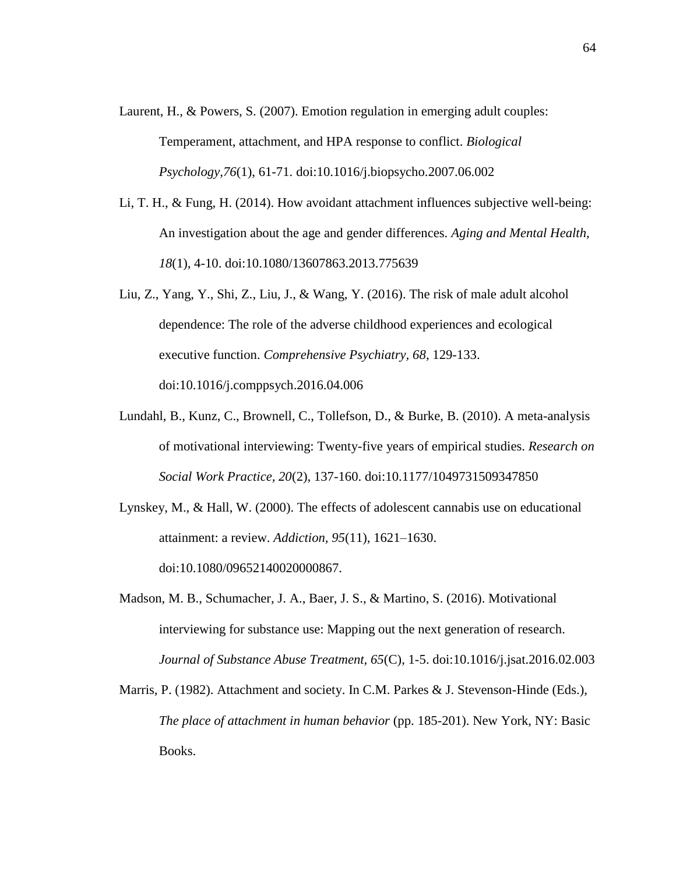- Laurent, H., & Powers, S. (2007). Emotion regulation in emerging adult couples: Temperament, attachment, and HPA response to conflict. *Biological Psychology,76*(1), 61-71. doi:10.1016/j.biopsycho.2007.06.002
- Li, T. H., & Fung, H. (2014). How avoidant attachment influences subjective well-being: An investigation about the age and gender differences. *Aging and Mental Health, 18*(1), 4-10. doi:10.1080/13607863.2013.775639
- Liu, Z., Yang, Y., Shi, Z., Liu, J., & Wang, Y. (2016). The risk of male adult alcohol dependence: The role of the adverse childhood experiences and ecological executive function. *Comprehensive Psychiatry, 68*, 129-133. doi:10.1016/j.comppsych.2016.04.006
- Lundahl, B., Kunz, C., Brownell, C., Tollefson, D., & Burke, B. (2010). A meta-analysis of motivational interviewing: Twenty-five years of empirical studies. *Research on Social Work Practice, 20*(2), 137-160. doi:10.1177/1049731509347850
- Lynskey, M., & Hall, W. (2000). The effects of adolescent cannabis use on educational attainment: a review. *Addiction, 95*(11), 1621–1630. doi:10.1080/09652140020000867.
- Madson, M. B., Schumacher, J. A., Baer, J. S., & Martino, S. (2016). Motivational interviewing for substance use: Mapping out the next generation of research. *Journal of Substance Abuse Treatment, 65*(C), 1-5. doi:10.1016/j.jsat.2016.02.003
- Marris, P. (1982). Attachment and society. In C.M. Parkes & J. Stevenson-Hinde (Eds.), *The place of attachment in human behavior* (pp. 185-201). New York, NY: Basic Books.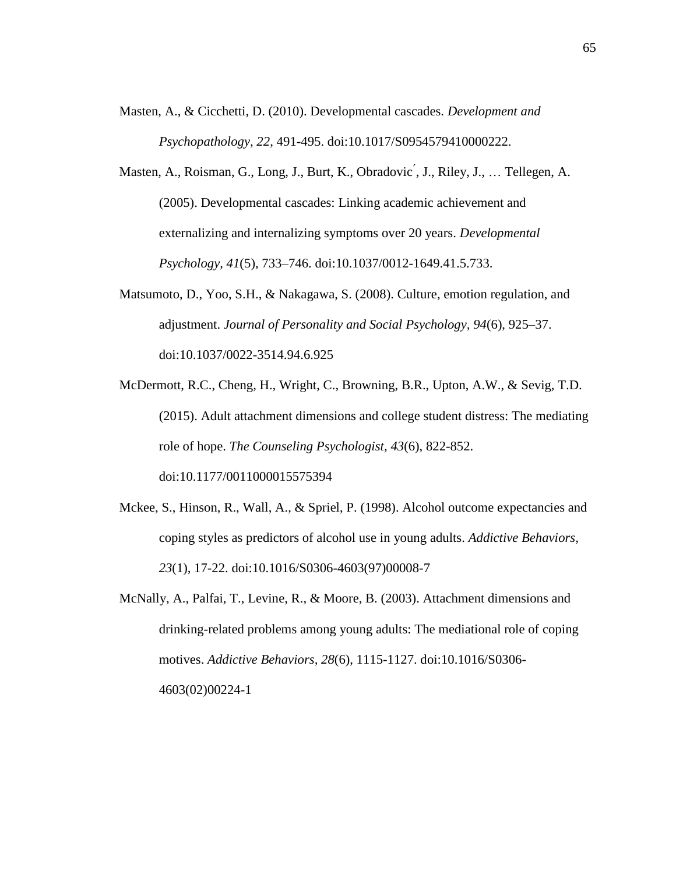- Masten, A., & Cicchetti, D. (2010). Developmental cascades. *Development and Psychopathology, 22*, 491-495. doi:10.1017/S0954579410000222.
- Masten, A., Roisman, G., Long, J., Burt, K., Obradovic ́, J., Riley, J., … Tellegen, A. (2005). Developmental cascades: Linking academic achievement and externalizing and internalizing symptoms over 20 years. *Developmental Psychology, 41*(5), 733–746. doi:10.1037/0012-1649.41.5.733.
- Matsumoto, D., Yoo, S.H., & Nakagawa, S. (2008). Culture, emotion regulation, and adjustment. *Journal of Personality and Social Psychology, 94*(6), 925–37. doi:10.1037/0022-3514.94.6.925
- McDermott, R.C., Cheng, H., Wright, C., Browning, B.R., Upton, A.W., & Sevig, T.D. (2015). Adult attachment dimensions and college student distress: The mediating role of hope. *The Counseling Psychologist, 43*(6), 822-852. doi:10.1177/0011000015575394
- Mckee, S., Hinson, R., Wall, A., & Spriel, P. (1998). Alcohol outcome expectancies and coping styles as predictors of alcohol use in young adults. *Addictive Behaviors, 23*(1), 17-22. doi:10.1016/S0306-4603(97)00008-7
- McNally, A., Palfai, T., Levine, R., & Moore, B. (2003). Attachment dimensions and drinking-related problems among young adults: The mediational role of coping motives. *Addictive Behaviors, 28*(6), 1115-1127. doi:10.1016/S0306- 4603(02)00224-1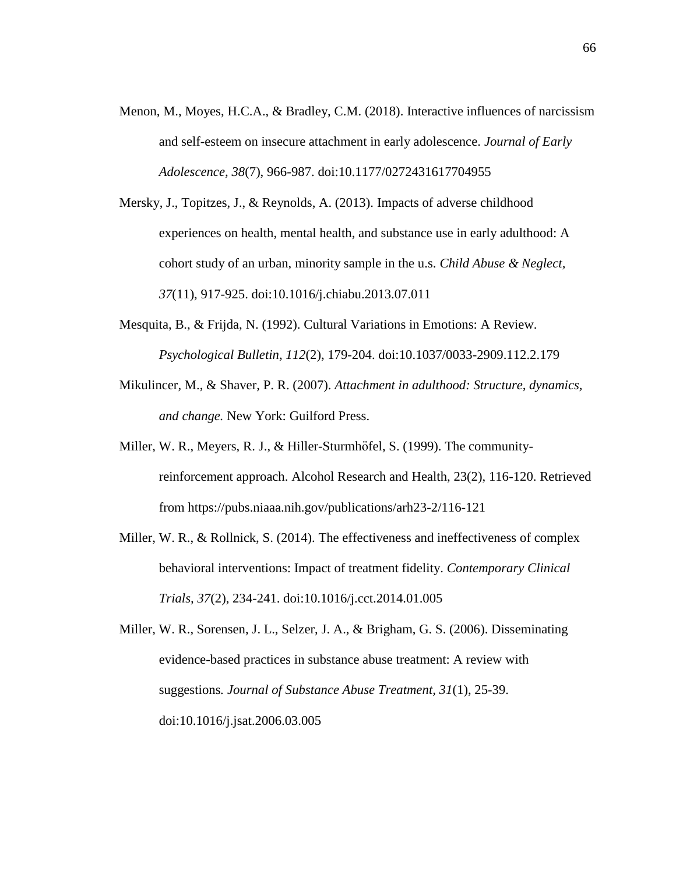- Menon, M., Moyes, H.C.A., & Bradley, C.M. (2018). Interactive influences of narcissism and self-esteem on insecure attachment in early adolescence. *Journal of Early Adolescence, 38*(7), 966-987. doi:10.1177/0272431617704955
- Mersky, J., Topitzes, J., & Reynolds, A. (2013). Impacts of adverse childhood experiences on health, mental health, and substance use in early adulthood: A cohort study of an urban, minority sample in the u.s. *Child Abuse & Neglect, 37*(11), 917-925. doi:10.1016/j.chiabu.2013.07.011
- Mesquita, B., & Frijda, N. (1992). Cultural Variations in Emotions: A Review. *Psychological Bulletin, 112*(2), 179-204. doi:10.1037/0033-2909.112.2.179
- Mikulincer, M., & Shaver, P. R. (2007). *Attachment in adulthood: Structure, dynamics, and change.* New York: Guilford Press.
- Miller, W. R., Meyers, R. J., & Hiller-Sturmhöfel, S. (1999). The communityreinforcement approach. Alcohol Research and Health, 23(2), 116-120. Retrieved from https://pubs.niaaa.nih.gov/publications/arh23-2/116-121
- Miller, W. R., & Rollnick, S. (2014). The effectiveness and ineffectiveness of complex behavioral interventions: Impact of treatment fidelity. *Contemporary Clinical Trials, 37*(2), 234-241. doi:10.1016/j.cct.2014.01.005

Miller, W. R., Sorensen, J. L., Selzer, J. A., & Brigham, G. S. (2006). Disseminating evidence-based practices in substance abuse treatment: A review with suggestions*. Journal of Substance Abuse Treatment, 31*(1), 25-39. doi:10.1016/j.jsat.2006.03.005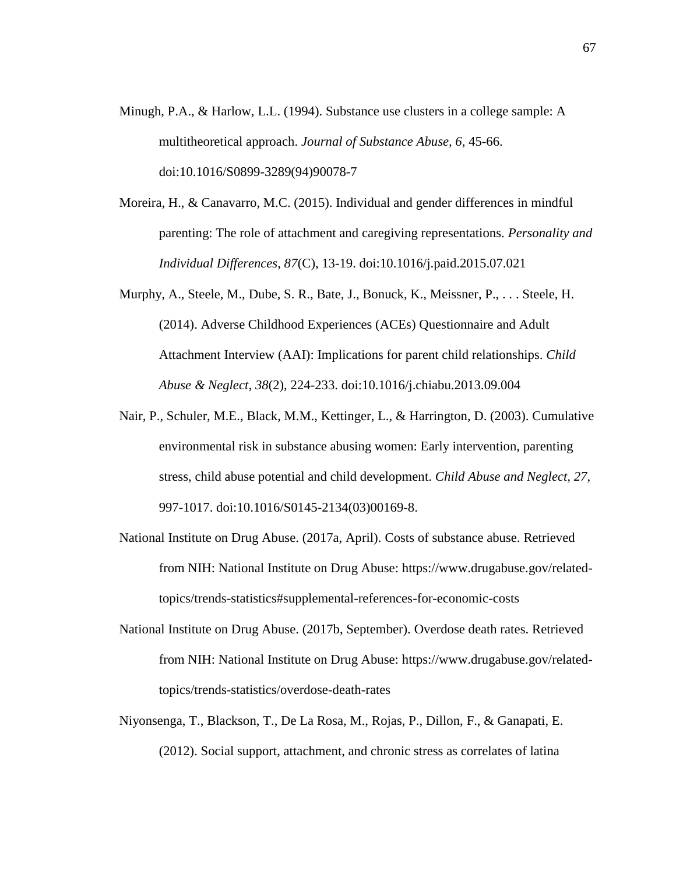- Minugh, P.A., & Harlow, L.L. (1994). Substance use clusters in a college sample: A multitheoretical approach. *Journal of Substance Abuse, 6*, 45-66. doi:10.1016/S0899-3289(94)90078-7
- Moreira, H., & Canavarro, M.C. (2015). Individual and gender differences in mindful parenting: The role of attachment and caregiving representations. *Personality and Individual Differences, 87*(C), 13-19. doi:10.1016/j.paid.2015.07.021
- Murphy, A., Steele, M., Dube, S. R., Bate, J., Bonuck, K., Meissner, P., . . . Steele, H. (2014). Adverse Childhood Experiences (ACEs) Questionnaire and Adult Attachment Interview (AAI): Implications for parent child relationships. *Child Abuse & Neglect, 38*(2), 224-233. doi:10.1016/j.chiabu.2013.09.004
- Nair, P., Schuler, M.E., Black, M.M., Kettinger, L., & Harrington, D. (2003). Cumulative environmental risk in substance abusing women: Early intervention, parenting stress, child abuse potential and child development. *Child Abuse and Neglect, 27*, 997-1017. doi:10.1016/S0145-2134(03)00169-8.
- National Institute on Drug Abuse. (2017a, April). Costs of substance abuse. Retrieved from NIH: National Institute on Drug Abuse: [https://www.drugabuse.gov/related](https://www.drugabuse.gov/related-topics/trends-statistics)[topics/trends-statistics#s](https://www.drugabuse.gov/related-topics/trends-statistics)upplemental-references-for-economic-costs
- National Institute on Drug Abuse. (2017b, September). Overdose death rates. Retrieved from NIH: National Institute on Drug Abuse: [https://www.drugabuse.gov/related](https://www.drugabuse.gov/related-topics/)[topics/t](https://www.drugabuse.gov/related-topics/)rends-statistics/overdose-death-rates
- Niyonsenga, T., Blackson, T., De La Rosa, M., Rojas, P., Dillon, F., & Ganapati, E. (2012). Social support, attachment, and chronic stress as correlates of latina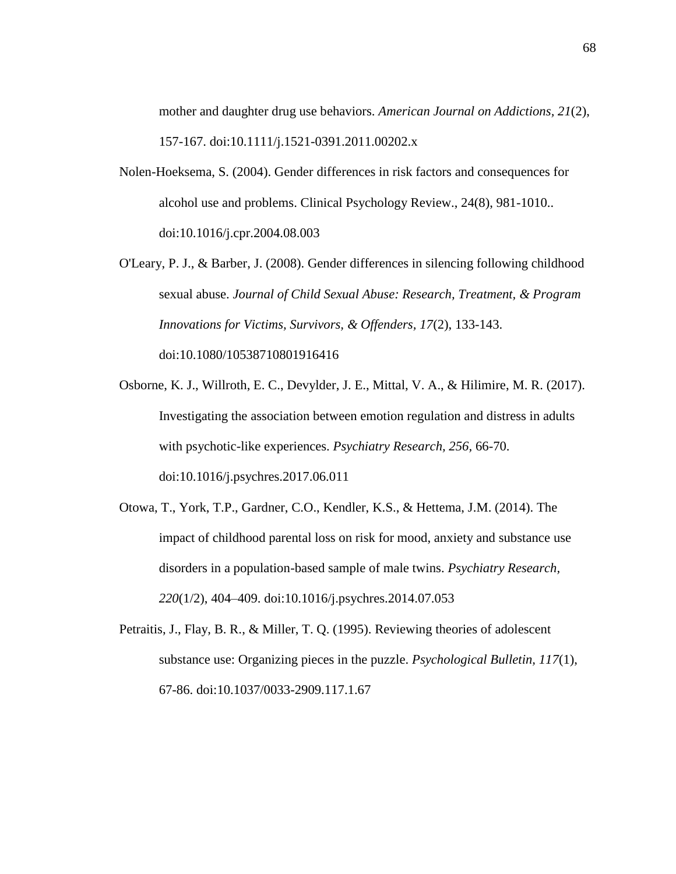mother and daughter drug use behaviors. *American Journal on Addictions, 21*(2), 157-167. doi:10.1111/j.1521-0391.2011.00202.x

- Nolen-Hoeksema, S. (2004). Gender differences in risk factors and consequences for alcohol use and problems. Clinical Psychology Review., 24(8), 981-1010.. doi:10.1016/j.cpr.2004.08.003
- O'Leary, P. J., & Barber, J. (2008). Gender differences in silencing following childhood sexual abuse. *Journal of Child Sexual Abuse: Research, Treatment, & Program Innovations for Victims, Survivors, & Offenders, 17*(2), 133-143. doi:10.1080/10538710801916416
- Osborne, K. J., Willroth, E. C., Devylder, J. E., Mittal, V. A., & Hilimire, M. R. (2017). Investigating the association between emotion regulation and distress in adults with psychotic-like experiences. *Psychiatry Research, 256,* 66-70. doi:10.1016/j.psychres.2017.06.011
- Otowa, T., York, T.P., Gardner, C.O., Kendler, K.S., & Hettema, J.M. (2014). The impact of childhood parental loss on risk for mood, anxiety and substance use disorders in a population-based sample of male twins. *Psychiatry Research, 220*(1/2), 404–409. doi:10.1016/j.psychres.2014.07.053
- Petraitis, J., Flay, B. R., & Miller, T. Q. (1995). Reviewing theories of adolescent substance use: Organizing pieces in the puzzle. *Psychological Bulletin, 117*(1), 67-86. doi:10.1037/0033-2909.117.1.67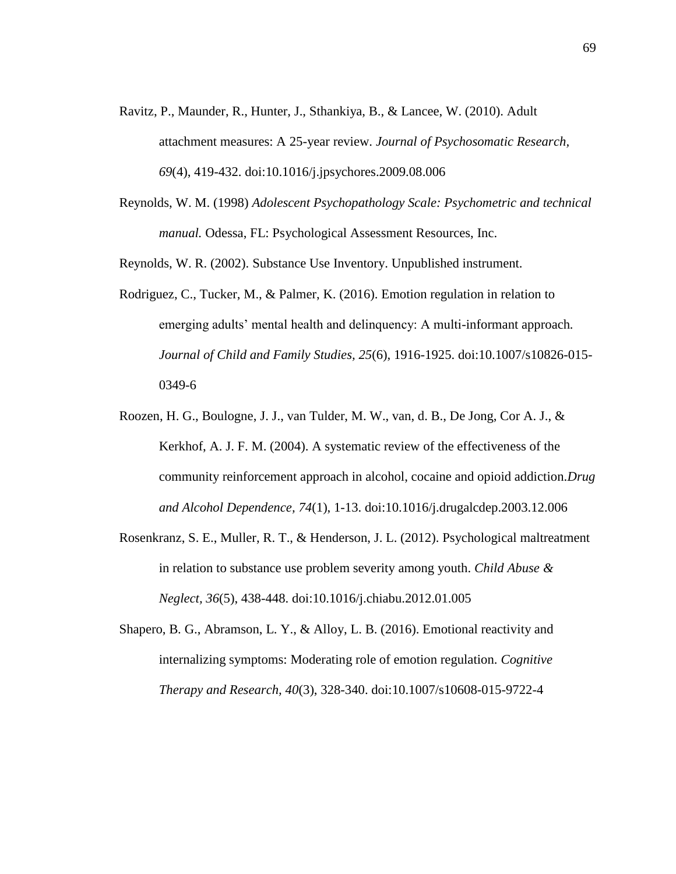- Ravitz, P., Maunder, R., Hunter, J., Sthankiya, B., & Lancee, W. (2010). Adult attachment measures: A 25-year review. *Journal of Psychosomatic Research, 69*(4), 419-432. doi:10.1016/j.jpsychores.2009.08.006
- Reynolds, W. M. (1998) *Adolescent Psychopathology Scale: Psychometric and technical manual.* Odessa, FL: Psychological Assessment Resources, Inc.

Reynolds, W. R. (2002). Substance Use Inventory. Unpublished instrument.

- Rodriguez, C., Tucker, M., & Palmer, K. (2016). Emotion regulation in relation to emerging adults' mental health and delinquency: A multi-informant approach*. Journal of Child and Family Studies, 25*(6), 1916-1925. doi:10.1007/s10826-015- 0349-6
- Roozen, H. G., Boulogne, J. J., van Tulder, M. W., van, d. B., De Jong, Cor A. J., & Kerkhof, A. J. F. M. (2004). A systematic review of the effectiveness of the community reinforcement approach in alcohol, cocaine and opioid addiction.*Drug and Alcohol Dependence, 74*(1), 1-13. doi:10.1016/j.drugalcdep.2003.12.006
- Rosenkranz, S. E., Muller, R. T., & Henderson, J. L. (2012). Psychological maltreatment in relation to substance use problem severity among youth. *Child Abuse & Neglect, 36*(5), 438-448. doi:10.1016/j.chiabu.2012.01.005
- Shapero, B. G., Abramson, L. Y., & Alloy, L. B. (2016). Emotional reactivity and internalizing symptoms: Moderating role of emotion regulation. *Cognitive Therapy and Research, 40*(3), 328-340. doi:10.1007/s10608-015-9722-4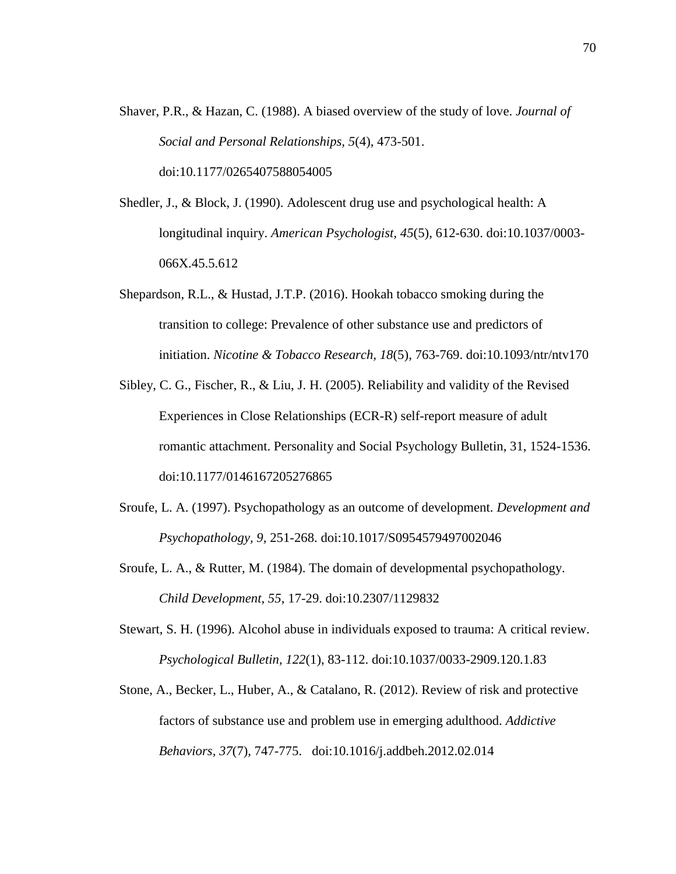- Shaver, P.R., & Hazan, C. (1988). A biased overview of the study of love. *Journal of Social and Personal Relationships, 5*(4), 473-501. doi:10.1177/0265407588054005
- Shedler, J., & Block, J. (1990). Adolescent drug use and psychological health: A longitudinal inquiry. *American Psychologist, 45*(5), 612-630. doi:10.1037/0003- 066X.45.5.612
- Shepardson, R.L., & Hustad, J.T.P. (2016). Hookah tobacco smoking during the transition to college: Prevalence of other substance use and predictors of initiation. *Nicotine & Tobacco Research, 18*(5), 763-769. doi:10.1093/ntr/ntv170
- Sibley, C. G., Fischer, R., & Liu, J. H. (2005). Reliability and validity of the Revised Experiences in Close Relationships (ECR-R) self-report measure of adult romantic attachment. Personality and Social Psychology Bulletin, 31, 1524-1536. doi:10.1177/0146167205276865
- Sroufe, L. A. (1997). Psychopathology as an outcome of development. *Development and Psychopathology, 9,* 251-268. doi:10.1017/S0954579497002046
- Sroufe, L. A., & Rutter, M. (1984). The domain of developmental psychopathology. *Child Development, 55*, 17-29. doi:10.2307/1129832
- Stewart, S. H. (1996). Alcohol abuse in individuals exposed to trauma: A critical review. *Psychological Bulletin, 122*(1), 83-112. doi:10.1037/0033-2909.120.1.83
- Stone, A., Becker, L., Huber, A., & Catalano, R. (2012). Review of risk and protective factors of substance use and problem use in emerging adulthood. *Addictive Behaviors, 37*(7), 747-775. doi:10.1016/j.addbeh.2012.02.014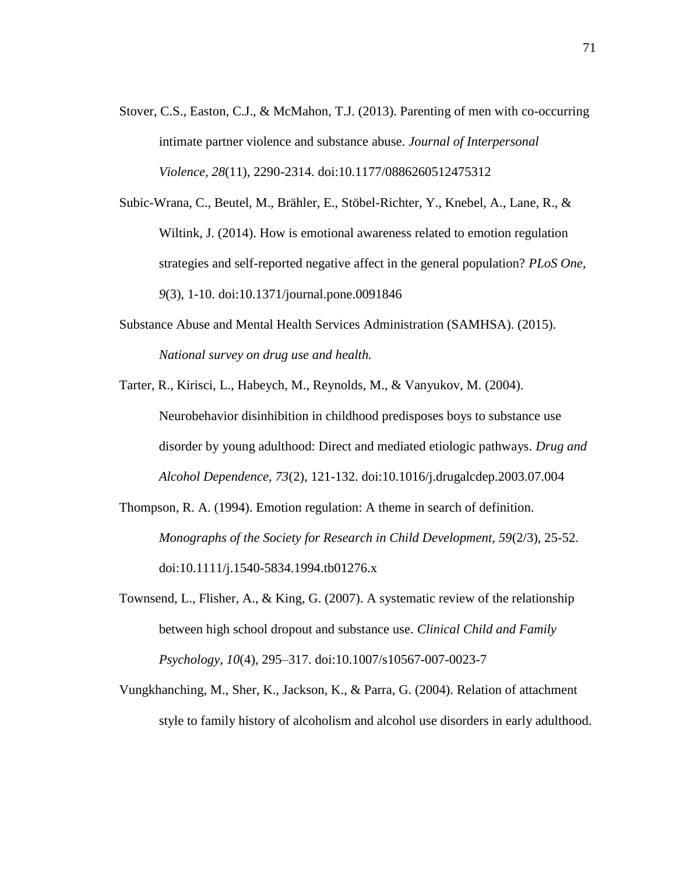Stover, C.S., Easton, C.J., & McMahon, T.J. (2013). Parenting of men with co-occurring intimate partner violence and substance abuse. *Journal of Interpersonal Violence, 28*(11), 2290-2314. doi:10.1177/0886260512475312

Subic-Wrana, C., Beutel, M., Brähler, E., Stöbel-Richter, Y., Knebel, A., Lane, R., & Wiltink, J. (2014). How is emotional awareness related to emotion regulation strategies and self-reported negative affect in the general population? *PLoS One, 9*(3), 1-10. doi:10.1371/journal.pone.0091846

- Substance Abuse and Mental Health Services Administration (SAMHSA). (2015). *National survey on drug use and health.*
- Tarter, R., Kirisci, L., Habeych, M., Reynolds, M., & Vanyukov, M. (2004). Neurobehavior disinhibition in childhood predisposes boys to substance use disorder by young adulthood: Direct and mediated etiologic pathways. *Drug and Alcohol Dependence, 73*(2), 121-132. doi:10.1016/j.drugalcdep.2003.07.004
- Thompson, R. A. (1994). Emotion regulation: A theme in search of definition. *Monographs of the Society for Research in Child Development, 59*(2/3), 25-52. doi:10.1111/j.1540-5834.1994.tb01276.x
- Townsend, L., Flisher, A., & King, G. (2007). A systematic review of the relationship between high school dropout and substance use. *Clinical Child and Family Psychology, 10*(4), 295–317. doi:10.1007/s10567-007-0023-7
- Vungkhanching, M., Sher, K., Jackson, K., & Parra, G. (2004). Relation of attachment style to family history of alcoholism and alcohol use disorders in early adulthood.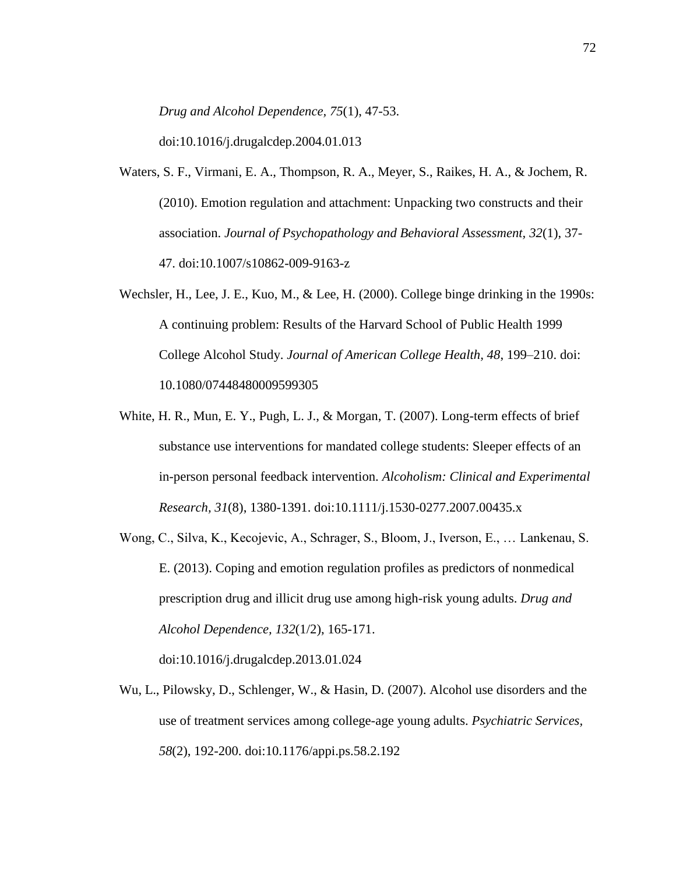*Drug and Alcohol Dependence, 75*(1), 47-53.

doi:10.1016/j.drugalcdep.2004.01.013

- Waters, S. F., Virmani, E. A., Thompson, R. A., Meyer, S., Raikes, H. A., & Jochem, R. (2010). Emotion regulation and attachment: Unpacking two constructs and their association. *Journal of Psychopathology and Behavioral Assessment, 32*(1), 37- 47. doi:10.1007/s10862-009-9163-z
- Wechsler, H., Lee, J. E., Kuo, M., & Lee, H. (2000). College binge drinking in the 1990s: A continuing problem: Results of the Harvard School of Public Health 1999 College Alcohol Study. *Journal of American College Health, 48*, 199–210. doi: 10.1080/07448480009599305
- White, H. R., Mun, E. Y., Pugh, L. J., & Morgan, T. (2007). Long-term effects of brief substance use interventions for mandated college students: Sleeper effects of an in-person personal feedback intervention. *Alcoholism: Clinical and Experimental Research, 31*(8), 1380-1391. doi:10.1111/j.1530-0277.2007.00435.x
- Wong, C., Silva, K., Kecojevic, A., Schrager, S., Bloom, J., Iverson, E., … Lankenau, S. E. (2013). Coping and emotion regulation profiles as predictors of nonmedical prescription drug and illicit drug use among high-risk young adults. *Drug and Alcohol Dependence, 132*(1/2), 165-171.

doi:10.1016/j.drugalcdep.2013.01.024

Wu, L., Pilowsky, D., Schlenger, W., & Hasin, D. (2007). Alcohol use disorders and the use of treatment services among college-age young adults. *Psychiatric Services, 58*(2), 192-200. doi:10.1176/appi.ps.58.2.192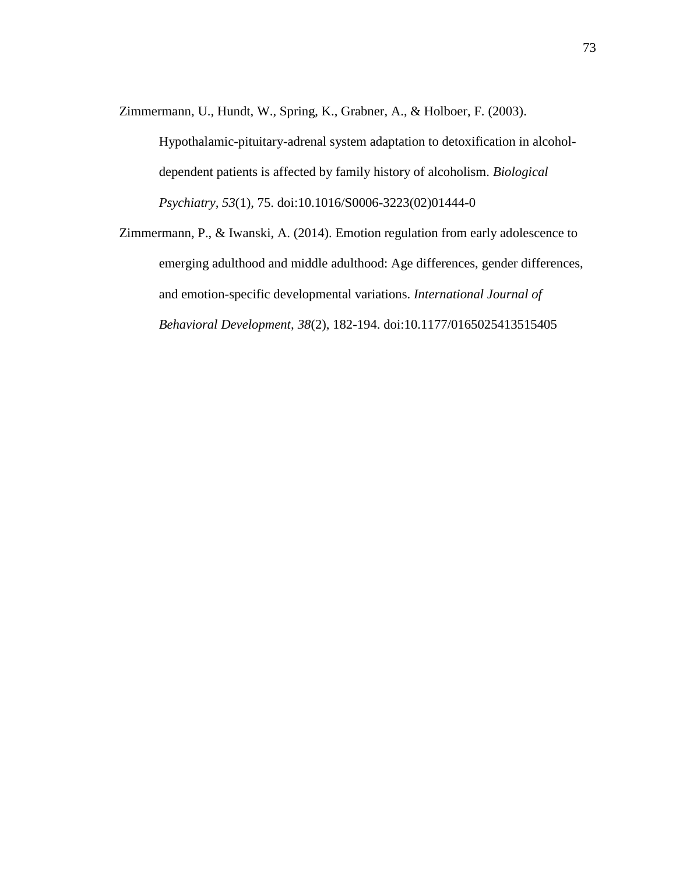Zimmermann, U., Hundt, W., Spring, K., Grabner, A., & Holboer, F. (2003).

Hypothalamic-pituitary-adrenal system adaptation to detoxification in alcoholdependent patients is affected by family history of alcoholism. *Biological Psychiatry, 53*(1), 75. doi:10.1016/S0006-3223(02)01444-0

Zimmermann, P., & Iwanski, A. (2014). Emotion regulation from early adolescence to emerging adulthood and middle adulthood: Age differences, gender differences, and emotion-specific developmental variations. *International Journal of Behavioral Development, 38*(2), 182-194. doi:10.1177/0165025413515405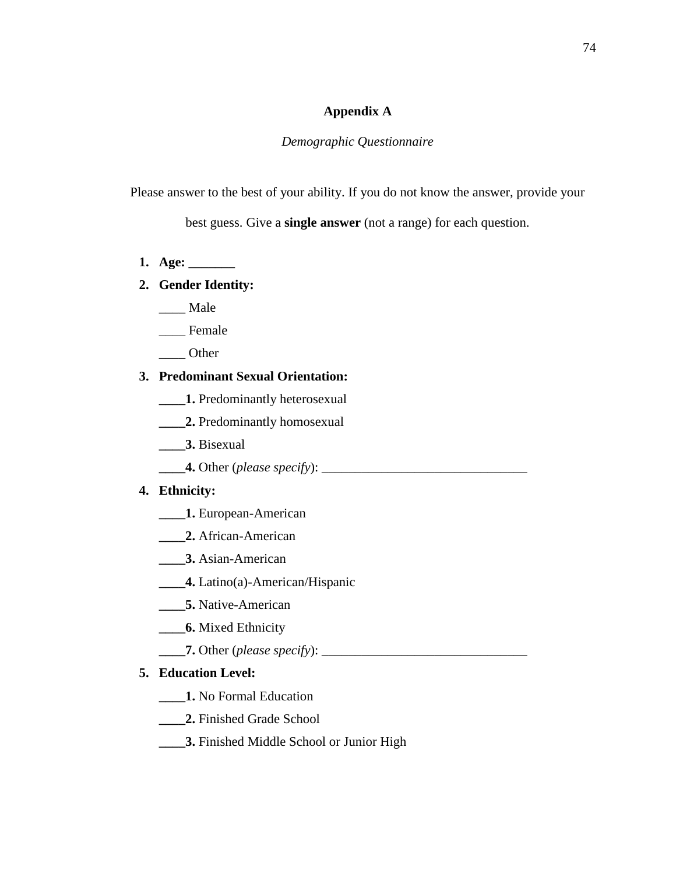### **Appendix A**

## *Demographic Questionnaire*

Please answer to the best of your ability. If you do not know the answer, provide your

best guess. Give a **single answer** (not a range) for each question.

**1. Age: \_\_\_\_\_\_\_**

## **2. Gender Identity:**

- \_\_\_\_ Male
- \_\_\_\_ Female
- \_\_\_\_ Other

## **3. Predominant Sexual Orientation:**

- **\_\_\_\_1.** Predominantly heterosexual
- **\_\_\_\_2.** Predominantly homosexual
- **\_\_\_\_3.** Bisexual
- **\_\_\_\_4.** Other (*please specify*): \_\_\_\_\_\_\_\_\_\_\_\_\_\_\_\_\_\_\_\_\_\_\_\_\_\_\_\_\_\_\_

### **4. Ethnicity:**

- **\_\_\_\_1.** European-American
- **\_\_\_\_2.** African-American
- **\_\_\_\_3.** Asian-American
- **\_\_\_\_4.** Latino(a)-American/Hispanic
- **\_\_\_\_5.** Native-American
- **\_\_\_\_6.** Mixed Ethnicity
- **\_\_\_\_7.** Other (*please specify*): \_\_\_\_\_\_\_\_\_\_\_\_\_\_\_\_\_\_\_\_\_\_\_\_\_\_\_\_\_\_\_

## **5. Education Level:**

- **\_\_\_\_1.** No Formal Education
- **\_\_\_\_2.** Finished Grade School
- **\_\_\_\_3.** Finished Middle School or Junior High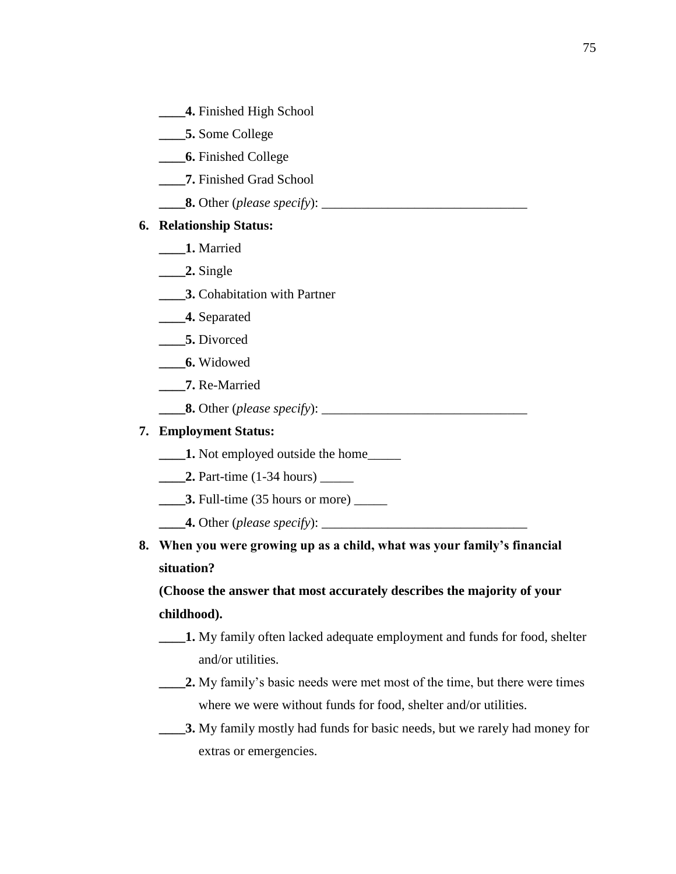- **\_\_\_\_4.** Finished High School
- **\_\_\_\_5.** Some College
- **\_\_\_\_6.** Finished College
- **\_\_\_\_7.** Finished Grad School
- **8.** Other (*please specify*):

## **6. Relationship Status:**

- **\_\_\_\_1.** Married
- **\_\_\_\_2.** Single
- **\_\_\_\_3.** Cohabitation with Partner
- **\_\_\_\_4.** Separated
- **\_\_\_\_5.** Divorced
- **\_\_\_\_6.** Widowed
- **\_\_\_\_7.** Re-Married
- **\_\_\_\_8.** Other (*please specify*): \_\_\_\_\_\_\_\_\_\_\_\_\_\_\_\_\_\_\_\_\_\_\_\_\_\_\_\_\_\_\_

## **7. Employment Status:**

- **\_\_\_\_1.** Not employed outside the home\_\_\_\_\_
- **2.** Part-time (1-34 hours)
- **3.** Full-time (35 hours or more)
- **4.** Other (*please specify*):
- **8. When you were growing up as a child, what was your family's financial situation?**

# **(Choose the answer that most accurately describes the majority of your childhood).**

- **\_\_\_\_1.** My family often lacked adequate employment and funds for food, shelter and/or utilities.
- **\_\_\_\_2.** My family's basic needs were met most of the time, but there were times where we were without funds for food, shelter and/or utilities.
- **\_\_\_\_3.** My family mostly had funds for basic needs, but we rarely had money for extras or emergencies.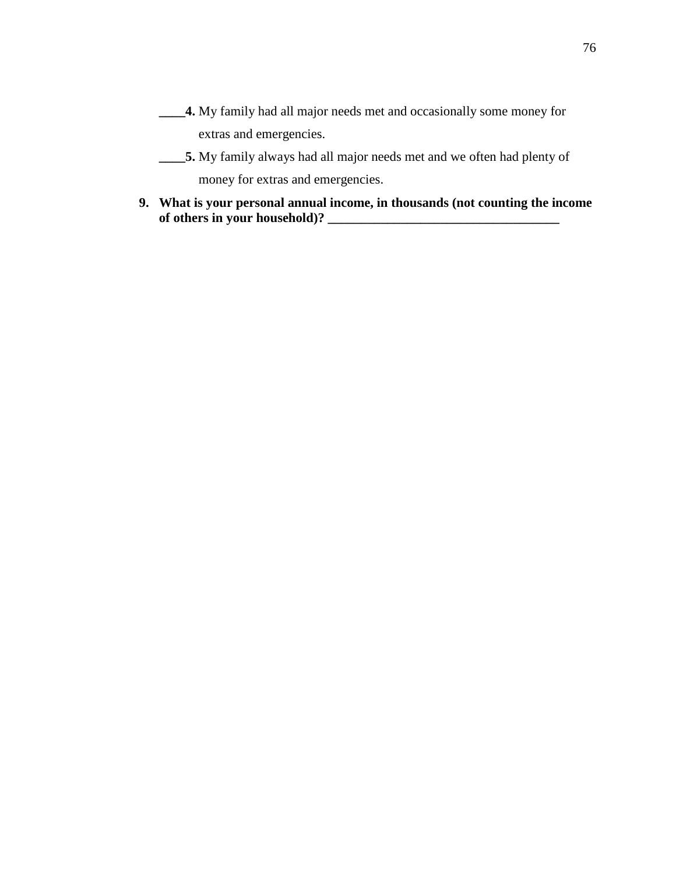- **\_\_\_\_4.** My family had all major needs met and occasionally some money for extras and emergencies.
- **\_\_\_\_5.** My family always had all major needs met and we often had plenty of money for extras and emergencies.
- **9. What is your personal annual income, in thousands (not counting the income of others in your household)? \_\_\_\_\_\_\_\_\_\_\_\_\_\_\_\_\_\_\_\_\_\_\_\_\_\_\_\_\_\_\_\_\_\_\_**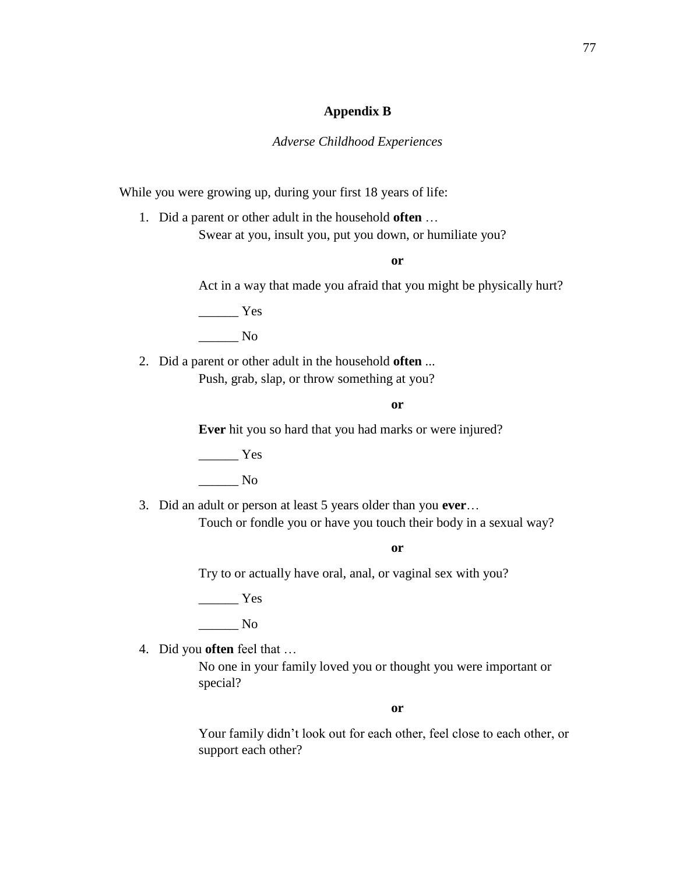#### **Appendix B**

#### *Adverse Childhood Experiences*

While you were growing up, during your first 18 years of life:

1. Did a parent or other adult in the household **often** … Swear at you, insult you, put you down, or humiliate you?

**or**

Act in a way that made you afraid that you might be physically hurt?

 $\frac{1}{\sqrt{1-\frac{1}{2}}\sqrt{1-\frac{1}{2}}\sqrt{1-\frac{1}{2}}\sqrt{1-\frac{1}{2}}\sqrt{1-\frac{1}{2}}\sqrt{1-\frac{1}{2}}\sqrt{1-\frac{1}{2}}\sqrt{1-\frac{1}{2}}\sqrt{1-\frac{1}{2}}\sqrt{1-\frac{1}{2}}\sqrt{1-\frac{1}{2}}\sqrt{1-\frac{1}{2}}\sqrt{1-\frac{1}{2}}\sqrt{1-\frac{1}{2}}\sqrt{1-\frac{1}{2}}\sqrt{1-\frac{1}{2}}\sqrt{1-\frac{1}{2}}\sqrt{1-\frac{1}{2}}\sqrt{1-\frac{1}{2}}\sqrt{1-\frac$ \_\_\_\_\_\_ No

2. Did a parent or other adult in the household **often** ... Push, grab, slap, or throw something at you?

**or**

**Ever** hit you so hard that you had marks or were injured?

 $\frac{1}{1}$  Yes

\_\_\_\_\_\_ No

3. Did an adult or person at least 5 years older than you **ever**… Touch or fondle you or have you touch their body in a sexual way?

**or**

Try to or actually have oral, anal, or vaginal sex with you?

 $\frac{1}{1}$  Yes

 $\overline{\phantom{a}}$  No

4. Did you **often** feel that …

No one in your family loved you or thought you were important or special?

**or**

Your family didn't look out for each other, feel close to each other, or support each other?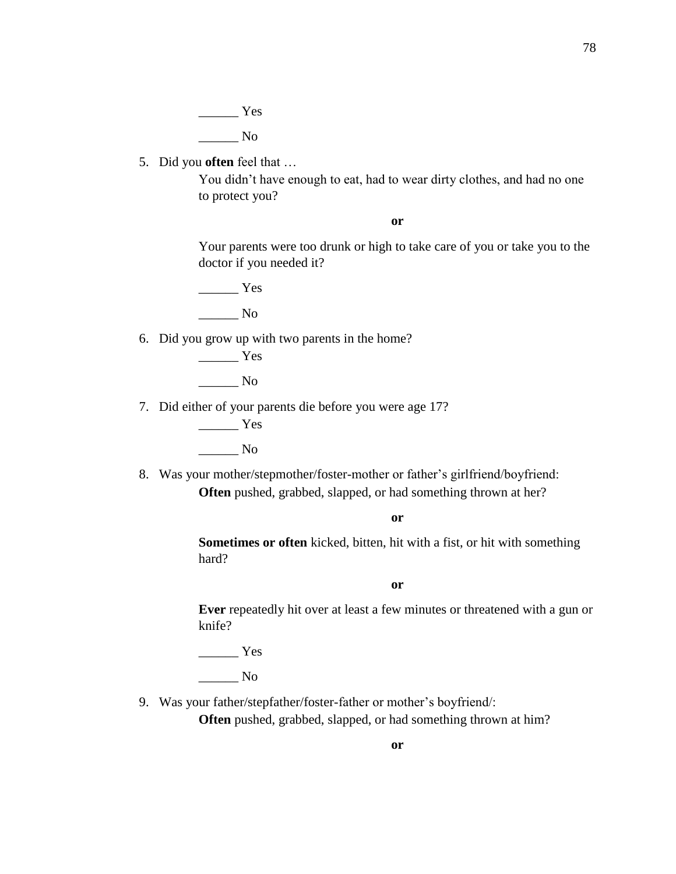$\frac{1}{1}$  Yes  $\_\_$  No

5. Did you **often** feel that …

You didn't have enough to eat, had to wear dirty clothes, and had no one to protect you?

**or**

Your parents were too drunk or high to take care of you or take you to the doctor if you needed it?

 $\frac{1}{\sqrt{1-\frac{1}{2}}\cos\theta}$  $\_\_$  No

6. Did you grow up with two parents in the home?

 $\frac{1}{\sqrt{1-\frac{1}{2}}\sqrt{1-\frac{1}{2}}\sqrt{1-\frac{1}{2}}\sqrt{1-\frac{1}{2}}\sqrt{1-\frac{1}{2}}\sqrt{1-\frac{1}{2}}\sqrt{1-\frac{1}{2}}\sqrt{1-\frac{1}{2}}\sqrt{1-\frac{1}{2}}\sqrt{1-\frac{1}{2}}\sqrt{1-\frac{1}{2}}\sqrt{1-\frac{1}{2}}\sqrt{1-\frac{1}{2}}\sqrt{1-\frac{1}{2}}\sqrt{1-\frac{1}{2}}\sqrt{1-\frac{1}{2}}\sqrt{1-\frac{1}{2}}\sqrt{1-\frac{1}{2}}\sqrt{1-\frac{1}{2}}\sqrt{1-\frac$ 

 $\_\_$  No

7. Did either of your parents die before you were age 17?

\_\_\_\_\_\_ Yes \_\_\_\_\_\_ No

8. Was your mother/stepmother/foster-mother or father's girlfriend/boyfriend: **Often** pushed, grabbed, slapped, or had something thrown at her?

**or**

**Sometimes or often** kicked, bitten, hit with a fist, or hit with something hard?

**or**

**Ever** repeatedly hit over at least a few minutes or threatened with a gun or knife?

\_\_\_\_\_\_ Yes

 $\_\_\_\_\$  No

9. Was your father/stepfather/foster-father or mother's boyfriend/:

**Often** pushed, grabbed, slapped, or had something thrown at him?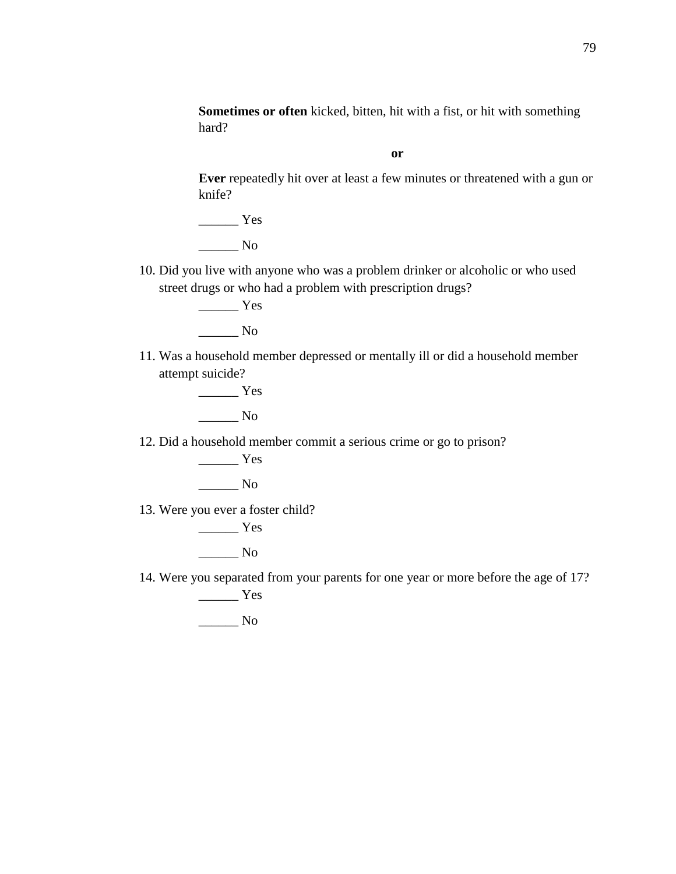**Sometimes or often** kicked, bitten, hit with a fist, or hit with something hard?

**or**

**Ever** repeatedly hit over at least a few minutes or threatened with a gun or knife?

\_\_\_\_\_\_ Yes  $\_\_$  No

10. Did you live with anyone who was a problem drinker or alcoholic or who used street drugs or who had a problem with prescription drugs?

> \_\_\_\_\_\_ Yes \_\_\_\_\_\_ No

11. Was a household member depressed or mentally ill or did a household member attempt suicide?

> \_\_\_\_\_\_ Yes \_\_\_\_\_\_ No

12. Did a household member commit a serious crime or go to prison?

 $\frac{1}{\sqrt{1-\frac{1}{2}}\sqrt{1-\frac{1}{2}}\left\vert \frac{1}{2}+\frac{1}{2}+\frac{1}{2}+\frac{1}{2}+\frac{1}{2}+\frac{1}{2}+\frac{1}{2}+\frac{1}{2}+\frac{1}{2}+\frac{1}{2}+\frac{1}{2}+\frac{1}{2}+\frac{1}{2}+\frac{1}{2}+\frac{1}{2}+\frac{1}{2}+\frac{1}{2}+\frac{1}{2}+\frac{1}{2}+\frac{1}{2}+\frac{1}{2}+\frac{1}{2}+\frac{1}{2}+\frac{1}{2}+\frac{1}{2}+\frac{1}{2}+\frac{1}{2}$  $\overline{\phantom{a}}$  No

13. Were you ever a foster child?

\_\_\_\_\_\_ Yes  $\_\_$  No

14. Were you separated from your parents for one year or more before the age of 17? \_\_\_\_\_\_ Yes

\_\_\_\_\_\_ No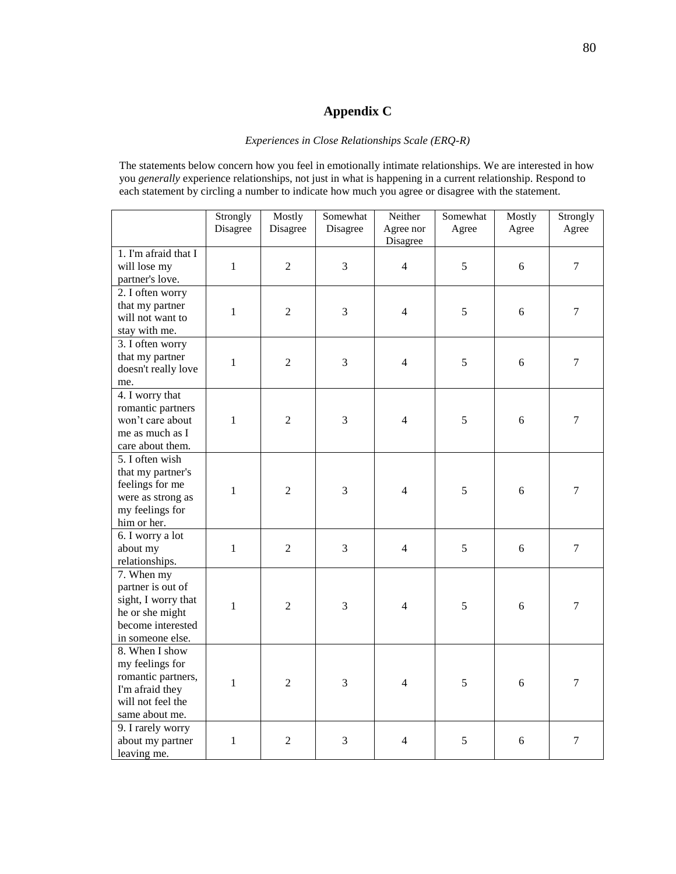## **Appendix C**

#### *Experiences in Close Relationships Scale (ERQ-R)*

The statements below concern how you feel in emotionally intimate relationships. We are interested in how you *generally* experience relationships, not just in what is happening in a current relationship. Respond to each statement by circling a number to indicate how much you agree or disagree with the statement.

|                                                                                                                    | Strongly<br>Disagree | Mostly<br>Disagree | Somewhat<br>Disagree | Neither<br>Agree nor<br>Disagree | Somewhat<br>Agree | Mostly<br>Agree | Strongly<br>Agree |
|--------------------------------------------------------------------------------------------------------------------|----------------------|--------------------|----------------------|----------------------------------|-------------------|-----------------|-------------------|
| 1. I'm afraid that I<br>will lose my<br>partner's love.                                                            | $\mathbf{1}$         | $\overline{2}$     | $\overline{3}$       | $\overline{4}$                   | 5                 | 6               | $\overline{7}$    |
| 2. I often worry<br>that my partner<br>will not want to<br>stay with me.                                           | $\mathbf{1}$         | $\overline{2}$     | 3                    | $\overline{4}$                   | 5                 | 6               | $\boldsymbol{7}$  |
| 3. I often worry<br>that my partner<br>doesn't really love<br>me.                                                  | $\mathbf{1}$         | $\overline{2}$     | 3                    | $\overline{4}$                   | 5                 | 6               | $\overline{7}$    |
| 4. I worry that<br>romantic partners<br>won't care about<br>me as much as I<br>care about them.                    | $\mathbf{1}$         | $\overline{2}$     | $\overline{3}$       | $\overline{4}$                   | 5                 | 6               | $\overline{7}$    |
| 5. I often wish<br>that my partner's<br>feelings for me<br>were as strong as<br>my feelings for<br>him or her.     | $\mathbf{1}$         | $\overline{2}$     | 3                    | $\overline{4}$                   | 5                 | $\sqrt{6}$      | $\boldsymbol{7}$  |
| 6. I worry a lot<br>about my<br>relationships.                                                                     | $\mathbf{1}$         | $\overline{2}$     | 3                    | $\overline{4}$                   | 5                 | 6               | $\overline{7}$    |
| 7. When my<br>partner is out of<br>sight, I worry that<br>he or she might<br>become interested<br>in someone else. | $\mathbf{1}$         | $\overline{2}$     | 3                    | $\overline{4}$                   | 5                 | 6               | $\overline{7}$    |
| 8. When I show<br>my feelings for<br>romantic partners,<br>I'm afraid they<br>will not feel the<br>same about me.  | $\mathbf{1}$         | $\overline{2}$     | 3                    | $\overline{4}$                   | 5                 | 6               | $\overline{7}$    |
| 9. I rarely worry<br>about my partner<br>leaving me.                                                               | $\mathbf{1}$         | $\overline{2}$     | 3                    | $\overline{4}$                   | 5                 | 6               | $\tau$            |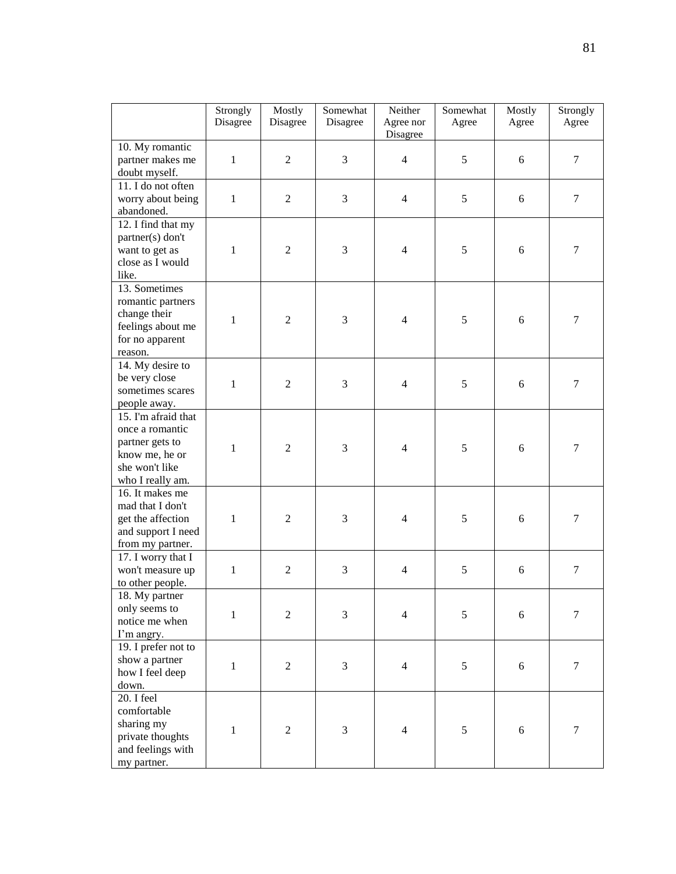|                                                                                                                   | Strongly<br>Disagree | Mostly<br>Disagree | Somewhat<br>Disagree | Neither<br>Agree nor<br>Disagree | Somewhat<br>Agree | Mostly<br>Agree | Strongly<br>Agree |
|-------------------------------------------------------------------------------------------------------------------|----------------------|--------------------|----------------------|----------------------------------|-------------------|-----------------|-------------------|
| 10. My romantic<br>partner makes me<br>doubt myself.                                                              | $\mathbf{1}$         | $\mathfrak{2}$     | 3                    | $\overline{4}$                   | 5                 | 6               | $\tau$            |
| 11. I do not often<br>worry about being<br>abandoned.                                                             | $\mathbf{1}$         | $\mathfrak{2}$     | 3                    | $\overline{4}$                   | 5                 | 6               | $\tau$            |
| 12. I find that my<br>partner(s) don't<br>want to get as<br>close as I would<br>like.                             | $\mathbf{1}$         | $\overline{2}$     | 3                    | $\overline{4}$                   | 5                 | 6               | $\tau$            |
| 13. Sometimes<br>romantic partners<br>change their<br>feelings about me<br>for no apparent<br>reason.             | $\mathbf{1}$         | $\mathfrak{2}$     | 3                    | $\overline{4}$                   | 5                 | 6               | $\overline{7}$    |
| 14. My desire to<br>be very close<br>sometimes scares<br>people away.                                             | $\mathbf{1}$         | $\overline{2}$     | 3                    | $\overline{4}$                   | 5                 | 6               | $\tau$            |
| 15. I'm afraid that<br>once a romantic<br>partner gets to<br>know me, he or<br>she won't like<br>who I really am. | 1                    | $\overline{2}$     | 3                    | $\overline{4}$                   | 5                 | 6               | 7                 |
| 16. It makes me<br>mad that I don't<br>get the affection<br>and support I need<br>from my partner.                | $\mathbf{1}$         | $\overline{2}$     | 3                    | $\overline{4}$                   | 5                 | 6               | $\tau$            |
| 17. I worry that I<br>won't measure up<br>to other people.                                                        | $\mathbf{1}$         | $\overline{2}$     | 3                    | $\overline{4}$                   | 5                 | 6               | $\tau$            |
| 18. My partner<br>only seems to<br>notice me when<br>I'm angry.                                                   | $\mathbf{1}$         | $\mathfrak{2}$     | 3                    | $\overline{4}$                   | 5                 | 6               | $\tau$            |
| 19. I prefer not to<br>show a partner<br>how I feel deep<br>down.                                                 | $\mathbf{1}$         | $\mathfrak{2}$     | 3                    | $\overline{4}$                   | 5                 | 6               | $\boldsymbol{7}$  |
| 20. I feel<br>comfortable<br>sharing my<br>private thoughts<br>and feelings with<br>my partner.                   | $\mathbf{1}$         | $\overline{2}$     | 3                    | $\overline{4}$                   | 5                 | 6               | $\tau$            |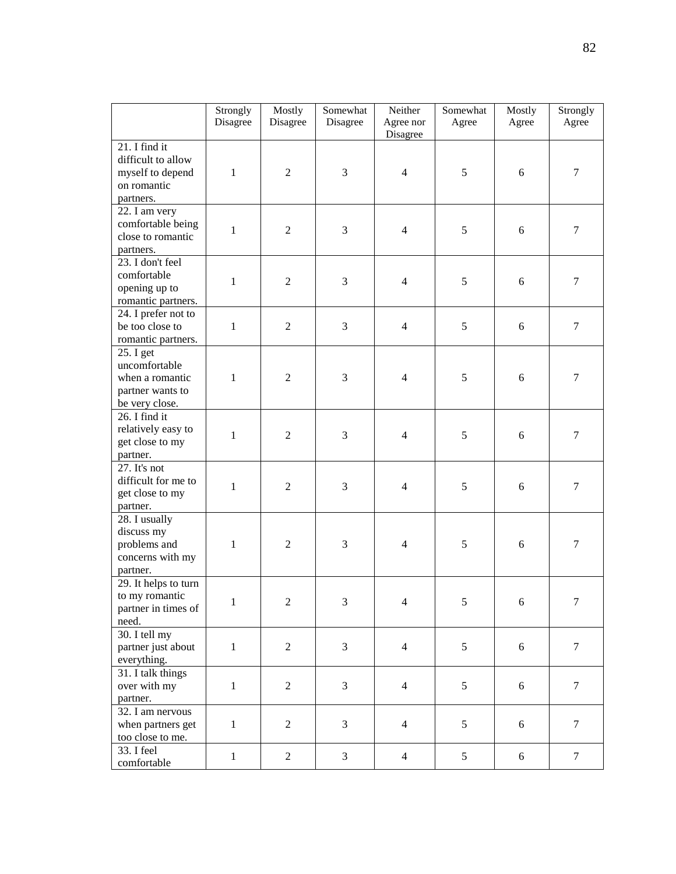|                                                                                     | Strongly<br>Disagree | Mostly<br>Disagree | Somewhat<br>Disagree | Neither<br>Agree nor<br>Disagree | Somewhat<br>Agree | Mostly<br>Agree | Strongly<br>Agree |
|-------------------------------------------------------------------------------------|----------------------|--------------------|----------------------|----------------------------------|-------------------|-----------------|-------------------|
| 21. I find it<br>difficult to allow<br>myself to depend<br>on romantic<br>partners. | $\mathbf{1}$         | $\overline{2}$     | 3                    | $\overline{4}$                   | 5                 | 6               | 7                 |
| 22. I am very<br>comfortable being<br>close to romantic<br>partners.                | $\mathbf{1}$         | $\overline{2}$     | 3                    | $\overline{4}$                   | 5                 | 6               | $\boldsymbol{7}$  |
| 23. I don't feel<br>comfortable<br>opening up to<br>romantic partners.              | $\mathbf{1}$         | $\mathfrak{2}$     | 3                    | $\overline{4}$                   | 5                 | 6               | $\tau$            |
| 24. I prefer not to<br>be too close to<br>romantic partners.                        | $\mathbf{1}$         | $\overline{2}$     | 3                    | $\overline{4}$                   | 5                 | 6               | $\tau$            |
| 25. I get<br>uncomfortable<br>when a romantic<br>partner wants to<br>be very close. | $\mathbf{1}$         | $\overline{2}$     | 3                    | $\overline{4}$                   | 5                 | 6               | 7                 |
| $26.$ I find it<br>relatively easy to<br>get close to my<br>partner.                | $\mathbf{1}$         | $\mathbf{2}$       | 3                    | $\overline{4}$                   | 5                 | 6               | 7                 |
| 27. It's not<br>difficult for me to<br>get close to my<br>partner.                  | $\mathbf{1}$         | $\overline{c}$     | 3                    | $\overline{4}$                   | 5                 | 6               | $\tau$            |
| 28. I usually<br>discuss my<br>problems and<br>concerns with my<br>partner.         | 1                    | $\mathfrak{2}$     | 3                    | $\overline{4}$                   | 5                 | 6               | 7                 |
| 29. It helps to turn<br>to my romantic<br>partner in times of<br>need.              | 1                    | $\mathbf{2}$       | 3                    | $\overline{4}$                   | 5                 | 6               | $\tau$            |
| 30. I tell my<br>partner just about<br>everything.                                  | $\mathbf{1}$         | $\sqrt{2}$         | $\mathfrak{Z}$       | $\overline{4}$                   | 5                 | 6               | $\tau$            |
| 31. I talk things<br>over with my<br>partner.                                       | $\mathbf{1}$         | $\overline{2}$     | $\overline{3}$       | $\overline{4}$                   | 5                 | 6               | $\tau$            |
| 32. I am nervous<br>when partners get<br>too close to me.                           | $\mathbf 1$          | $\overline{2}$     | 3                    | $\overline{4}$                   | 5                 | $\sqrt{6}$      | $\overline{7}$    |
| 33. I feel<br>comfortable                                                           | $\mathbf{1}$         | $\sqrt{2}$         | $\mathfrak{Z}$       | $\overline{4}$                   | 5                 | 6               | $\tau$            |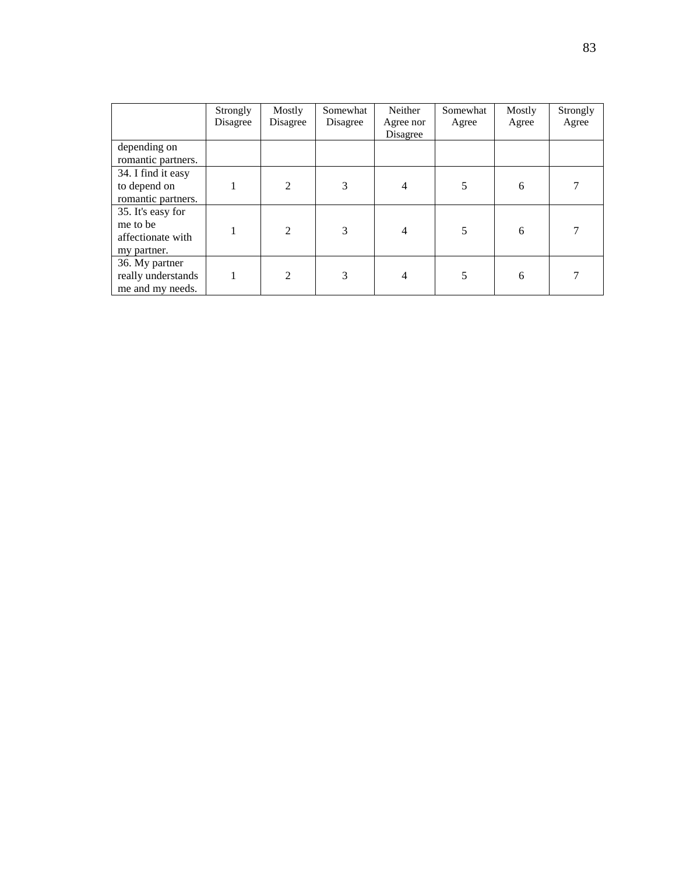|                                                                   | Strongly<br>Disagree | Mostly<br>Disagree | Somewhat<br>Disagree | Neither<br>Agree nor<br>Disagree | Somewhat<br>Agree | Mostly<br>Agree | Strongly<br>Agree |
|-------------------------------------------------------------------|----------------------|--------------------|----------------------|----------------------------------|-------------------|-----------------|-------------------|
| depending on<br>romantic partners.                                |                      |                    |                      |                                  |                   |                 |                   |
| 34. I find it easy<br>to depend on<br>romantic partners.          |                      | $\overline{c}$     | 3                    | 4                                | 5                 | 6               |                   |
| 35. It's easy for<br>me to be<br>affectionate with<br>my partner. |                      | 2                  | 3                    | $\overline{4}$                   | 5                 | 6               |                   |
| 36. My partner<br>really understands<br>me and my needs.          |                      | $\overline{2}$     | 3                    | 4                                | 5                 | 6               |                   |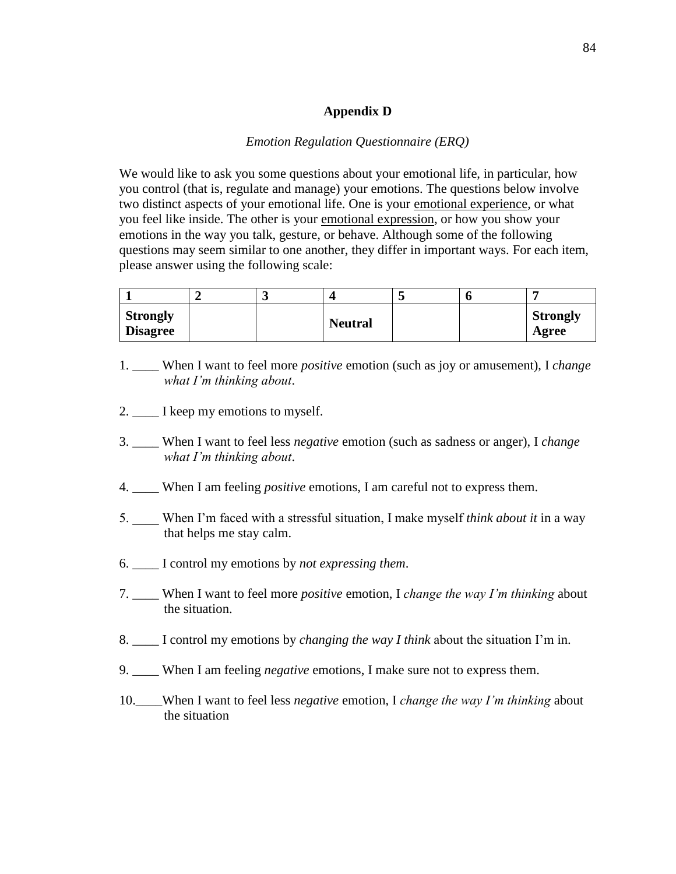#### **Appendix D**

#### *Emotion Regulation Questionnaire (ERQ)*

We would like to ask you some questions about your emotional life, in particular, how you control (that is, regulate and manage) your emotions. The questions below involve two distinct aspects of your emotional life. One is your emotional experience, or what you feel like inside. The other is your emotional expression, or how you show your emotions in the way you talk, gesture, or behave. Although some of the following questions may seem similar to one another, they differ in important ways. For each item, please answer using the following scale:

| <b>Strongly</b><br><b>Disagree</b> |  | <b>Neutral</b> |  | <b>Strongly</b><br>Agree |
|------------------------------------|--|----------------|--|--------------------------|

- 1. \_\_\_\_ When I want to feel more *positive* emotion (such as joy or amusement), I *change what I'm thinking about*.
- 2.  $\frac{1}{\sqrt{2}}$  I keep my emotions to myself.
- 3. \_\_\_\_ When I want to feel less *negative* emotion (such as sadness or anger), I *change what I'm thinking about*.
- 4. \_\_\_\_ When I am feeling *positive* emotions, I am careful not to express them.
- 5. \_\_\_\_ When I'm faced with a stressful situation, I make myself *think about it* in a way that helps me stay calm.
- 6. \_\_\_\_ I control my emotions by *not expressing them*.
- 7. \_\_\_\_ When I want to feel more *positive* emotion, I *change the way I'm thinking* about the situation.
- 8. \_\_\_\_ I control my emotions by *changing the way I think* about the situation I'm in.
- 9. \_\_\_\_ When I am feeling *negative* emotions, I make sure not to express them.
- 10.\_\_\_\_When I want to feel less *negative* emotion, I *change the way I'm thinking* about the situation